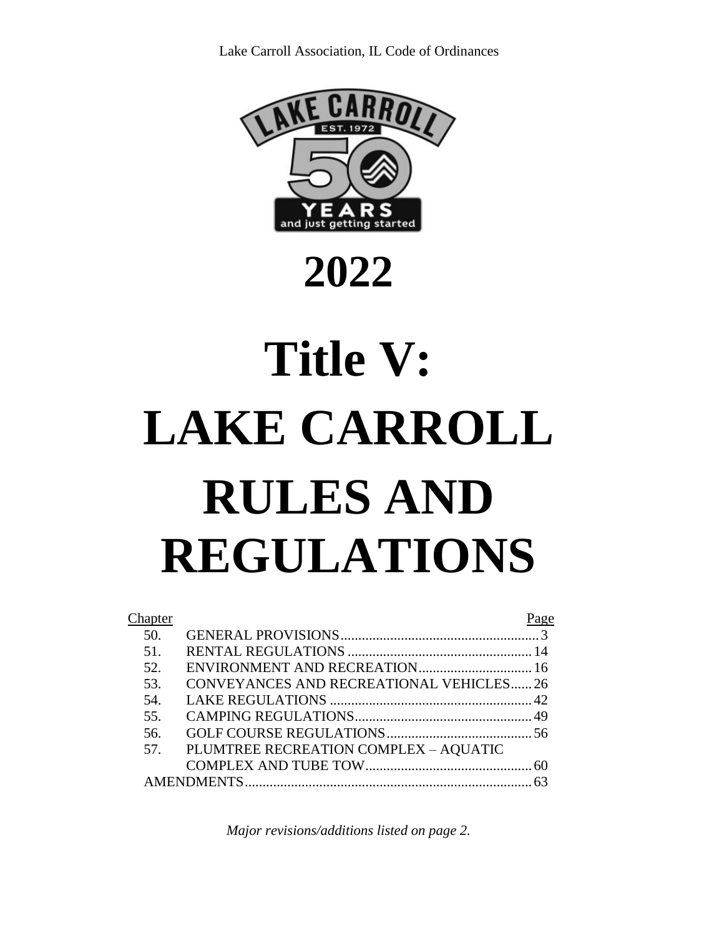

# **2022**

# **Title V: LAKE CARROLL RULES AND REGULATIONS**

| <b>Chapter</b> |                                         | Page |
|----------------|-----------------------------------------|------|
| 50.            |                                         |      |
| 51.            |                                         |      |
| 52.            |                                         |      |
| 53.            | CONVEYANCES AND RECREATIONAL VEHICLES26 |      |
| 54.            |                                         |      |
| 55.            |                                         |      |
| 56.            |                                         |      |
| 57.            | PLUMTREE RECREATION COMPLEX - AQUATIC   |      |
|                |                                         |      |
|                |                                         |      |

*Major revisions/additions listed on page 2.*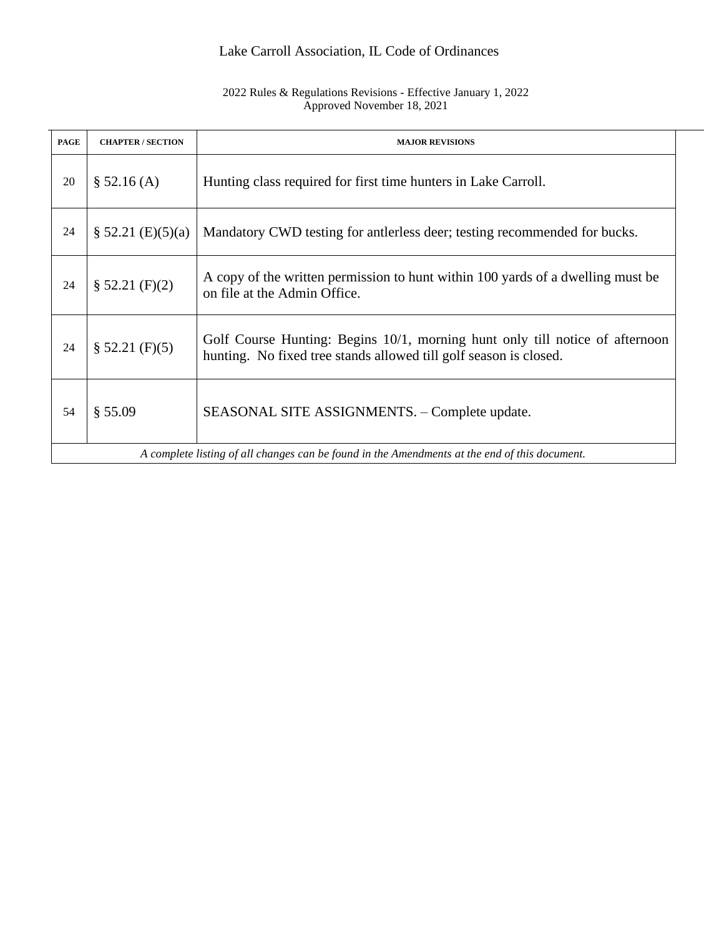#### 2022 Rules & Regulations Revisions - Effective January 1, 2022 Approved November 18, 2021

| <b>PAGE</b> | <b>CHAPTER / SECTION</b>                                                                      | <b>MAJOR REVISIONS</b>                                                                                                                            |  |
|-------------|-----------------------------------------------------------------------------------------------|---------------------------------------------------------------------------------------------------------------------------------------------------|--|
| 20          | \$ 52.16 (A)                                                                                  | Hunting class required for first time hunters in Lake Carroll.                                                                                    |  |
| 24          | $\S 52.21 (E)(5)(a)$                                                                          | Mandatory CWD testing for antierless deer; testing recommended for bucks.                                                                         |  |
| 24          | \$52.21(F)(2)                                                                                 | A copy of the written permission to hunt within 100 yards of a dwelling must be<br>on file at the Admin Office.                                   |  |
| 24          | \$52.21(F)(5)                                                                                 | Golf Course Hunting: Begins 10/1, morning hunt only till notice of afternoon<br>hunting. No fixed tree stands allowed till golf season is closed. |  |
| 54          | § 55.09                                                                                       | SEASONAL SITE ASSIGNMENTS. - Complete update.                                                                                                     |  |
|             | A complete listing of all changes can be found in the Amendments at the end of this document. |                                                                                                                                                   |  |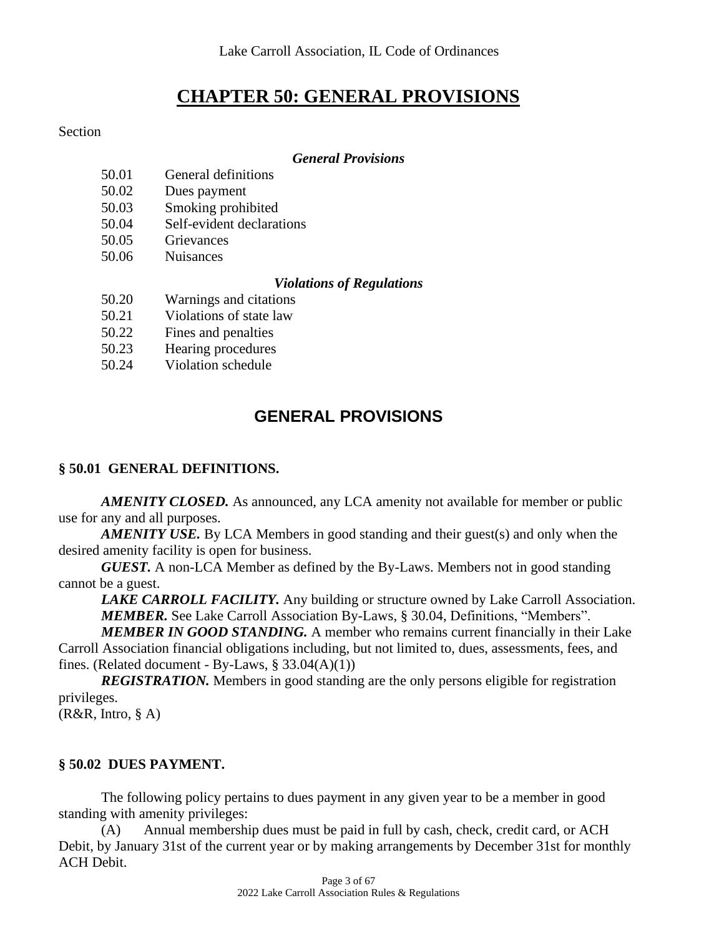# **CHAPTER 50: GENERAL PROVISIONS**

#### Section

#### *General Provisions*

- 50.01 General definitions
- 50.02 Dues payment
- 50.03 Smoking prohibited
- 50.04 Self-evident declarations
- 50.05 Grievances
- 50.06 Nuisances

#### *Violations of Regulations*

- 50.20 Warnings and citations
- 50.21 Violations of state law
- 50.22 Fines and penalties
- 50.23 Hearing procedures
- 50.24 Violation schedule

# **GENERAL PROVISIONS**

#### **§ 50.01 GENERAL DEFINITIONS.**

*AMENITY CLOSED.* As announced, any LCA amenity not available for member or public use for any and all purposes.

*AMENITY USE.* By LCA Members in good standing and their guest(s) and only when the desired amenity facility is open for business.

*GUEST.* A non-LCA Member as defined by the By-Laws. Members not in good standing cannot be a guest.

*LAKE CARROLL FACILITY.* Any building or structure owned by Lake Carroll Association. *MEMBER.* See Lake Carroll Association By-Laws, § 30.04, Definitions, "Members".

*MEMBER IN GOOD STANDING.* A member who remains current financially in their Lake Carroll Association financial obligations including, but not limited to, dues, assessments, fees, and fines. (Related document - By-Laws,  $\S$  33.04(A)(1))

**REGISTRATION.** Members in good standing are the only persons eligible for registration privileges.

(R&R, Intro, § A)

#### **§ 50.02 DUES PAYMENT.**

The following policy pertains to dues payment in any given year to be a member in good standing with amenity privileges:

(A) Annual membership dues must be paid in full by cash, check, credit card, or ACH Debit, by January 31st of the current year or by making arrangements by December 31st for monthly ACH Debit.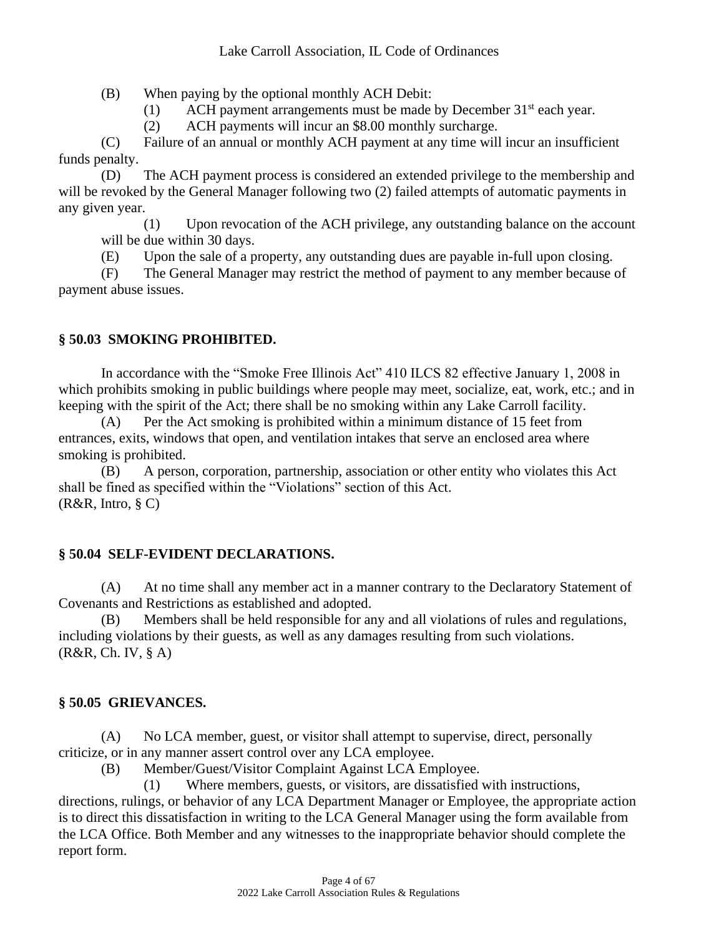(B) When paying by the optional monthly ACH Debit:

(1) ACH payment arrangements must be made by December  $31<sup>st</sup>$  each year.

(2) ACH payments will incur an \$8.00 monthly surcharge.

(C) Failure of an annual or monthly ACH payment at any time will incur an insufficient funds penalty.

(D) The ACH payment process is considered an extended privilege to the membership and will be revoked by the General Manager following two (2) failed attempts of automatic payments in any given year.

(1) Upon revocation of the ACH privilege, any outstanding balance on the account will be due within 30 days.

(E) Upon the sale of a property, any outstanding dues are payable in-full upon closing.

(F) The General Manager may restrict the method of payment to any member because of payment abuse issues.

# **§ 50.03 SMOKING PROHIBITED.**

In accordance with the "Smoke Free Illinois Act" 410 ILCS 82 effective January 1, 2008 in which prohibits smoking in public buildings where people may meet, socialize, eat, work, etc.; and in keeping with the spirit of the Act; there shall be no smoking within any Lake Carroll facility.

(A) Per the Act smoking is prohibited within a minimum distance of 15 feet from entrances, exits, windows that open, and ventilation intakes that serve an enclosed area where smoking is prohibited.

(B) A person, corporation, partnership, association or other entity who violates this Act shall be fined as specified within the "Violations" section of this Act. (R&R, Intro, § C)

# **§ 50.04 SELF-EVIDENT DECLARATIONS.**

(A) At no time shall any member act in a manner contrary to the Declaratory Statement of Covenants and Restrictions as established and adopted.

(B) Members shall be held responsible for any and all violations of rules and regulations, including violations by their guests, as well as any damages resulting from such violations. (R&R, Ch. IV, § A)

# **§ 50.05 GRIEVANCES.**

(A) No LCA member, guest, or visitor shall attempt to supervise, direct, personally criticize, or in any manner assert control over any LCA employee.

(B) Member/Guest/Visitor Complaint Against LCA Employee.

(1) Where members, guests, or visitors, are dissatisfied with instructions,

directions, rulings, or behavior of any LCA Department Manager or Employee, the appropriate action is to direct this dissatisfaction in writing to the LCA General Manager using the form available from the LCA Office. Both Member and any witnesses to the inappropriate behavior should complete the report form.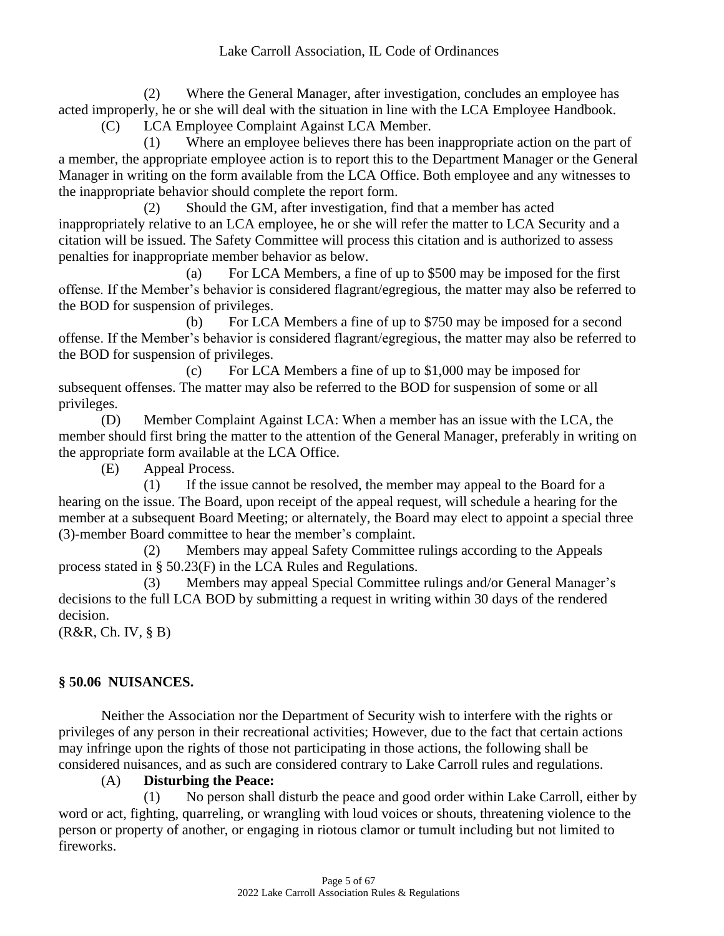(2) Where the General Manager, after investigation, concludes an employee has acted improperly, he or she will deal with the situation in line with the LCA Employee Handbook.

(C) LCA Employee Complaint Against LCA Member.

(1) Where an employee believes there has been inappropriate action on the part of a member, the appropriate employee action is to report this to the Department Manager or the General Manager in writing on the form available from the LCA Office. Both employee and any witnesses to the inappropriate behavior should complete the report form.

(2) Should the GM, after investigation, find that a member has acted inappropriately relative to an LCA employee, he or she will refer the matter to LCA Security and a citation will be issued. The Safety Committee will process this citation and is authorized to assess penalties for inappropriate member behavior as below.

(a) For LCA Members, a fine of up to \$500 may be imposed for the first offense. If the Member's behavior is considered flagrant/egregious, the matter may also be referred to the BOD for suspension of privileges.

(b) For LCA Members a fine of up to \$750 may be imposed for a second offense. If the Member's behavior is considered flagrant/egregious, the matter may also be referred to the BOD for suspension of privileges.

(c) For LCA Members a fine of up to \$1,000 may be imposed for subsequent offenses. The matter may also be referred to the BOD for suspension of some or all privileges.

(D) Member Complaint Against LCA: When a member has an issue with the LCA, the member should first bring the matter to the attention of the General Manager, preferably in writing on the appropriate form available at the LCA Office.

(E) Appeal Process.

(1) If the issue cannot be resolved, the member may appeal to the Board for a hearing on the issue. The Board, upon receipt of the appeal request, will schedule a hearing for the member at a subsequent Board Meeting; or alternately, the Board may elect to appoint a special three (3)-member Board committee to hear the member's complaint.

(2) Members may appeal Safety Committee rulings according to the Appeals process stated in § 50.23(F) in the LCA Rules and Regulations.

(3) Members may appeal Special Committee rulings and/or General Manager's decisions to the full LCA BOD by submitting a request in writing within 30 days of the rendered decision.

(R&R, Ch. IV, § B)

# **§ 50.06 NUISANCES.**

Neither the Association nor the Department of Security wish to interfere with the rights or privileges of any person in their recreational activities; However, due to the fact that certain actions may infringe upon the rights of those not participating in those actions, the following shall be considered nuisances, and as such are considered contrary to Lake Carroll rules and regulations.

#### (A) **Disturbing the Peace:**

(1) No person shall disturb the peace and good order within Lake Carroll, either by word or act, fighting, quarreling, or wrangling with loud voices or shouts, threatening violence to the person or property of another, or engaging in riotous clamor or tumult including but not limited to fireworks.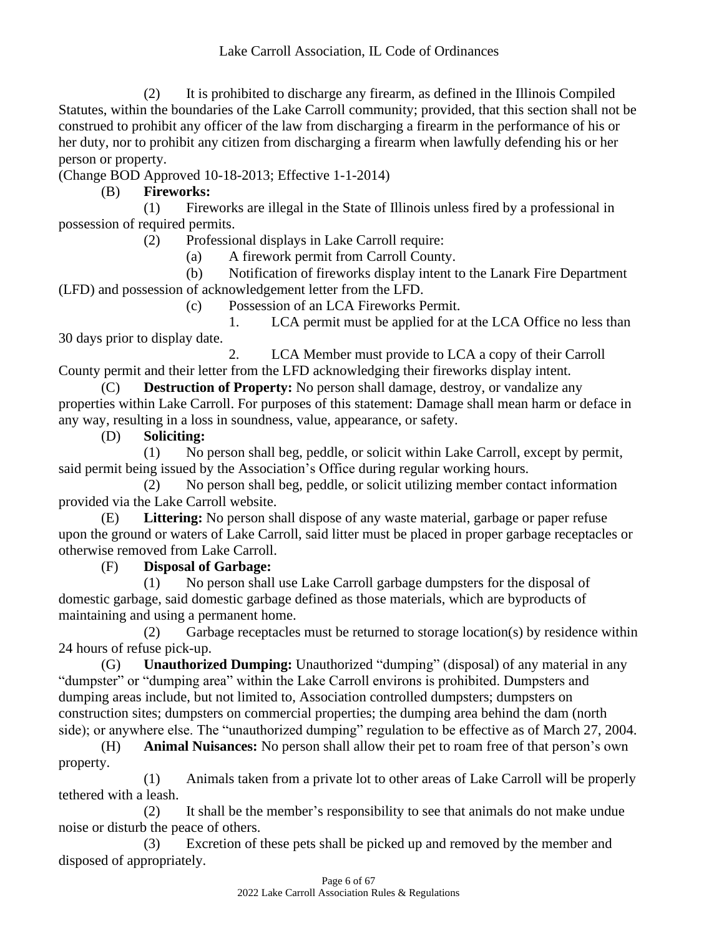(2) It is prohibited to discharge any firearm, as defined in the Illinois Compiled Statutes, within the boundaries of the Lake Carroll community; provided, that this section shall not be construed to prohibit any officer of the law from discharging a firearm in the performance of his or her duty, nor to prohibit any citizen from discharging a firearm when lawfully defending his or her person or property.

(Change BOD Approved 10-18-2013; Effective 1-1-2014)

(B) **Fireworks:**

(1) Fireworks are illegal in the State of Illinois unless fired by a professional in possession of required permits.

(2) Professional displays in Lake Carroll require:

(a) A firework permit from Carroll County.

(b) Notification of fireworks display intent to the Lanark Fire Department (LFD) and possession of acknowledgement letter from the LFD.

(c) Possession of an LCA Fireworks Permit.

1. LCA permit must be applied for at the LCA Office no less than 30 days prior to display date.

2. LCA Member must provide to LCA a copy of their Carroll County permit and their letter from the LFD acknowledging their fireworks display intent.

(C) **Destruction of Property:** No person shall damage, destroy, or vandalize any properties within Lake Carroll. For purposes of this statement: Damage shall mean harm or deface in any way, resulting in a loss in soundness, value, appearance, or safety.

(D) **Soliciting:**

(1) No person shall beg, peddle, or solicit within Lake Carroll, except by permit, said permit being issued by the Association's Office during regular working hours.

(2) No person shall beg, peddle, or solicit utilizing member contact information provided via the Lake Carroll website.

(E) **Littering:** No person shall dispose of any waste material, garbage or paper refuse upon the ground or waters of Lake Carroll, said litter must be placed in proper garbage receptacles or otherwise removed from Lake Carroll.

(F) **Disposal of Garbage:**

(1) No person shall use Lake Carroll garbage dumpsters for the disposal of domestic garbage, said domestic garbage defined as those materials, which are byproducts of maintaining and using a permanent home.

(2) Garbage receptacles must be returned to storage location(s) by residence within 24 hours of refuse pick-up.

(G) **Unauthorized Dumping:** Unauthorized "dumping" (disposal) of any material in any "dumpster" or "dumping area" within the Lake Carroll environs is prohibited. Dumpsters and dumping areas include, but not limited to, Association controlled dumpsters; dumpsters on construction sites; dumpsters on commercial properties; the dumping area behind the dam (north side); or anywhere else. The "unauthorized dumping" regulation to be effective as of March 27, 2004.

(H) **Animal Nuisances:** No person shall allow their pet to roam free of that person's own property.

(1) Animals taken from a private lot to other areas of Lake Carroll will be properly tethered with a leash.

(2) It shall be the member's responsibility to see that animals do not make undue noise or disturb the peace of others.

(3) Excretion of these pets shall be picked up and removed by the member and disposed of appropriately.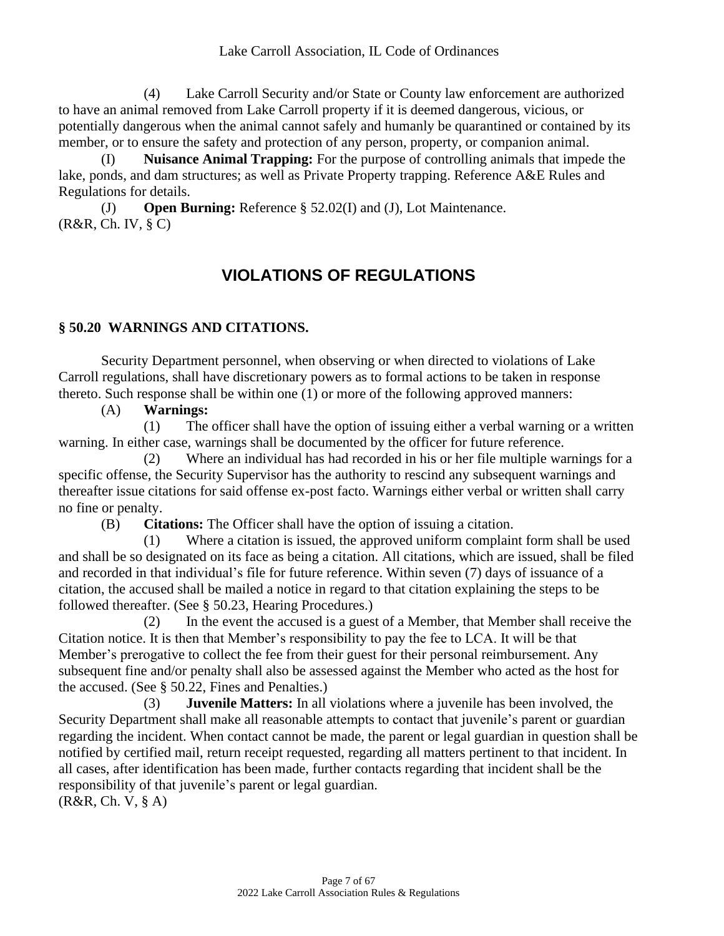(4) Lake Carroll Security and/or State or County law enforcement are authorized to have an animal removed from Lake Carroll property if it is deemed dangerous, vicious, or potentially dangerous when the animal cannot safely and humanly be quarantined or contained by its member, or to ensure the safety and protection of any person, property, or companion animal.

(I) **Nuisance Animal Trapping:** For the purpose of controlling animals that impede the lake, ponds, and dam structures; as well as Private Property trapping. Reference A&E Rules and Regulations for details.

(J) **Open Burning:** Reference § 52.02(I) and (J), Lot Maintenance. (R&R, Ch. IV, § C)

# **VIOLATIONS OF REGULATIONS**

#### **§ 50.20 WARNINGS AND CITATIONS.**

Security Department personnel, when observing or when directed to violations of Lake Carroll regulations, shall have discretionary powers as to formal actions to be taken in response thereto. Such response shall be within one (1) or more of the following approved manners:

#### (A) **Warnings:**

(1) The officer shall have the option of issuing either a verbal warning or a written warning. In either case, warnings shall be documented by the officer for future reference.

(2) Where an individual has had recorded in his or her file multiple warnings for a specific offense, the Security Supervisor has the authority to rescind any subsequent warnings and thereafter issue citations for said offense ex-post facto. Warnings either verbal or written shall carry no fine or penalty.

(B) **Citations:** The Officer shall have the option of issuing a citation.

(1) Where a citation is issued, the approved uniform complaint form shall be used and shall be so designated on its face as being a citation. All citations, which are issued, shall be filed and recorded in that individual's file for future reference. Within seven (7) days of issuance of a citation, the accused shall be mailed a notice in regard to that citation explaining the steps to be followed thereafter. (See § 50.23, Hearing Procedures.)

(2) In the event the accused is a guest of a Member, that Member shall receive the Citation notice. It is then that Member's responsibility to pay the fee to LCA. It will be that Member's prerogative to collect the fee from their guest for their personal reimbursement. Any subsequent fine and/or penalty shall also be assessed against the Member who acted as the host for the accused. (See § 50.22, Fines and Penalties.)

(3) **Juvenile Matters:** In all violations where a juvenile has been involved, the Security Department shall make all reasonable attempts to contact that juvenile's parent or guardian regarding the incident. When contact cannot be made, the parent or legal guardian in question shall be notified by certified mail, return receipt requested, regarding all matters pertinent to that incident. In all cases, after identification has been made, further contacts regarding that incident shall be the responsibility of that juvenile's parent or legal guardian.

(R&R, Ch. V, § A)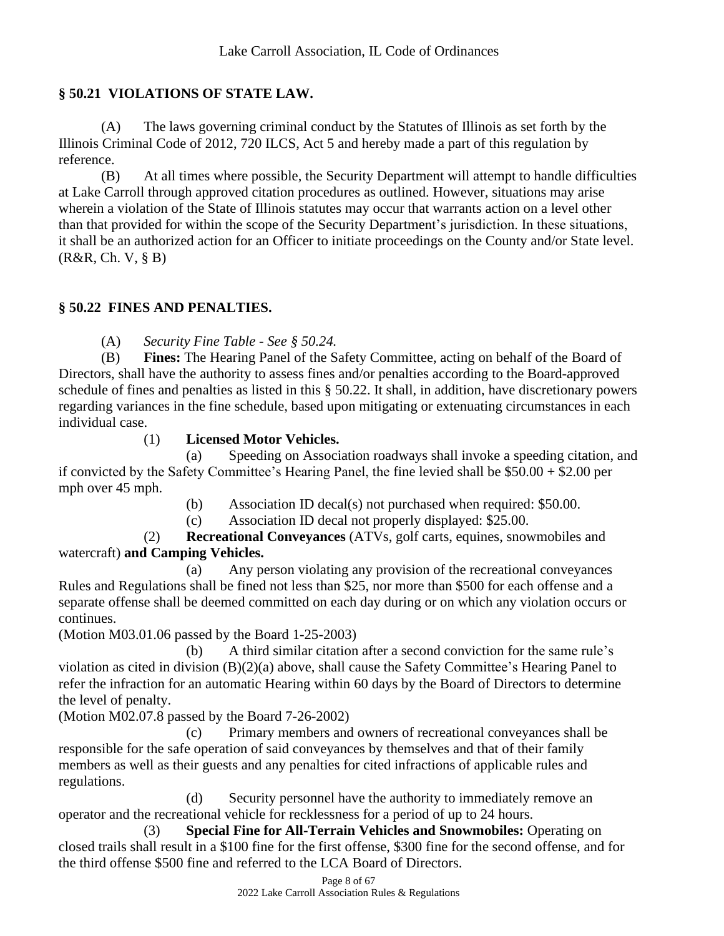# **§ 50.21 VIOLATIONS OF STATE LAW.**

(A) The laws governing criminal conduct by the Statutes of Illinois as set forth by the Illinois Criminal Code of 2012, 720 ILCS, Act 5 and hereby made a part of this regulation by reference.

(B) At all times where possible, the Security Department will attempt to handle difficulties at Lake Carroll through approved citation procedures as outlined. However, situations may arise wherein a violation of the State of Illinois statutes may occur that warrants action on a level other than that provided for within the scope of the Security Department's jurisdiction. In these situations, it shall be an authorized action for an Officer to initiate proceedings on the County and/or State level. (R&R, Ch. V, § B)

# **§ 50.22 FINES AND PENALTIES.**

(A) *Security Fine Table - See § 50.24.*

(B) **Fines:** The Hearing Panel of the Safety Committee, acting on behalf of the Board of Directors, shall have the authority to assess fines and/or penalties according to the Board-approved schedule of fines and penalties as listed in this § 50.22. It shall, in addition, have discretionary powers regarding variances in the fine schedule, based upon mitigating or extenuating circumstances in each individual case.

# (1) **Licensed Motor Vehicles.**

(a) Speeding on Association roadways shall invoke a speeding citation, and if convicted by the Safety Committee's Hearing Panel, the fine levied shall be  $$50.00 + $2.00$  per mph over 45 mph.

(b) Association ID decal(s) not purchased when required: \$50.00.

(c) Association ID decal not properly displayed: \$25.00.

(2) **Recreational Conveyances** (ATVs, golf carts, equines, snowmobiles and watercraft) **and Camping Vehicles.**

(a) Any person violating any provision of the recreational conveyances Rules and Regulations shall be fined not less than \$25, nor more than \$500 for each offense and a separate offense shall be deemed committed on each day during or on which any violation occurs or continues.

(Motion M03.01.06 passed by the Board 1-25-2003)

(b) A third similar citation after a second conviction for the same rule's violation as cited in division (B)(2)(a) above, shall cause the Safety Committee's Hearing Panel to refer the infraction for an automatic Hearing within 60 days by the Board of Directors to determine the level of penalty.

(Motion M02.07.8 passed by the Board 7-26-2002)

(c) Primary members and owners of recreational conveyances shall be responsible for the safe operation of said conveyances by themselves and that of their family members as well as their guests and any penalties for cited infractions of applicable rules and regulations.

(d) Security personnel have the authority to immediately remove an operator and the recreational vehicle for recklessness for a period of up to 24 hours.

(3) **Special Fine for All-Terrain Vehicles and Snowmobiles:** Operating on closed trails shall result in a \$100 fine for the first offense, \$300 fine for the second offense, and for the third offense \$500 fine and referred to the LCA Board of Directors.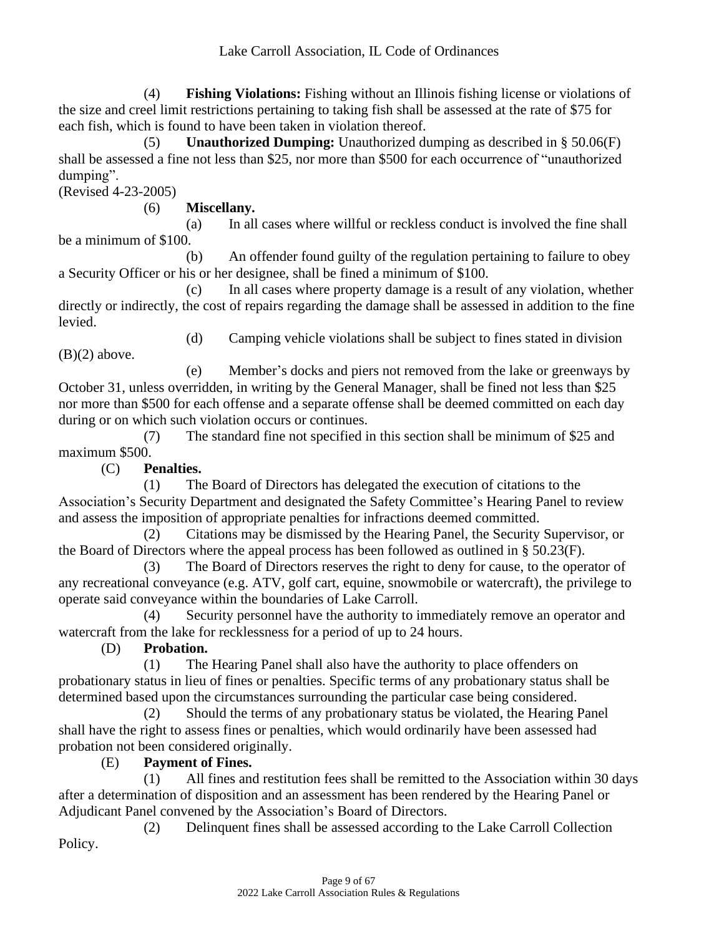(4) **Fishing Violations:** Fishing without an Illinois fishing license or violations of the size and creel limit restrictions pertaining to taking fish shall be assessed at the rate of \$75 for each fish, which is found to have been taken in violation thereof.

(5) **Unauthorized Dumping:** Unauthorized dumping as described in § 50.06(F) shall be assessed a fine not less than \$25, nor more than \$500 for each occurrence of "unauthorized dumping".

(Revised 4-23-2005)

(6) **Miscellany.**

(a) In all cases where willful or reckless conduct is involved the fine shall be a minimum of \$100.

(b) An offender found guilty of the regulation pertaining to failure to obey a Security Officer or his or her designee, shall be fined a minimum of \$100.

(c) In all cases where property damage is a result of any violation, whether directly or indirectly, the cost of repairs regarding the damage shall be assessed in addition to the fine levied.

(d) Camping vehicle violations shall be subject to fines stated in division

 $(B)(2)$  above.

(e) Member's docks and piers not removed from the lake or greenways by October 31, unless overridden, in writing by the General Manager, shall be fined not less than \$25 nor more than \$500 for each offense and a separate offense shall be deemed committed on each day during or on which such violation occurs or continues.

(7) The standard fine not specified in this section shall be minimum of \$25 and maximum \$500.

(C) **Penalties.**

(1) The Board of Directors has delegated the execution of citations to the Association's Security Department and designated the Safety Committee's Hearing Panel to review and assess the imposition of appropriate penalties for infractions deemed committed.

(2) Citations may be dismissed by the Hearing Panel, the Security Supervisor, or the Board of Directors where the appeal process has been followed as outlined in § 50.23(F).

(3) The Board of Directors reserves the right to deny for cause, to the operator of any recreational conveyance (e.g. ATV, golf cart, equine, snowmobile or watercraft), the privilege to operate said conveyance within the boundaries of Lake Carroll.

(4) Security personnel have the authority to immediately remove an operator and watercraft from the lake for recklessness for a period of up to 24 hours.

(D) **Probation.**

(1) The Hearing Panel shall also have the authority to place offenders on probationary status in lieu of fines or penalties. Specific terms of any probationary status shall be determined based upon the circumstances surrounding the particular case being considered.

(2) Should the terms of any probationary status be violated, the Hearing Panel shall have the right to assess fines or penalties, which would ordinarily have been assessed had probation not been considered originally.

(E) **Payment of Fines.**

(1) All fines and restitution fees shall be remitted to the Association within 30 days after a determination of disposition and an assessment has been rendered by the Hearing Panel or Adjudicant Panel convened by the Association's Board of Directors.

(2) Delinquent fines shall be assessed according to the Lake Carroll Collection Policy.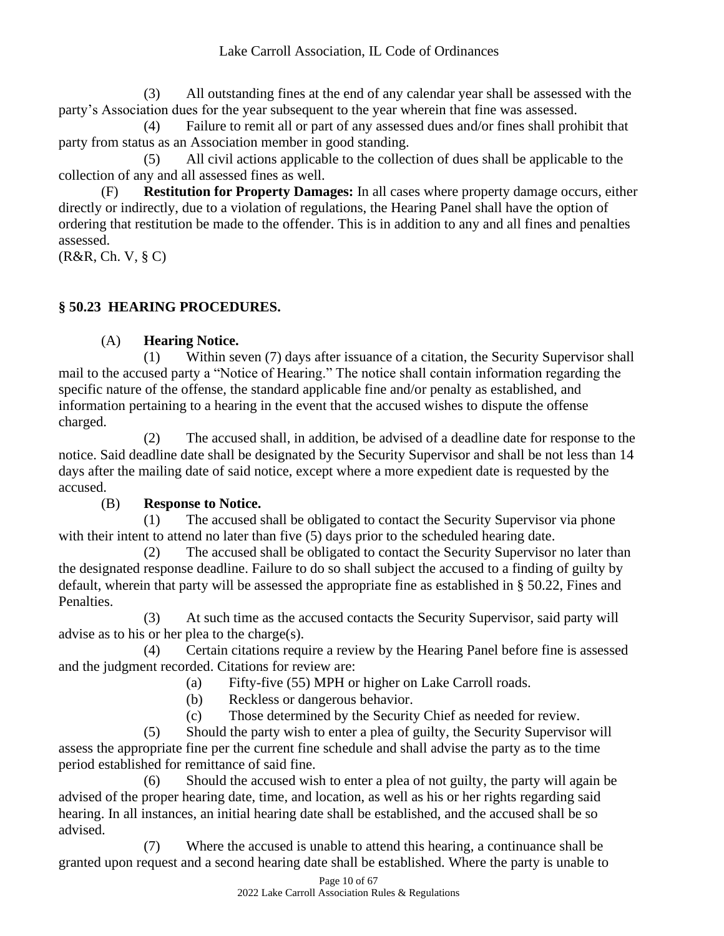(3) All outstanding fines at the end of any calendar year shall be assessed with the party's Association dues for the year subsequent to the year wherein that fine was assessed.

(4) Failure to remit all or part of any assessed dues and/or fines shall prohibit that party from status as an Association member in good standing.

(5) All civil actions applicable to the collection of dues shall be applicable to the collection of any and all assessed fines as well.

(F) **Restitution for Property Damages:** In all cases where property damage occurs, either directly or indirectly, due to a violation of regulations, the Hearing Panel shall have the option of ordering that restitution be made to the offender. This is in addition to any and all fines and penalties assessed.

(R&R, Ch. V, § C)

# **§ 50.23 HEARING PROCEDURES.**

# (A) **Hearing Notice.**

(1) Within seven (7) days after issuance of a citation, the Security Supervisor shall mail to the accused party a "Notice of Hearing." The notice shall contain information regarding the specific nature of the offense, the standard applicable fine and/or penalty as established, and information pertaining to a hearing in the event that the accused wishes to dispute the offense charged.

(2) The accused shall, in addition, be advised of a deadline date for response to the notice. Said deadline date shall be designated by the Security Supervisor and shall be not less than 14 days after the mailing date of said notice, except where a more expedient date is requested by the accused.

# (B) **Response to Notice.**

(1) The accused shall be obligated to contact the Security Supervisor via phone with their intent to attend no later than five (5) days prior to the scheduled hearing date.

(2) The accused shall be obligated to contact the Security Supervisor no later than the designated response deadline. Failure to do so shall subject the accused to a finding of guilty by default, wherein that party will be assessed the appropriate fine as established in § 50.22, Fines and Penalties.

(3) At such time as the accused contacts the Security Supervisor, said party will advise as to his or her plea to the charge(s).

(4) Certain citations require a review by the Hearing Panel before fine is assessed and the judgment recorded. Citations for review are:

- (a) Fifty-five (55) MPH or higher on Lake Carroll roads.
- (b) Reckless or dangerous behavior.
- (c) Those determined by the Security Chief as needed for review.

(5) Should the party wish to enter a plea of guilty, the Security Supervisor will assess the appropriate fine per the current fine schedule and shall advise the party as to the time period established for remittance of said fine.

(6) Should the accused wish to enter a plea of not guilty, the party will again be advised of the proper hearing date, time, and location, as well as his or her rights regarding said hearing. In all instances, an initial hearing date shall be established, and the accused shall be so advised.

(7) Where the accused is unable to attend this hearing, a continuance shall be granted upon request and a second hearing date shall be established. Where the party is unable to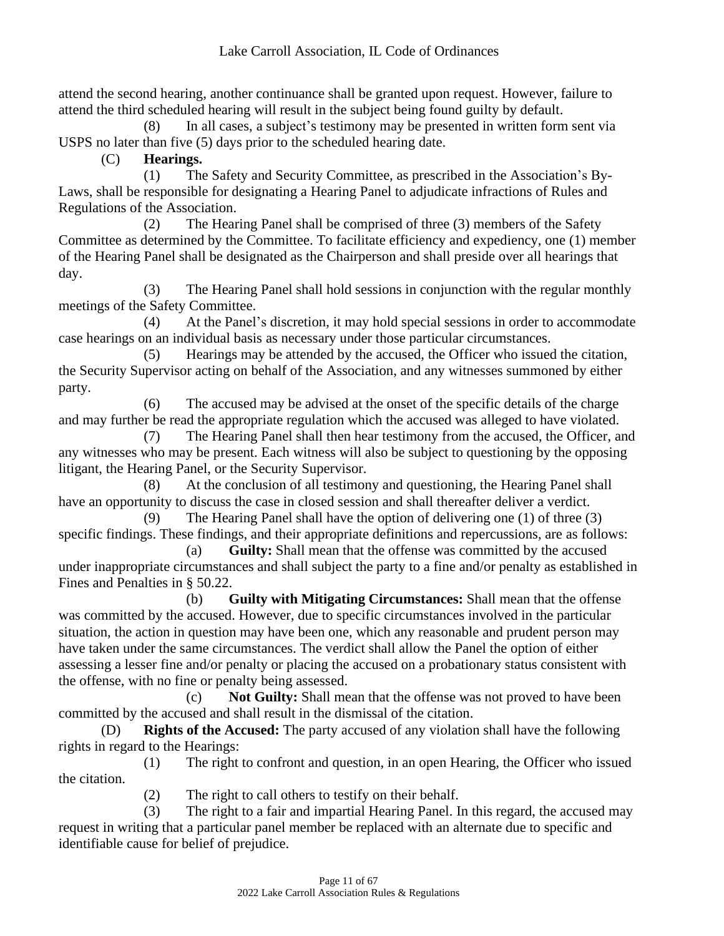attend the second hearing, another continuance shall be granted upon request. However, failure to attend the third scheduled hearing will result in the subject being found guilty by default.

(8) In all cases, a subject's testimony may be presented in written form sent via USPS no later than five (5) days prior to the scheduled hearing date.

(C) **Hearings.**

(1) The Safety and Security Committee, as prescribed in the Association's By-Laws, shall be responsible for designating a Hearing Panel to adjudicate infractions of Rules and Regulations of the Association.

(2) The Hearing Panel shall be comprised of three (3) members of the Safety Committee as determined by the Committee. To facilitate efficiency and expediency, one (1) member of the Hearing Panel shall be designated as the Chairperson and shall preside over all hearings that day.

(3) The Hearing Panel shall hold sessions in conjunction with the regular monthly meetings of the Safety Committee.

(4) At the Panel's discretion, it may hold special sessions in order to accommodate case hearings on an individual basis as necessary under those particular circumstances.

(5) Hearings may be attended by the accused, the Officer who issued the citation, the Security Supervisor acting on behalf of the Association, and any witnesses summoned by either party.

(6) The accused may be advised at the onset of the specific details of the charge and may further be read the appropriate regulation which the accused was alleged to have violated.

(7) The Hearing Panel shall then hear testimony from the accused, the Officer, and any witnesses who may be present. Each witness will also be subject to questioning by the opposing litigant, the Hearing Panel, or the Security Supervisor.

(8) At the conclusion of all testimony and questioning, the Hearing Panel shall have an opportunity to discuss the case in closed session and shall thereafter deliver a verdict.

(9) The Hearing Panel shall have the option of delivering one (1) of three (3) specific findings. These findings, and their appropriate definitions and repercussions, are as follows:

(a) **Guilty:** Shall mean that the offense was committed by the accused under inappropriate circumstances and shall subject the party to a fine and/or penalty as established in Fines and Penalties in § 50.22.

(b) **Guilty with Mitigating Circumstances:** Shall mean that the offense was committed by the accused. However, due to specific circumstances involved in the particular situation, the action in question may have been one, which any reasonable and prudent person may have taken under the same circumstances. The verdict shall allow the Panel the option of either assessing a lesser fine and/or penalty or placing the accused on a probationary status consistent with the offense, with no fine or penalty being assessed.

(c) **Not Guilty:** Shall mean that the offense was not proved to have been committed by the accused and shall result in the dismissal of the citation.

(D) **Rights of the Accused:** The party accused of any violation shall have the following rights in regard to the Hearings:

(1) The right to confront and question, in an open Hearing, the Officer who issued the citation.

(2) The right to call others to testify on their behalf.

(3) The right to a fair and impartial Hearing Panel. In this regard, the accused may request in writing that a particular panel member be replaced with an alternate due to specific and identifiable cause for belief of prejudice.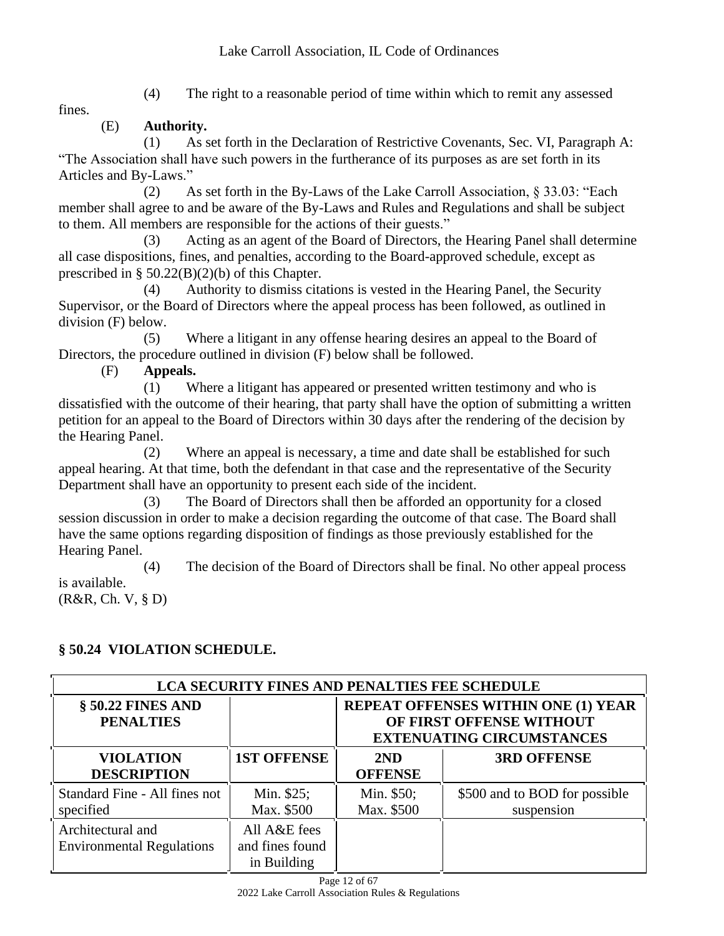fines.

(4) The right to a reasonable period of time within which to remit any assessed

# (E) **Authority.**

(1) As set forth in the Declaration of Restrictive Covenants, Sec. VI, Paragraph A: "The Association shall have such powers in the furtherance of its purposes as are set forth in its Articles and By-Laws."

(2) As set forth in the By-Laws of the Lake Carroll Association, § 33.03: "Each member shall agree to and be aware of the By-Laws and Rules and Regulations and shall be subject to them. All members are responsible for the actions of their guests."

(3) Acting as an agent of the Board of Directors, the Hearing Panel shall determine all case dispositions, fines, and penalties, according to the Board-approved schedule, except as prescribed in §  $50.22(B)(2)(b)$  of this Chapter.

(4) Authority to dismiss citations is vested in the Hearing Panel, the Security Supervisor, or the Board of Directors where the appeal process has been followed, as outlined in division (F) below.

(5) Where a litigant in any offense hearing desires an appeal to the Board of Directors, the procedure outlined in division (F) below shall be followed.

(F) **Appeals.**

(1) Where a litigant has appeared or presented written testimony and who is dissatisfied with the outcome of their hearing, that party shall have the option of submitting a written petition for an appeal to the Board of Directors within 30 days after the rendering of the decision by the Hearing Panel.

(2) Where an appeal is necessary, a time and date shall be established for such appeal hearing. At that time, both the defendant in that case and the representative of the Security Department shall have an opportunity to present each side of the incident.

(3) The Board of Directors shall then be afforded an opportunity for a closed session discussion in order to make a decision regarding the outcome of that case. The Board shall have the same options regarding disposition of findings as those previously established for the Hearing Panel.

(4) The decision of the Board of Directors shall be final. No other appeal process is available. (R&R, Ch. V, § D)

# **§ 50.24 VIOLATION SCHEDULE.**

| <b>LCA SECURITY FINES AND PENALTIES FEE SCHEDULE</b>  |                                                |                                                                                                            |                                             |  |
|-------------------------------------------------------|------------------------------------------------|------------------------------------------------------------------------------------------------------------|---------------------------------------------|--|
| § 50.22 FINES AND<br><b>PENALTIES</b>                 |                                                | <b>REPEAT OFFENSES WITHIN ONE (1) YEAR</b><br>OF FIRST OFFENSE WITHOUT<br><b>EXTENUATING CIRCUMSTANCES</b> |                                             |  |
| <b>VIOLATION</b><br><b>DESCRIPTION</b>                | <b>1ST OFFENSE</b>                             | 2ND<br><b>OFFENSE</b>                                                                                      | <b>3RD OFFENSE</b>                          |  |
| Standard Fine - All fines not<br>specified            | Min. \$25;<br>Max. \$500                       | Min. \$50;<br>Max. \$500                                                                                   | \$500 and to BOD for possible<br>suspension |  |
| Architectural and<br><b>Environmental Regulations</b> | All A&E fees<br>and fines found<br>in Building |                                                                                                            |                                             |  |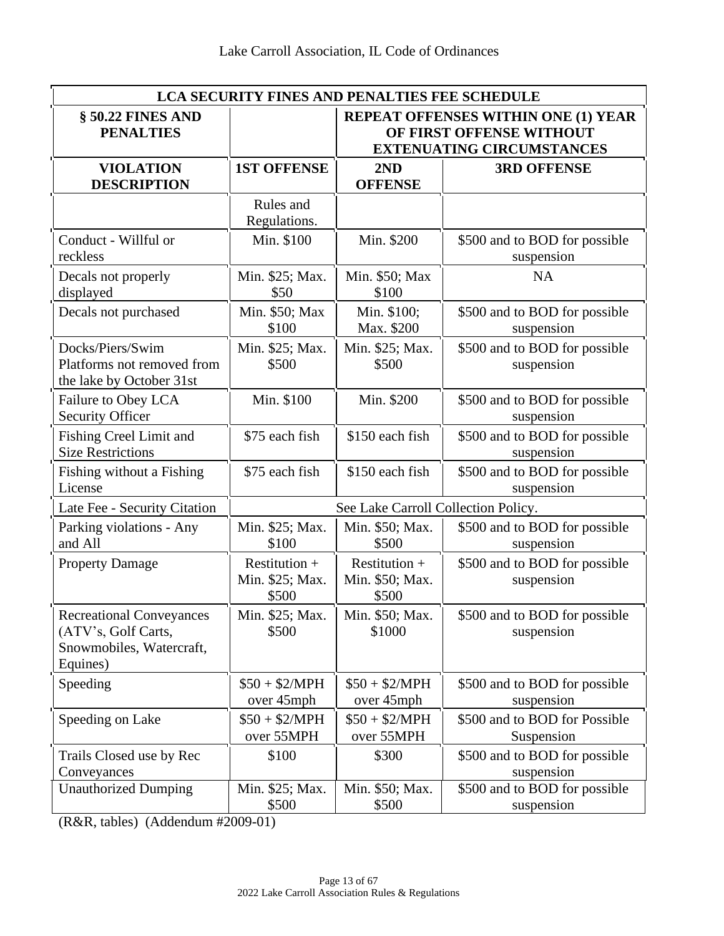| <b>LCA SECURITY FINES AND PENALTIES FEE SCHEDULE</b>                                           |                                                                                                            |                                             |                                             |  |
|------------------------------------------------------------------------------------------------|------------------------------------------------------------------------------------------------------------|---------------------------------------------|---------------------------------------------|--|
| § 50.22 FINES AND<br><b>PENALTIES</b>                                                          | <b>REPEAT OFFENSES WITHIN ONE (1) YEAR</b><br>OF FIRST OFFENSE WITHOUT<br><b>EXTENUATING CIRCUMSTANCES</b> |                                             |                                             |  |
| <b>VIOLATION</b><br><b>DESCRIPTION</b>                                                         | <b>1ST OFFENSE</b>                                                                                         | 2ND<br><b>OFFENSE</b>                       | <b>3RD OFFENSE</b>                          |  |
|                                                                                                | Rules and<br>Regulations.                                                                                  |                                             |                                             |  |
| Conduct - Willful or<br>reckless                                                               | Min. \$100                                                                                                 | Min. \$200                                  | \$500 and to BOD for possible<br>suspension |  |
| Decals not properly<br>displayed                                                               | Min. \$25; Max.<br>\$50                                                                                    | Min. \$50; Max<br>\$100                     | <b>NA</b>                                   |  |
| Decals not purchased                                                                           | Min. \$50; Max<br>\$100                                                                                    | Min. \$100;<br>Max. \$200                   | \$500 and to BOD for possible<br>suspension |  |
| Docks/Piers/Swim<br>Platforms not removed from<br>the lake by October 31st                     | Min. \$25; Max.<br>\$500                                                                                   | Min. \$25; Max.<br>\$500                    | \$500 and to BOD for possible<br>suspension |  |
| Failure to Obey LCA<br><b>Security Officer</b>                                                 | Min. \$100                                                                                                 | Min. \$200                                  | \$500 and to BOD for possible<br>suspension |  |
| <b>Fishing Creel Limit and</b><br><b>Size Restrictions</b>                                     | \$75 each fish                                                                                             | \$150 each fish                             | \$500 and to BOD for possible<br>suspension |  |
| Fishing without a Fishing<br>License                                                           | \$75 each fish                                                                                             | \$150 each fish                             | \$500 and to BOD for possible<br>suspension |  |
| Late Fee - Security Citation                                                                   |                                                                                                            | See Lake Carroll Collection Policy.         |                                             |  |
| Parking violations - Any<br>and All                                                            | Min. \$25; Max.<br>\$100                                                                                   | Min. \$50; Max.<br>\$500                    | \$500 and to BOD for possible<br>suspension |  |
| <b>Property Damage</b>                                                                         | Restitution $+$<br>Min. \$25; Max.<br>\$500                                                                | Restitution $+$<br>Min. \$50; Max.<br>\$500 | \$500 and to BOD for possible<br>suspension |  |
| <b>Recreational Conveyances</b><br>(ATV's, Golf Carts,<br>Snowmobiles, Watercraft,<br>Equines) | Min. \$25; Max.<br>\$500                                                                                   | Min. \$50; Max.<br>\$1000                   | \$500 and to BOD for possible<br>suspension |  |
| Speeding                                                                                       | $$50 + $2/MPH$<br>over 45mph                                                                               | $$50 + $2/MPH$<br>over 45mph                | \$500 and to BOD for possible<br>suspension |  |
| Speeding on Lake                                                                               | $$50 + $2/MPH$<br>over 55MPH                                                                               | $$50 + $2/MPH$<br>over 55MPH                | \$500 and to BOD for Possible<br>Suspension |  |
| Trails Closed use by Rec<br>Conveyances                                                        | \$100                                                                                                      | \$300                                       | \$500 and to BOD for possible<br>suspension |  |
| <b>Unauthorized Dumping</b>                                                                    | Min. \$25; Max.<br>\$500                                                                                   | Min. \$50; Max.<br>\$500                    | \$500 and to BOD for possible<br>suspension |  |

(R&R, tables) (Addendum #2009-01)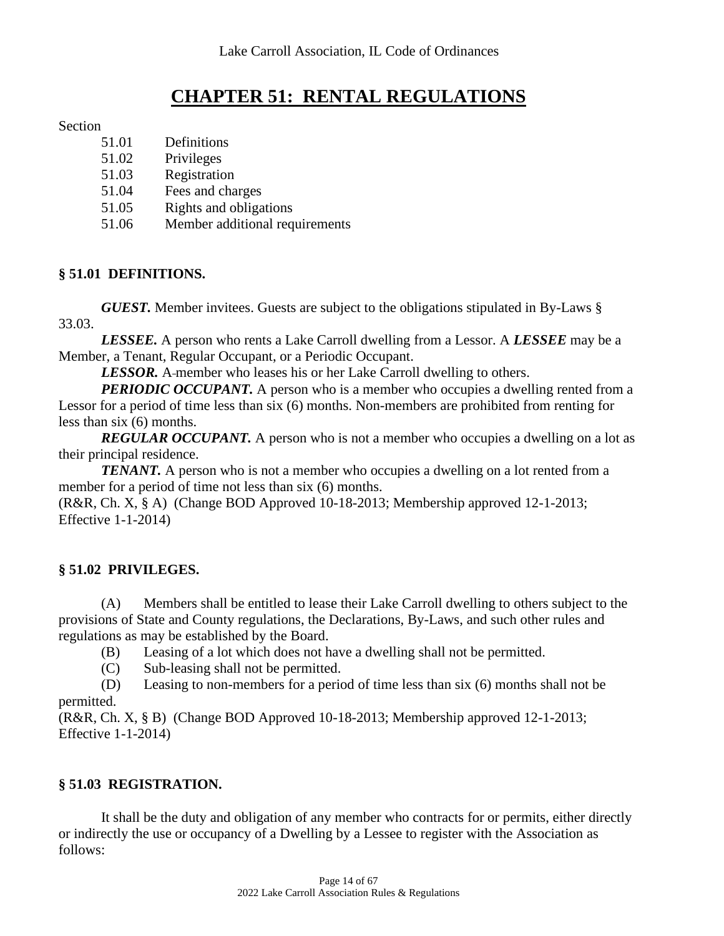# **CHAPTER 51: RENTAL REGULATIONS**

#### Section

- 51.01 Definitions
- 51.02 Privileges
- 51.03 Registration
- 51.04 Fees and charges
- 51.05 Rights and obligations
- 51.06 Member additional requirements

#### **§ 51.01 DEFINITIONS.**

*GUEST.* Member invitees. Guests are subject to the obligations stipulated in By-Laws § 33.03.

*LESSEE.* A person who rents a Lake Carroll dwelling from a Lessor. A *LESSEE* may be a Member, a Tenant, Regular Occupant, or a Periodic Occupant.

*LESSOR.* A-member who leases his or her Lake Carroll dwelling to others.

*PERIODIC OCCUPANT*. A person who is a member who occupies a dwelling rented from a Lessor for a period of time less than six (6) months. Non-members are prohibited from renting for less than six (6) months.

*REGULAR OCCUPANT*. A person who is not a member who occupies a dwelling on a lot as their principal residence.

*TENANT.* A person who is not a member who occupies a dwelling on a lot rented from a member for a period of time not less than six (6) months.

(R&R, Ch. X, § A) (Change BOD Approved 10-18-2013; Membership approved 12-1-2013; Effective 1-1-2014)

#### **§ 51.02 PRIVILEGES.**

(A) Members shall be entitled to lease their Lake Carroll dwelling to others subject to the provisions of State and County regulations, the Declarations, By-Laws, and such other rules and regulations as may be established by the Board.

(B) Leasing of a lot which does not have a dwelling shall not be permitted.

(C) Sub-leasing shall not be permitted.

(D) Leasing to non-members for a period of time less than six (6) months shall not be permitted.

(R&R, Ch. X, § B) (Change BOD Approved 10-18-2013; Membership approved 12-1-2013; Effective 1-1-2014)

#### **§ 51.03 REGISTRATION.**

It shall be the duty and obligation of any member who contracts for or permits, either directly or indirectly the use or occupancy of a Dwelling by a Lessee to register with the Association as follows: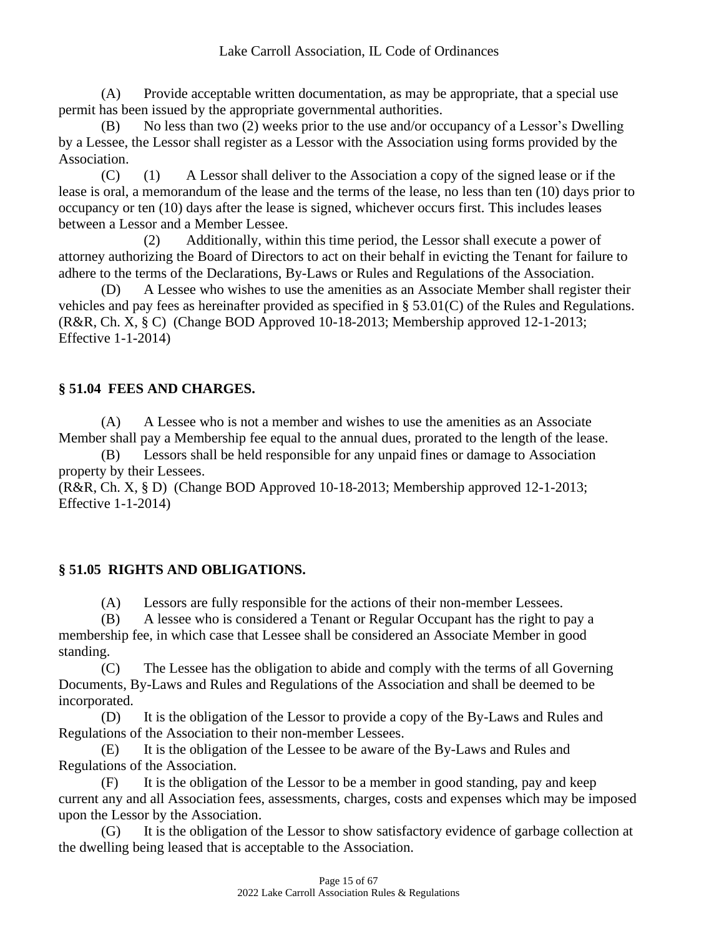(A) Provide acceptable written documentation, as may be appropriate, that a special use permit has been issued by the appropriate governmental authorities.

(B) No less than two (2) weeks prior to the use and/or occupancy of a Lessor's Dwelling by a Lessee, the Lessor shall register as a Lessor with the Association using forms provided by the Association.

(C) (1) A Lessor shall deliver to the Association a copy of the signed lease or if the lease is oral, a memorandum of the lease and the terms of the lease, no less than ten (10) days prior to occupancy or ten (10) days after the lease is signed, whichever occurs first. This includes leases between a Lessor and a Member Lessee.

(2) Additionally, within this time period, the Lessor shall execute a power of attorney authorizing the Board of Directors to act on their behalf in evicting the Tenant for failure to adhere to the terms of the Declarations, By-Laws or Rules and Regulations of the Association.

(D) A Lessee who wishes to use the amenities as an Associate Member shall register their vehicles and pay fees as hereinafter provided as specified in § 53.01(C) of the Rules and Regulations. (R&R, Ch. X, § C) (Change BOD Approved 10-18-2013; Membership approved 12-1-2013; Effective 1-1-2014)

# **§ 51.04 FEES AND CHARGES.**

(A) A Lessee who is not a member and wishes to use the amenities as an Associate Member shall pay a Membership fee equal to the annual dues, prorated to the length of the lease.

(B) Lessors shall be held responsible for any unpaid fines or damage to Association property by their Lessees.

(R&R, Ch. X, § D) (Change BOD Approved 10-18-2013; Membership approved 12-1-2013; Effective 1-1-2014)

# **§ 51.05 RIGHTS AND OBLIGATIONS.**

(A) Lessors are fully responsible for the actions of their non-member Lessees.

(B) A lessee who is considered a Tenant or Regular Occupant has the right to pay a membership fee, in which case that Lessee shall be considered an Associate Member in good standing.

(C) The Lessee has the obligation to abide and comply with the terms of all Governing Documents, By-Laws and Rules and Regulations of the Association and shall be deemed to be incorporated.

(D) It is the obligation of the Lessor to provide a copy of the By-Laws and Rules and Regulations of the Association to their non-member Lessees.

(E) It is the obligation of the Lessee to be aware of the By-Laws and Rules and Regulations of the Association.

(F) It is the obligation of the Lessor to be a member in good standing, pay and keep current any and all Association fees, assessments, charges, costs and expenses which may be imposed upon the Lessor by the Association.

(G) It is the obligation of the Lessor to show satisfactory evidence of garbage collection at the dwelling being leased that is acceptable to the Association.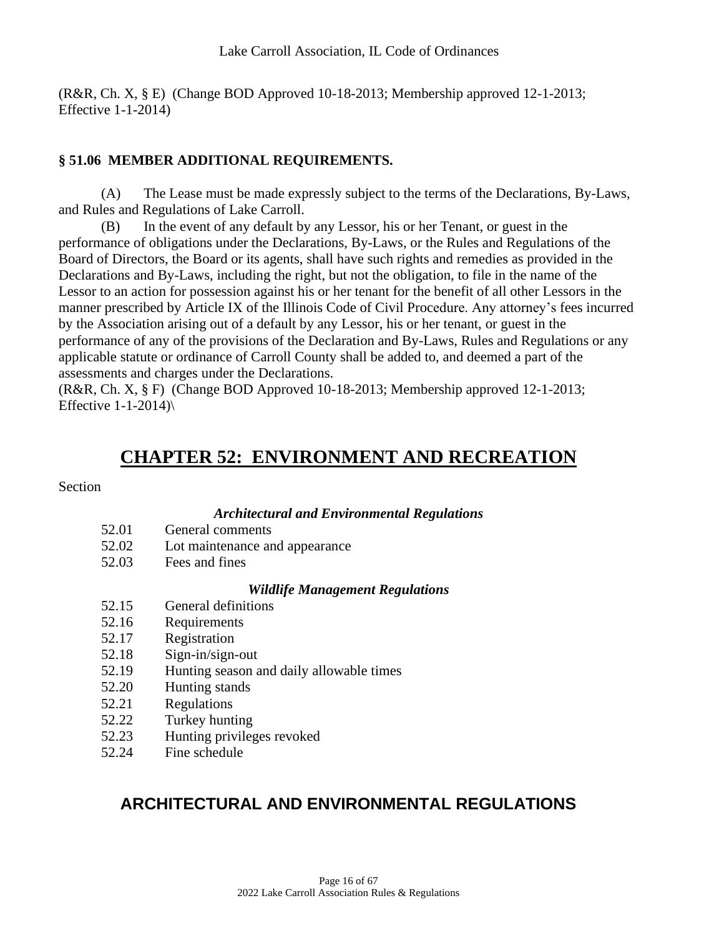(R&R, Ch. X, § E) (Change BOD Approved 10-18-2013; Membership approved 12-1-2013; Effective 1-1-2014)

## **§ 51.06 MEMBER ADDITIONAL REQUIREMENTS.**

(A) The Lease must be made expressly subject to the terms of the Declarations, By-Laws, and Rules and Regulations of Lake Carroll.

(B) In the event of any default by any Lessor, his or her Tenant, or guest in the performance of obligations under the Declarations, By-Laws, or the Rules and Regulations of the Board of Directors, the Board or its agents, shall have such rights and remedies as provided in the Declarations and By-Laws, including the right, but not the obligation, to file in the name of the Lessor to an action for possession against his or her tenant for the benefit of all other Lessors in the manner prescribed by Article IX of the Illinois Code of Civil Procedure. Any attorney's fees incurred by the Association arising out of a default by any Lessor, his or her tenant, or guest in the performance of any of the provisions of the Declaration and By-Laws, Rules and Regulations or any applicable statute or ordinance of Carroll County shall be added to, and deemed a part of the assessments and charges under the Declarations.

(R&R, Ch. X, § F) (Change BOD Approved 10-18-2013; Membership approved 12-1-2013; Effective  $1-1-2014$ )

# **CHAPTER 52: ENVIRONMENT AND RECREATION**

#### **Section**

#### *Architectural and Environmental Regulations*

- 52.01 General comments
- 52.02 Lot maintenance and appearance
- 52.03 Fees and fines

#### *Wildlife Management Regulations*

- 52.15 General definitions
- 52.16 Requirements
- 52.17 Registration
- 52.18 Sign-in/sign-out
- 52.19 Hunting season and daily allowable times
- 52.20 Hunting stands
- 52.21 Regulations
- 52.22 Turkey hunting
- 52.23 Hunting privileges revoked
- 52.24 Fine schedule

# **ARCHITECTURAL AND ENVIRONMENTAL REGULATIONS**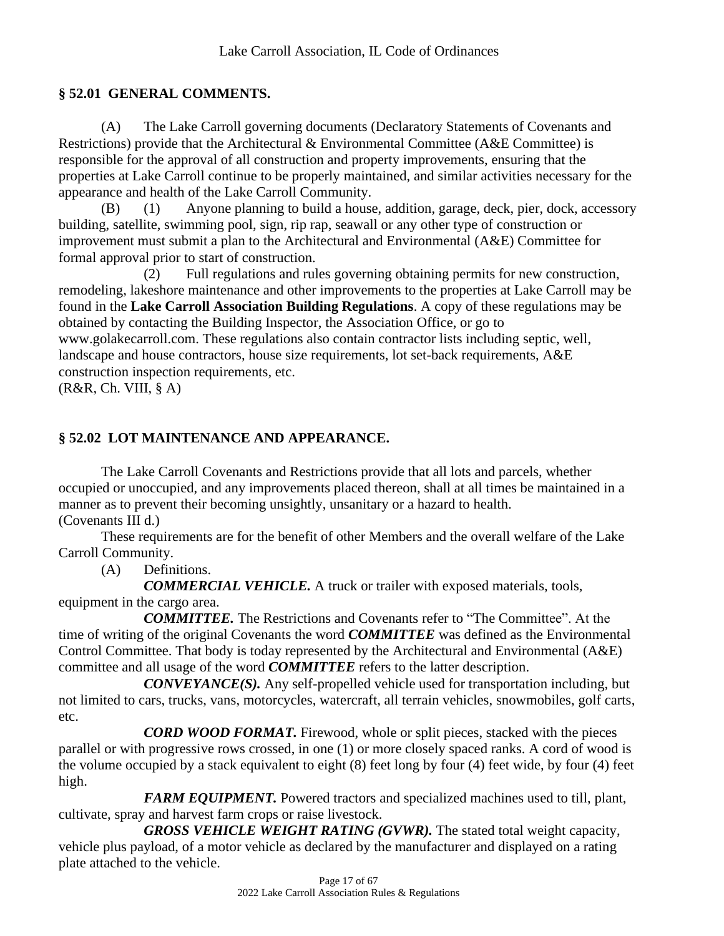## **§ 52.01 GENERAL COMMENTS.**

(A) The Lake Carroll governing documents (Declaratory Statements of Covenants and Restrictions) provide that the Architectural & Environmental Committee (A&E Committee) is responsible for the approval of all construction and property improvements, ensuring that the properties at Lake Carroll continue to be properly maintained, and similar activities necessary for the appearance and health of the Lake Carroll Community.

(B) (1) Anyone planning to build a house, addition, garage, deck, pier, dock, accessory building, satellite, swimming pool, sign, rip rap, seawall or any other type of construction or improvement must submit a plan to the Architectural and Environmental (A&E) Committee for formal approval prior to start of construction.

(2) Full regulations and rules governing obtaining permits for new construction, remodeling, lakeshore maintenance and other improvements to the properties at Lake Carroll may be found in the **Lake Carroll Association Building Regulations**. A copy of these regulations may be obtained by contacting the Building Inspector, the Association Office, or go to www.golakecarroll.com. These regulations also contain contractor lists including septic, well, landscape and house contractors, house size requirements, lot set-back requirements, A&E construction inspection requirements, etc.

 $(R&R, Ch. VIII, § A)$ 

# **§ 52.02 LOT MAINTENANCE AND APPEARANCE.**

The Lake Carroll Covenants and Restrictions provide that all lots and parcels, whether occupied or unoccupied, and any improvements placed thereon, shall at all times be maintained in a manner as to prevent their becoming unsightly, unsanitary or a hazard to health. (Covenants III d.)

These requirements are for the benefit of other Members and the overall welfare of the Lake Carroll Community.

(A) Definitions.

*COMMERCIAL VEHICLE.* A truck or trailer with exposed materials, tools, equipment in the cargo area.

*COMMITTEE.* The Restrictions and Covenants refer to "The Committee". At the time of writing of the original Covenants the word *COMMITTEE* was defined as the Environmental Control Committee. That body is today represented by the Architectural and Environmental (A&E) committee and all usage of the word *COMMITTEE* refers to the latter description.

*CONVEYANCE(S).* Any self-propelled vehicle used for transportation including, but not limited to cars, trucks, vans, motorcycles, watercraft, all terrain vehicles, snowmobiles, golf carts, etc.

*CORD WOOD FORMAT.* Firewood, whole or split pieces, stacked with the pieces parallel or with progressive rows crossed, in one (1) or more closely spaced ranks. A cord of wood is the volume occupied by a stack equivalent to eight (8) feet long by four (4) feet wide, by four (4) feet high.

*FARM EQUIPMENT*. Powered tractors and specialized machines used to till, plant, cultivate, spray and harvest farm crops or raise livestock.

*GROSS VEHICLE WEIGHT RATING (GVWR).* The stated total weight capacity, vehicle plus payload, of a motor vehicle as declared by the manufacturer and displayed on a rating plate attached to the vehicle.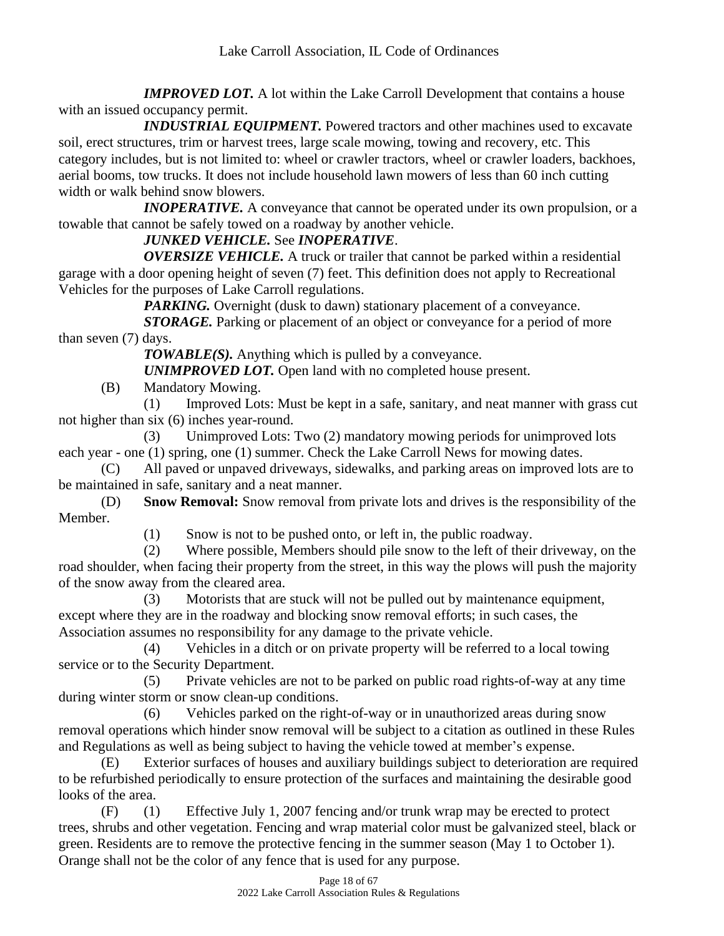*IMPROVED LOT.* A lot within the Lake Carroll Development that contains a house with an issued occupancy permit.

*INDUSTRIAL EQUIPMENT*. Powered tractors and other machines used to excavate soil, erect structures, trim or harvest trees, large scale mowing, towing and recovery, etc. This category includes, but is not limited to: wheel or crawler tractors, wheel or crawler loaders, backhoes, aerial booms, tow trucks. It does not include household lawn mowers of less than 60 inch cutting width or walk behind snow blowers.

*INOPERATIVE.* A conveyance that cannot be operated under its own propulsion, or a towable that cannot be safely towed on a roadway by another vehicle.

# *JUNKED VEHICLE.* See *INOPERATIVE*.

*OVERSIZE VEHICLE.* A truck or trailer that cannot be parked within a residential garage with a door opening height of seven (7) feet. This definition does not apply to Recreational Vehicles for the purposes of Lake Carroll regulations.

*PARKING*. Overnight (dusk to dawn) stationary placement of a conveyance.

*STORAGE.* Parking or placement of an object or conveyance for a period of more than seven (7) days.

*TOWABLE(S).* Anything which is pulled by a conveyance.

*UNIMPROVED LOT.* Open land with no completed house present.

(B) Mandatory Mowing.

(1) Improved Lots: Must be kept in a safe, sanitary, and neat manner with grass cut not higher than six (6) inches year-round.

(3) Unimproved Lots: Two (2) mandatory mowing periods for unimproved lots each year - one (1) spring, one (1) summer. Check the Lake Carroll News for mowing dates.

(C) All paved or unpaved driveways, sidewalks, and parking areas on improved lots are to be maintained in safe, sanitary and a neat manner.

(D) **Snow Removal:** Snow removal from private lots and drives is the responsibility of the Member.

(1) Snow is not to be pushed onto, or left in, the public roadway.

(2) Where possible, Members should pile snow to the left of their driveway, on the road shoulder, when facing their property from the street, in this way the plows will push the majority of the snow away from the cleared area.

(3) Motorists that are stuck will not be pulled out by maintenance equipment, except where they are in the roadway and blocking snow removal efforts; in such cases, the Association assumes no responsibility for any damage to the private vehicle.

(4) Vehicles in a ditch or on private property will be referred to a local towing service or to the Security Department.

(5) Private vehicles are not to be parked on public road rights-of-way at any time during winter storm or snow clean-up conditions.

(6) Vehicles parked on the right-of-way or in unauthorized areas during snow removal operations which hinder snow removal will be subject to a citation as outlined in these Rules and Regulations as well as being subject to having the vehicle towed at member's expense.

(E) Exterior surfaces of houses and auxiliary buildings subject to deterioration are required to be refurbished periodically to ensure protection of the surfaces and maintaining the desirable good looks of the area.

(F) (1) Effective July 1, 2007 fencing and/or trunk wrap may be erected to protect trees, shrubs and other vegetation. Fencing and wrap material color must be galvanized steel, black or green. Residents are to remove the protective fencing in the summer season (May 1 to October 1). Orange shall not be the color of any fence that is used for any purpose.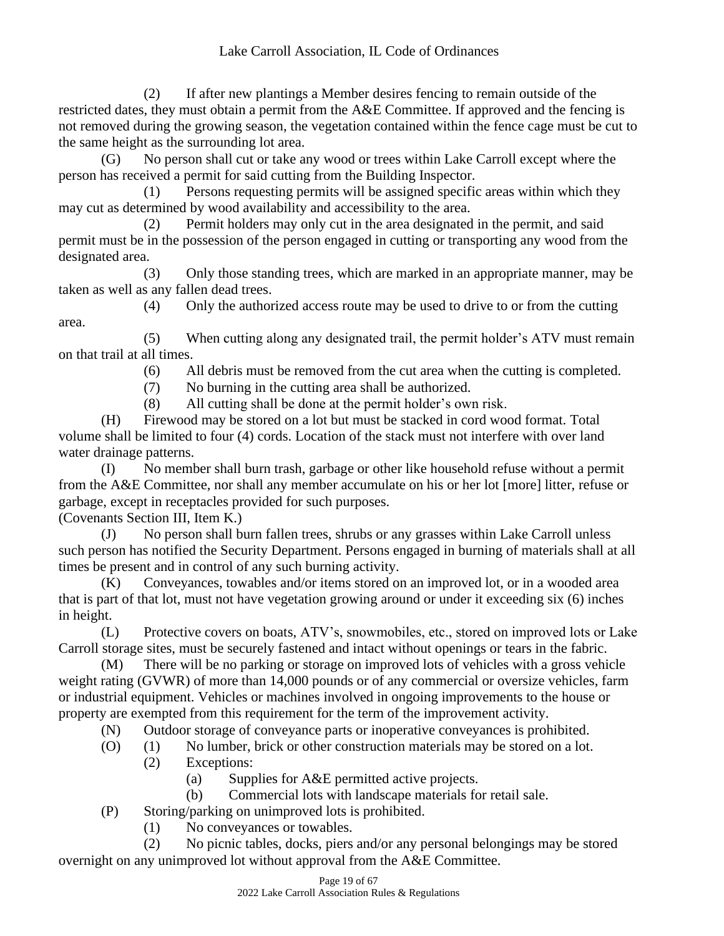(2) If after new plantings a Member desires fencing to remain outside of the restricted dates, they must obtain a permit from the A&E Committee. If approved and the fencing is not removed during the growing season, the vegetation contained within the fence cage must be cut to the same height as the surrounding lot area.

(G) No person shall cut or take any wood or trees within Lake Carroll except where the person has received a permit for said cutting from the Building Inspector.

(1) Persons requesting permits will be assigned specific areas within which they may cut as determined by wood availability and accessibility to the area.

(2) Permit holders may only cut in the area designated in the permit, and said permit must be in the possession of the person engaged in cutting or transporting any wood from the designated area.

(3) Only those standing trees, which are marked in an appropriate manner, may be taken as well as any fallen dead trees.

(4) Only the authorized access route may be used to drive to or from the cutting area.

(5) When cutting along any designated trail, the permit holder's ATV must remain on that trail at all times.

(6) All debris must be removed from the cut area when the cutting is completed.

(7) No burning in the cutting area shall be authorized.

(8) All cutting shall be done at the permit holder's own risk.

(H) Firewood may be stored on a lot but must be stacked in cord wood format. Total volume shall be limited to four (4) cords. Location of the stack must not interfere with over land water drainage patterns.

(I) No member shall burn trash, garbage or other like household refuse without a permit from the A&E Committee, nor shall any member accumulate on his or her lot [more] litter, refuse or garbage, except in receptacles provided for such purposes.

(Covenants Section III, Item K.)

(J) No person shall burn fallen trees, shrubs or any grasses within Lake Carroll unless such person has notified the Security Department. Persons engaged in burning of materials shall at all times be present and in control of any such burning activity.

(K) Conveyances, towables and/or items stored on an improved lot, or in a wooded area that is part of that lot, must not have vegetation growing around or under it exceeding six (6) inches in height.

(L) Protective covers on boats, ATV's, snowmobiles, etc., stored on improved lots or Lake Carroll storage sites, must be securely fastened and intact without openings or tears in the fabric.

(M) There will be no parking or storage on improved lots of vehicles with a gross vehicle weight rating (GVWR) of more than 14,000 pounds or of any commercial or oversize vehicles, farm or industrial equipment. Vehicles or machines involved in ongoing improvements to the house or property are exempted from this requirement for the term of the improvement activity.

(N) Outdoor storage of conveyance parts or inoperative conveyances is prohibited.

- (O) (1) No lumber, brick or other construction materials may be stored on a lot.
	- (2) Exceptions:
		- (a) Supplies for A&E permitted active projects.
		- (b) Commercial lots with landscape materials for retail sale.

(P) Storing/parking on unimproved lots is prohibited.

(1) No conveyances or towables.

(2) No picnic tables, docks, piers and/or any personal belongings may be stored overnight on any unimproved lot without approval from the A&E Committee.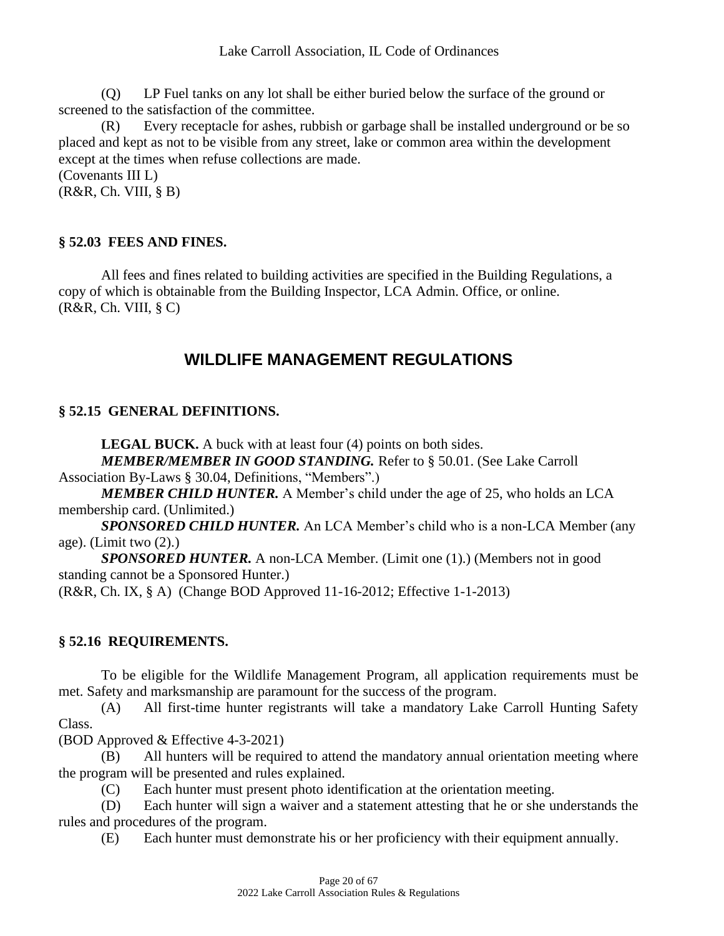(Q) LP Fuel tanks on any lot shall be either buried below the surface of the ground or screened to the satisfaction of the committee.

(R) Every receptacle for ashes, rubbish or garbage shall be installed underground or be so placed and kept as not to be visible from any street, lake or common area within the development except at the times when refuse collections are made.

(Covenants III L)

 $(R&R, Ch. VIII, § B)$ 

#### **§ 52.03 FEES AND FINES.**

All fees and fines related to building activities are specified in the Building Regulations, a copy of which is obtainable from the Building Inspector, LCA Admin. Office, or online.  $(R&R, Ch. VIII, § C)$ 

# **WILDLIFE MANAGEMENT REGULATIONS**

#### **§ 52.15 GENERAL DEFINITIONS.**

**LEGAL BUCK.** A buck with at least four (4) points on both sides. *MEMBER/MEMBER IN GOOD STANDING.* Refer to § 50.01. (See Lake Carroll

Association By-Laws § 30.04, Definitions, "Members".)

*MEMBER CHILD HUNTER.* A Member's child under the age of 25, who holds an LCA membership card. (Unlimited.)

*SPONSORED CHILD HUNTER.* An LCA Member's child who is a non-LCA Member (any age). (Limit two (2).)

*SPONSORED HUNTER.* A non-LCA Member. (Limit one (1).) (Members not in good standing cannot be a Sponsored Hunter.)

(R&R, Ch. IX, § A) (Change BOD Approved 11-16-2012; Effective 1-1-2013)

#### **§ 52.16 REQUIREMENTS.**

To be eligible for the Wildlife Management Program, all application requirements must be met. Safety and marksmanship are paramount for the success of the program.

(A) All first-time hunter registrants will take a mandatory Lake Carroll Hunting Safety Class.

(BOD Approved & Effective 4-3-2021)

(B) All hunters will be required to attend the mandatory annual orientation meeting where the program will be presented and rules explained.

(C) Each hunter must present photo identification at the orientation meeting.

(D) Each hunter will sign a waiver and a statement attesting that he or she understands the rules and procedures of the program.

(E) Each hunter must demonstrate his or her proficiency with their equipment annually.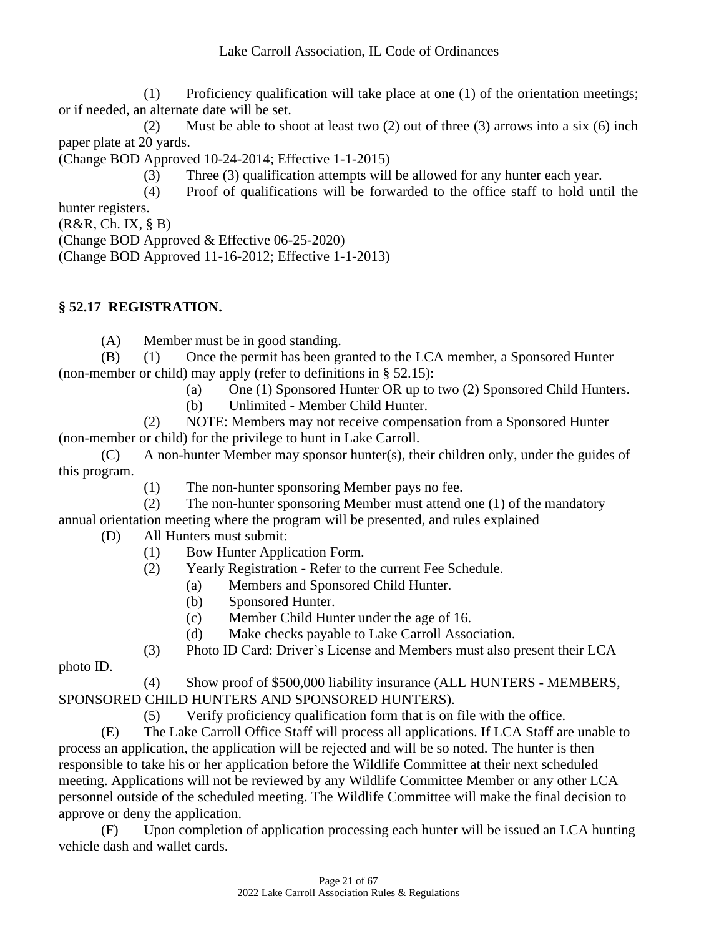(1) Proficiency qualification will take place at one (1) of the orientation meetings; or if needed, an alternate date will be set.

(2) Must be able to shoot at least two (2) out of three (3) arrows into a six (6) inch paper plate at 20 yards.

(Change BOD Approved 10-24-2014; Effective 1-1-2015)

(3) Three (3) qualification attempts will be allowed for any hunter each year.

(4) Proof of qualifications will be forwarded to the office staff to hold until the hunter registers.

(R&R, Ch. IX, § B)

(Change BOD Approved & Effective 06-25-2020)

(Change BOD Approved 11-16-2012; Effective 1-1-2013)

# **§ 52.17 REGISTRATION.**

(A) Member must be in good standing.

(B) (1) Once the permit has been granted to the LCA member, a Sponsored Hunter (non-member or child) may apply (refer to definitions in § 52.15):

(a) One (1) Sponsored Hunter OR up to two (2) Sponsored Child Hunters.

(b) Unlimited - Member Child Hunter.

(2) NOTE: Members may not receive compensation from a Sponsored Hunter (non-member or child) for the privilege to hunt in Lake Carroll.

(C) A non-hunter Member may sponsor hunter(s), their children only, under the guides of this program.

(1) The non-hunter sponsoring Member pays no fee.

(2) The non-hunter sponsoring Member must attend one (1) of the mandatory annual orientation meeting where the program will be presented, and rules explained

- (D) All Hunters must submit:
	- (1) Bow Hunter Application Form.
	- (2) Yearly Registration Refer to the current Fee Schedule.
		- (a) Members and Sponsored Child Hunter.
		- (b) Sponsored Hunter.
		- (c) Member Child Hunter under the age of 16.
		- (d) Make checks payable to Lake Carroll Association.

(3) Photo ID Card: Driver's License and Members must also present their LCA

photo ID.

(4) Show proof of \$500,000 liability insurance (ALL HUNTERS - MEMBERS, SPONSORED CHILD HUNTERS AND SPONSORED HUNTERS).

(5) Verify proficiency qualification form that is on file with the office.

(E) The Lake Carroll Office Staff will process all applications. If LCA Staff are unable to process an application, the application will be rejected and will be so noted. The hunter is then responsible to take his or her application before the Wildlife Committee at their next scheduled meeting. Applications will not be reviewed by any Wildlife Committee Member or any other LCA personnel outside of the scheduled meeting. The Wildlife Committee will make the final decision to approve or deny the application.

(F) Upon completion of application processing each hunter will be issued an LCA hunting vehicle dash and wallet cards.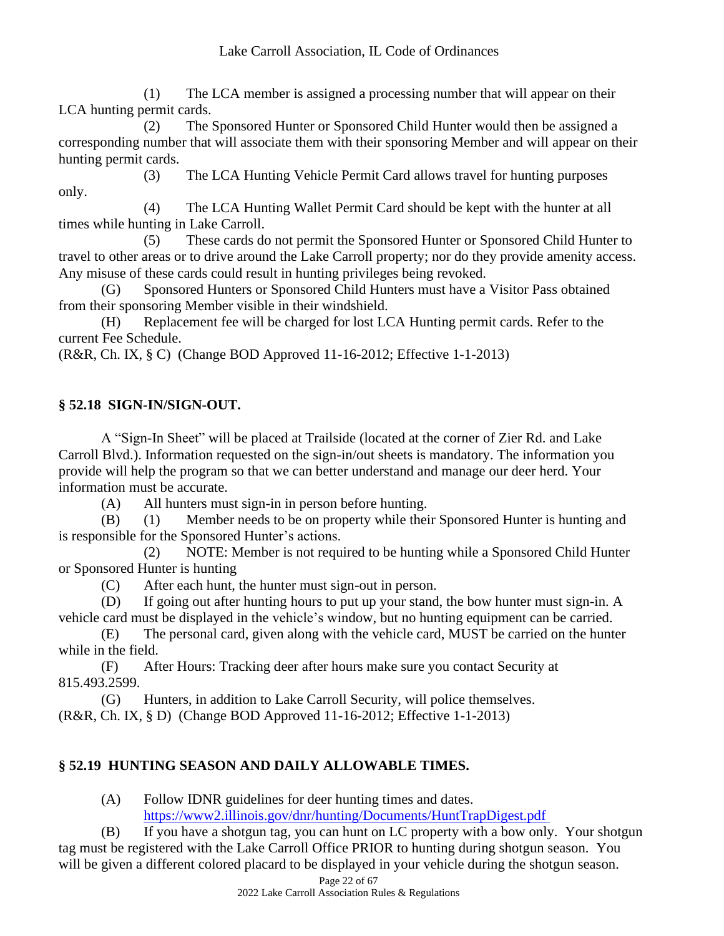(1) The LCA member is assigned a processing number that will appear on their LCA hunting permit cards.

(2) The Sponsored Hunter or Sponsored Child Hunter would then be assigned a corresponding number that will associate them with their sponsoring Member and will appear on their hunting permit cards.

(3) The LCA Hunting Vehicle Permit Card allows travel for hunting purposes only.

(4) The LCA Hunting Wallet Permit Card should be kept with the hunter at all times while hunting in Lake Carroll.

(5) These cards do not permit the Sponsored Hunter or Sponsored Child Hunter to travel to other areas or to drive around the Lake Carroll property; nor do they provide amenity access. Any misuse of these cards could result in hunting privileges being revoked.

(G) Sponsored Hunters or Sponsored Child Hunters must have a Visitor Pass obtained from their sponsoring Member visible in their windshield.

(H) Replacement fee will be charged for lost LCA Hunting permit cards. Refer to the current Fee Schedule.

(R&R, Ch. IX, § C) (Change BOD Approved 11-16-2012; Effective 1-1-2013)

# **§ 52.18 SIGN-IN/SIGN-OUT.**

A "Sign-In Sheet" will be placed at Trailside (located at the corner of Zier Rd. and Lake Carroll Blvd.). Information requested on the sign-in/out sheets is mandatory. The information you provide will help the program so that we can better understand and manage our deer herd. Your information must be accurate.

(A) All hunters must sign-in in person before hunting.

(B) (1) Member needs to be on property while their Sponsored Hunter is hunting and is responsible for the Sponsored Hunter's actions.

(2) NOTE: Member is not required to be hunting while a Sponsored Child Hunter or Sponsored Hunter is hunting

(C) After each hunt, the hunter must sign-out in person.

(D) If going out after hunting hours to put up your stand, the bow hunter must sign-in. A vehicle card must be displayed in the vehicle's window, but no hunting equipment can be carried.

(E) The personal card, given along with the vehicle card, MUST be carried on the hunter while in the field.

(F) After Hours: Tracking deer after hours make sure you contact Security at 815.493.2599.

(G) Hunters, in addition to Lake Carroll Security, will police themselves. (R&R, Ch. IX, § D) (Change BOD Approved 11-16-2012; Effective 1-1-2013)

# **§ 52.19 HUNTING SEASON AND DAILY ALLOWABLE TIMES.**

(A) Follow IDNR guidelines for deer hunting times and dates. <https://www2.illinois.gov/dnr/hunting/Documents/HuntTrapDigest.pdf>

(B) If you have a shotgun tag, you can hunt on LC property with a bow only. Your shotgun tag must be registered with the Lake Carroll Office PRIOR to hunting during shotgun season. You will be given a different colored placard to be displayed in your vehicle during the shotgun season.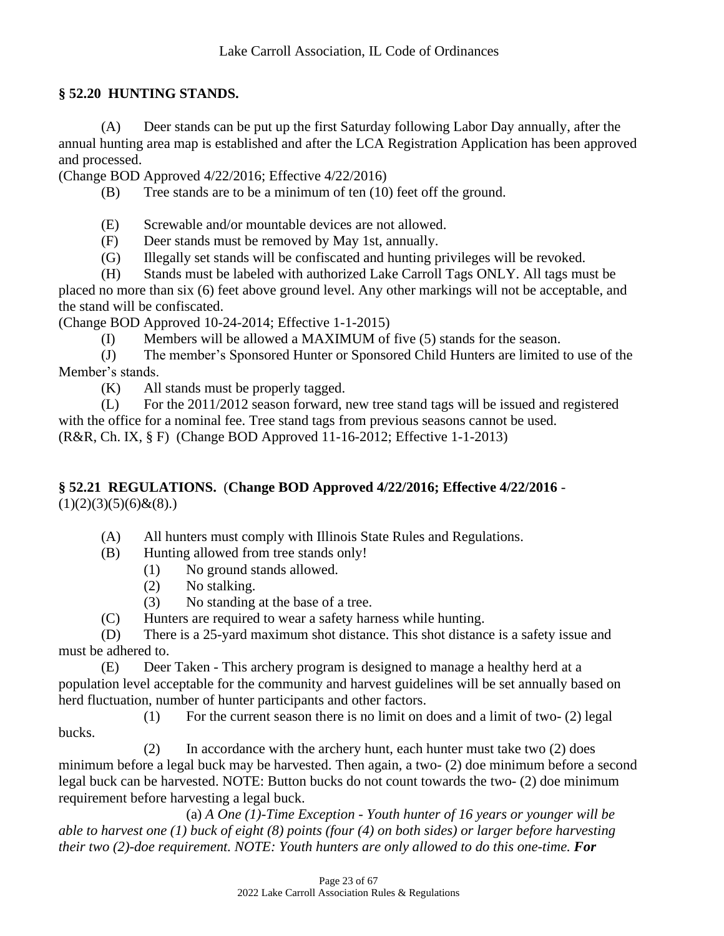#### **§ 52.20 HUNTING STANDS.**

(A) Deer stands can be put up the first Saturday following Labor Day annually, after the annual hunting area map is established and after the LCA Registration Application has been approved and processed.

(Change BOD Approved 4/22/2016; Effective 4/22/2016)

(B) Tree stands are to be a minimum of ten (10) feet off the ground.

(E) Screwable and/or mountable devices are not allowed.

(F) Deer stands must be removed by May 1st, annually.

(G) Illegally set stands will be confiscated and hunting privileges will be revoked.

(H) Stands must be labeled with authorized Lake Carroll Tags ONLY. All tags must be

placed no more than six (6) feet above ground level. Any other markings will not be acceptable, and the stand will be confiscated.

(Change BOD Approved 10-24-2014; Effective 1-1-2015)

(I) Members will be allowed a MAXIMUM of five (5) stands for the season.

(J) The member's Sponsored Hunter or Sponsored Child Hunters are limited to use of the Member's stands.

(K) All stands must be properly tagged.

(L) For the 2011/2012 season forward, new tree stand tags will be issued and registered with the office for a nominal fee. Tree stand tags from previous seasons cannot be used. (R&R, Ch. IX, § F) (Change BOD Approved 11-16-2012; Effective 1-1-2013)

#### **§ 52.21 REGULATIONS.** (**Change BOD Approved 4/22/2016; Effective 4/22/2016** -  $(1)(2)(3)(5)(6)$ & $(8)$ .)

(A) All hunters must comply with Illinois State Rules and Regulations.

(B) Hunting allowed from tree stands only!

- (1) No ground stands allowed.
- (2) No stalking.
- (3) No standing at the base of a tree.
- (C) Hunters are required to wear a safety harness while hunting.

(D) There is a 25-yard maximum shot distance. This shot distance is a safety issue and must be adhered to.

(E) Deer Taken - This archery program is designed to manage a healthy herd at a population level acceptable for the community and harvest guidelines will be set annually based on herd fluctuation, number of hunter participants and other factors.

 $(1)$  For the current season there is no limit on does and a limit of two-  $(2)$  legal bucks.

(2) In accordance with the archery hunt, each hunter must take two (2) does minimum before a legal buck may be harvested. Then again, a two- (2) doe minimum before a second legal buck can be harvested. NOTE: Button bucks do not count towards the two- (2) doe minimum requirement before harvesting a legal buck.

(a) *A One (1)-Time Exception - Youth hunter of 16 years or younger will be able to harvest one (1) buck of eight (8) points (four (4) on both sides) or larger before harvesting their two (2)-doe requirement. NOTE: Youth hunters are only allowed to do this one-time. For*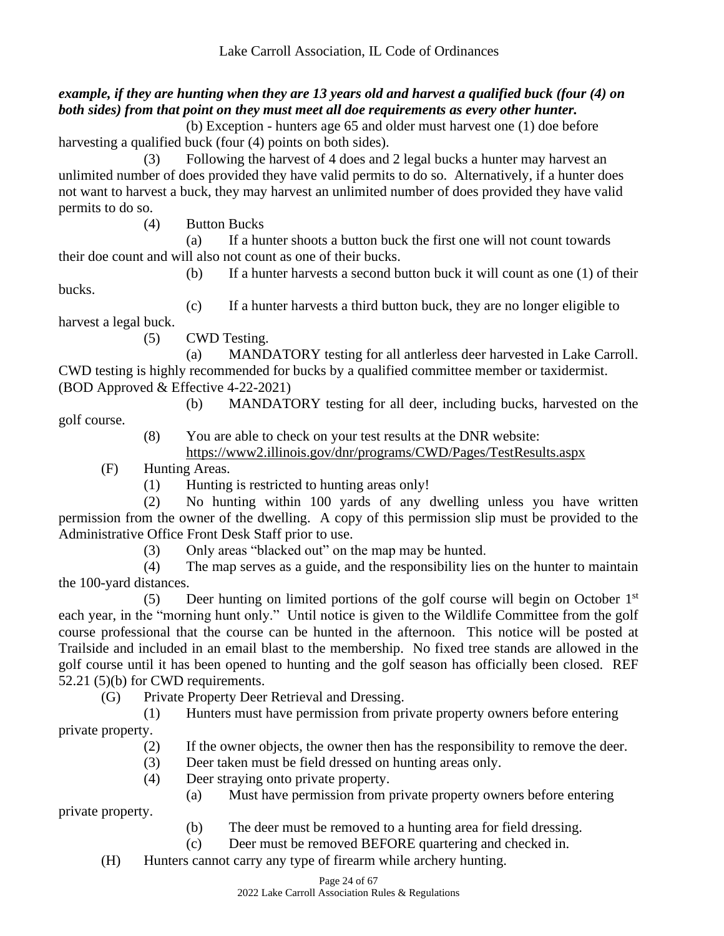# *example, if they are hunting when they are 13 years old and harvest a qualified buck (four (4) on both sides) from that point on they must meet all doe requirements as every other hunter.*

(b) Exception - hunters age 65 and older must harvest one (1) doe before harvesting a qualified buck (four (4) points on both sides).

(3) Following the harvest of 4 does and 2 legal bucks a hunter may harvest an unlimited number of does provided they have valid permits to do so. Alternatively, if a hunter does not want to harvest a buck, they may harvest an unlimited number of does provided they have valid permits to do so.

(4) Button Bucks

(a) If a hunter shoots a button buck the first one will not count towards their doe count and will also not count as one of their bucks.

(b) If a hunter harvests a second button buck it will count as one (1) of their

bucks.

(c) If a hunter harvests a third button buck, they are no longer eligible to harvest a legal buck.

(5) CWD Testing.

(a) MANDATORY testing for all antlerless deer harvested in Lake Carroll. CWD testing is highly recommended for bucks by a qualified committee member or taxidermist. (BOD Approved & Effective 4-22-2021)

(b) MANDATORY testing for all deer, including bucks, harvested on the

golf course.

private property.

(8) You are able to check on your test results at the DNR website: https://www2.illinois.gov/dnr/programs/CWD/Pages/TestResults.aspx

(F) Hunting Areas.

(1) Hunting is restricted to hunting areas only!

(2) No hunting within 100 yards of any dwelling unless you have written permission from the owner of the dwelling. A copy of this permission slip must be provided to the Administrative Office Front Desk Staff prior to use.

(3) Only areas "blacked out" on the map may be hunted.

(4) The map serves as a guide, and the responsibility lies on the hunter to maintain the 100-yard distances.

(5) Deer hunting on limited portions of the golf course will begin on October 1 st each year, in the "morning hunt only." Until notice is given to the Wildlife Committee from the golf course professional that the course can be hunted in the afternoon. This notice will be posted at Trailside and included in an email blast to the membership. No fixed tree stands are allowed in the golf course until it has been opened to hunting and the golf season has officially been closed. REF 52.21 (5)(b) for CWD requirements.

(G) Private Property Deer Retrieval and Dressing.

(1) Hunters must have permission from private property owners before entering private property.

- (2) If the owner objects, the owner then has the responsibility to remove the deer.
- (3) Deer taken must be field dressed on hunting areas only.
- (4) Deer straying onto private property.

(a) Must have permission from private property owners before entering

(b) The deer must be removed to a hunting area for field dressing.

- (c) Deer must be removed BEFORE quartering and checked in.
- (H) Hunters cannot carry any type of firearm while archery hunting.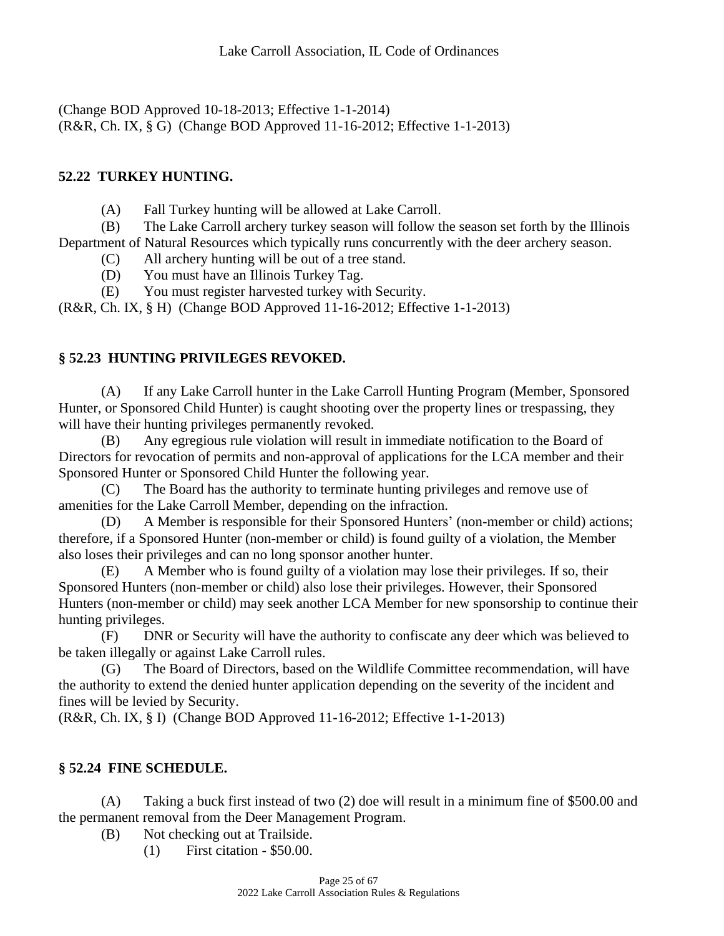(Change BOD Approved 10-18-2013; Effective 1-1-2014) (R&R, Ch. IX, § G) (Change BOD Approved 11-16-2012; Effective 1-1-2013)

# **52.22 TURKEY HUNTING.**

(A) Fall Turkey hunting will be allowed at Lake Carroll.

(B) The Lake Carroll archery turkey season will follow the season set forth by the Illinois Department of Natural Resources which typically runs concurrently with the deer archery season.

(C) All archery hunting will be out of a tree stand.

(D) You must have an Illinois Turkey Tag.

(E) You must register harvested turkey with Security.

(R&R, Ch. IX, § H) (Change BOD Approved 11-16-2012; Effective 1-1-2013)

# **§ 52.23 HUNTING PRIVILEGES REVOKED.**

(A) If any Lake Carroll hunter in the Lake Carroll Hunting Program (Member, Sponsored Hunter, or Sponsored Child Hunter) is caught shooting over the property lines or trespassing, they will have their hunting privileges permanently revoked.

(B) Any egregious rule violation will result in immediate notification to the Board of Directors for revocation of permits and non-approval of applications for the LCA member and their Sponsored Hunter or Sponsored Child Hunter the following year.

(C) The Board has the authority to terminate hunting privileges and remove use of amenities for the Lake Carroll Member, depending on the infraction.

(D) A Member is responsible for their Sponsored Hunters' (non-member or child) actions; therefore, if a Sponsored Hunter (non-member or child) is found guilty of a violation, the Member also loses their privileges and can no long sponsor another hunter.

(E) A Member who is found guilty of a violation may lose their privileges. If so, their Sponsored Hunters (non-member or child) also lose their privileges. However, their Sponsored Hunters (non-member or child) may seek another LCA Member for new sponsorship to continue their hunting privileges.

(F) DNR or Security will have the authority to confiscate any deer which was believed to be taken illegally or against Lake Carroll rules.

(G) The Board of Directors, based on the Wildlife Committee recommendation, will have the authority to extend the denied hunter application depending on the severity of the incident and fines will be levied by Security.

(R&R, Ch. IX, § I) (Change BOD Approved 11-16-2012; Effective 1-1-2013)

# **§ 52.24 FINE SCHEDULE.**

(A) Taking a buck first instead of two (2) doe will result in a minimum fine of \$500.00 and the permanent removal from the Deer Management Program.

(B) Not checking out at Trailside.

(1) First citation - \$50.00.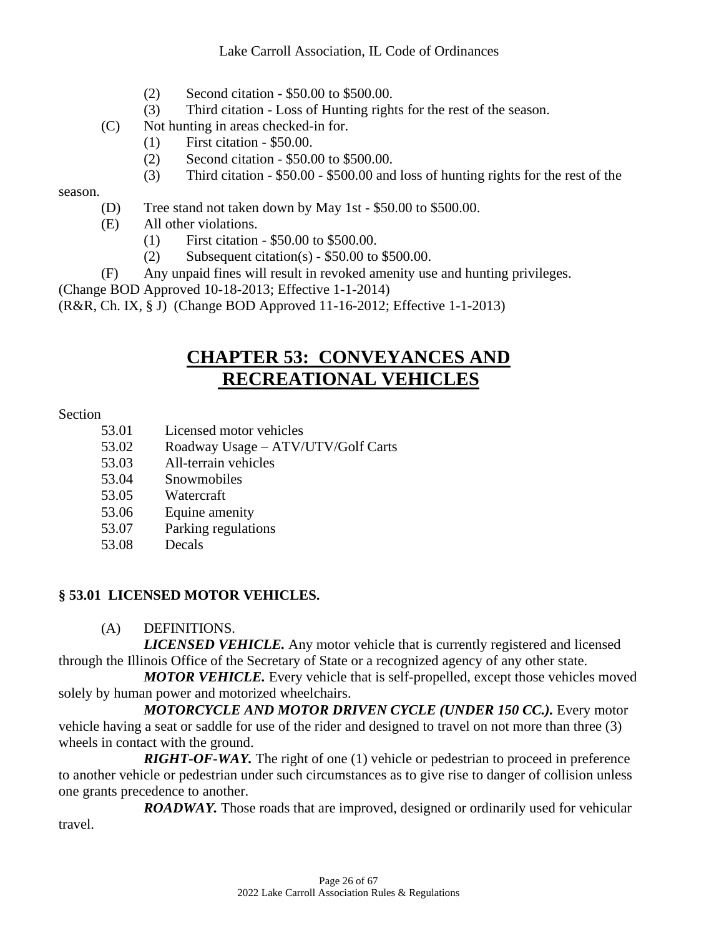- (2) Second citation \$50.00 to \$500.00.
- (3) Third citation Loss of Hunting rights for the rest of the season.
- (C) Not hunting in areas checked-in for.
	- (1) First citation \$50.00.
	- (2) Second citation \$50.00 to \$500.00.
	- (3) Third citation \$50.00 \$500.00 and loss of hunting rights for the rest of the

#### season.

- (D) Tree stand not taken down by May 1st \$50.00 to \$500.00.
- (E) All other violations.
	- (1) First citation \$50.00 to \$500.00.
	- (2) Subsequent citation(s)  $$50.00$  to  $$500.00$ .
- (F) Any unpaid fines will result in revoked amenity use and hunting privileges.

(Change BOD Approved 10-18-2013; Effective 1-1-2014)

(R&R, Ch. IX, § J) (Change BOD Approved 11-16-2012; Effective 1-1-2013)

# **CHAPTER 53: CONVEYANCES AND RECREATIONAL VEHICLES**

#### Section

- 53.01 Licensed motor vehicles
- 53.02 Roadway Usage ATV/UTV/Golf Carts
- 53.03 All-terrain vehicles
- 53.04 Snowmobiles
- 53.05 Watercraft
- 53.06 Equine amenity
- 53.07 Parking regulations
- 53.08 Decals

#### **§ 53.01 LICENSED MOTOR VEHICLES.**

#### (A) DEFINITIONS.

*LICENSED VEHICLE.* Any motor vehicle that is currently registered and licensed through the Illinois Office of the Secretary of State or a recognized agency of any other state.

*MOTOR VEHICLE.* Every vehicle that is self-propelled, except those vehicles moved solely by human power and motorized wheelchairs.

*MOTORCYCLE AND MOTOR DRIVEN CYCLE (UNDER 150 CC.).* Every motor vehicle having a seat or saddle for use of the rider and designed to travel on not more than three (3) wheels in contact with the ground.

*RIGHT-OF-WAY.* The right of one (1) vehicle or pedestrian to proceed in preference to another vehicle or pedestrian under such circumstances as to give rise to danger of collision unless one grants precedence to another.

*ROADWAY.* Those roads that are improved, designed or ordinarily used for vehicular travel.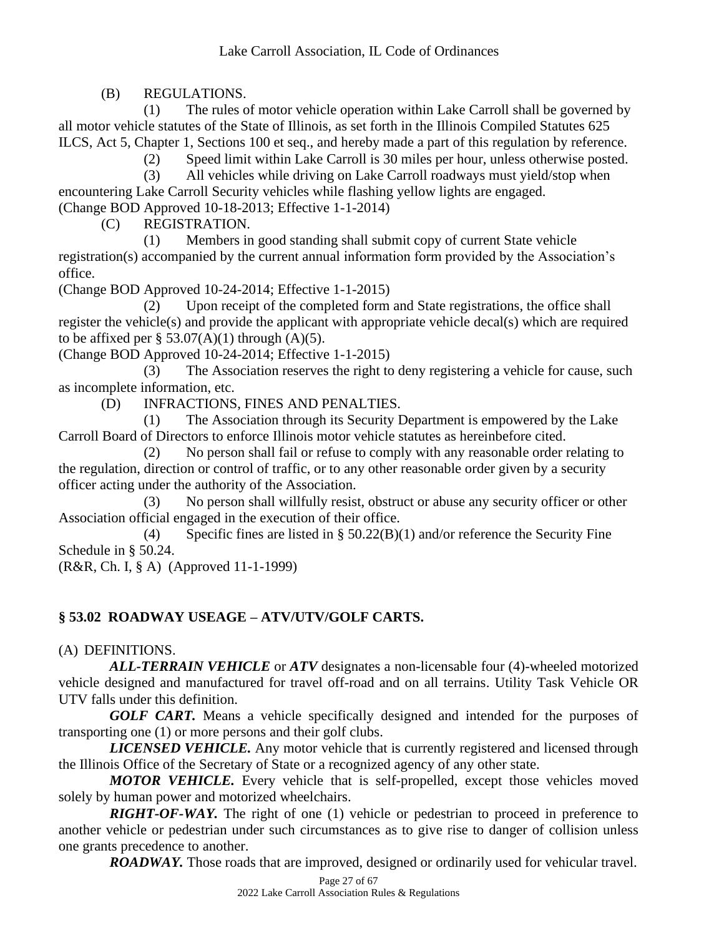(B) REGULATIONS.

(1) The rules of motor vehicle operation within Lake Carroll shall be governed by all motor vehicle statutes of the State of Illinois, as set forth in the Illinois Compiled Statutes 625 ILCS, Act 5, Chapter 1, Sections 100 et seq., and hereby made a part of this regulation by reference.

(2) Speed limit within Lake Carroll is 30 miles per hour, unless otherwise posted.

(3) All vehicles while driving on Lake Carroll roadways must yield/stop when encountering Lake Carroll Security vehicles while flashing yellow lights are engaged. (Change BOD Approved 10-18-2013; Effective 1-1-2014)

(C) REGISTRATION.

(1) Members in good standing shall submit copy of current State vehicle registration(s) accompanied by the current annual information form provided by the Association's office.

(Change BOD Approved 10-24-2014; Effective 1-1-2015)

(2) Upon receipt of the completed form and State registrations, the office shall register the vehicle(s) and provide the applicant with appropriate vehicle decal(s) which are required to be affixed per  $\S$  53.07(A)(1) through (A)(5).

(Change BOD Approved 10-24-2014; Effective 1-1-2015)

(3) The Association reserves the right to deny registering a vehicle for cause, such as incomplete information, etc.

(D) INFRACTIONS, FINES AND PENALTIES.

(1) The Association through its Security Department is empowered by the Lake Carroll Board of Directors to enforce Illinois motor vehicle statutes as hereinbefore cited.

(2) No person shall fail or refuse to comply with any reasonable order relating to the regulation, direction or control of traffic, or to any other reasonable order given by a security officer acting under the authority of the Association.

(3) No person shall willfully resist, obstruct or abuse any security officer or other Association official engaged in the execution of their office.

(4) Specific fines are listed in  $\S 50.22(B)(1)$  and/or reference the Security Fine Schedule in § 50.24.

(R&R, Ch. I, § A) (Approved 11-1-1999)

# **§ 53.02 ROADWAY USEAGE – ATV/UTV/GOLF CARTS.**

(A) DEFINITIONS.

*ALL-TERRAIN VEHICLE* or *ATV* designates a non-licensable four (4)-wheeled motorized vehicle designed and manufactured for travel off-road and on all terrains. Utility Task Vehicle OR UTV falls under this definition.

*GOLF CART.* Means a vehicle specifically designed and intended for the purposes of transporting one (1) or more persons and their golf clubs.

*LICENSED VEHICLE.* Any motor vehicle that is currently registered and licensed through the Illinois Office of the Secretary of State or a recognized agency of any other state.

*MOTOR VEHICLE.* Every vehicle that is self-propelled, except those vehicles moved solely by human power and motorized wheelchairs.

*RIGHT-OF-WAY.* The right of one (1) vehicle or pedestrian to proceed in preference to another vehicle or pedestrian under such circumstances as to give rise to danger of collision unless one grants precedence to another.

*ROADWAY.* Those roads that are improved, designed or ordinarily used for vehicular travel.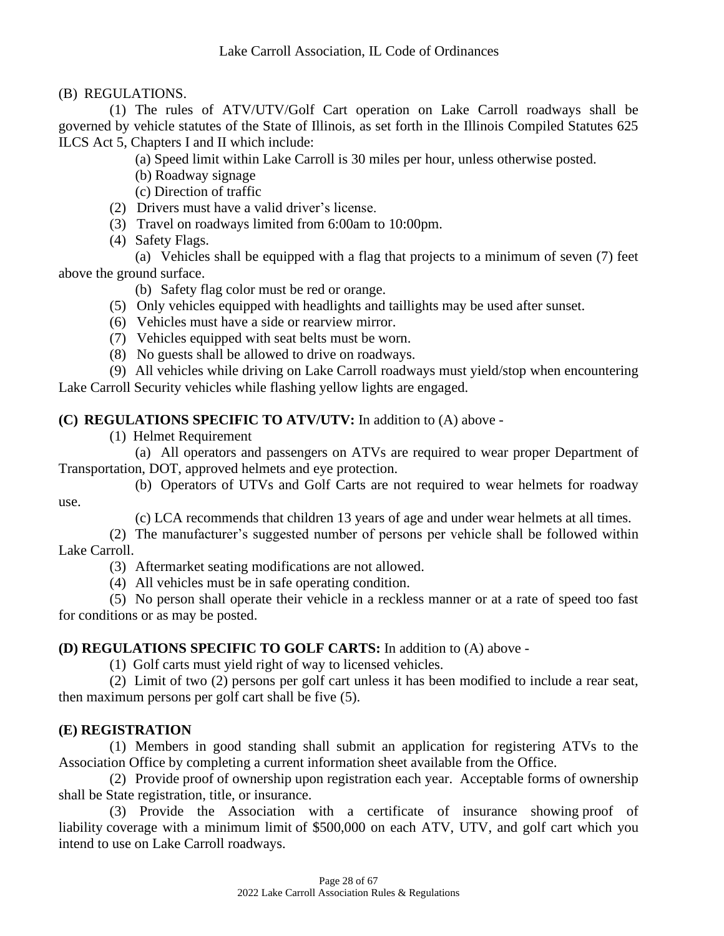(B) REGULATIONS.

(1) The rules of ATV/UTV/Golf Cart operation on Lake Carroll roadways shall be governed by vehicle statutes of the State of Illinois, as set forth in the Illinois Compiled Statutes 625 ILCS Act 5, Chapters I and II which include:

(a) Speed limit within Lake Carroll is 30 miles per hour, unless otherwise posted.

(b) Roadway signage

(c) Direction of traffic

- (2) Drivers must have a valid driver's license.
- (3) Travel on roadways limited from 6:00am to 10:00pm.
- (4) Safety Flags.

(a) Vehicles shall be equipped with a flag that projects to a minimum of seven (7) feet above the ground surface.

(b) Safety flag color must be red or orange.

- (5) Only vehicles equipped with headlights and taillights may be used after sunset.
- (6) Vehicles must have a side or rearview mirror.
- (7) Vehicles equipped with seat belts must be worn.
- (8) No guests shall be allowed to drive on roadways.

(9) All vehicles while driving on Lake Carroll roadways must yield/stop when encountering Lake Carroll Security vehicles while flashing yellow lights are engaged.

# **(C) REGULATIONS SPECIFIC TO ATV/UTV:** In addition to (A) above -

(1) Helmet Requirement

(a) All operators and passengers on ATVs are required to wear proper Department of Transportation, DOT, approved helmets and eye protection.

(b) Operators of UTVs and Golf Carts are not required to wear helmets for roadway use.

(c) LCA recommends that children 13 years of age and under wear helmets at all times.

(2) The manufacturer's suggested number of persons per vehicle shall be followed within Lake Carroll.

(3) Aftermarket seating modifications are not allowed.

(4) All vehicles must be in safe operating condition.

(5) No person shall operate their vehicle in a reckless manner or at a rate of speed too fast for conditions or as may be posted.

#### **(D) REGULATIONS SPECIFIC TO GOLF CARTS:** In addition to (A) above -

(1) Golf carts must yield right of way to licensed vehicles.

(2) Limit of two (2) persons per golf cart unless it has been modified to include a rear seat, then maximum persons per golf cart shall be five (5).

# **(E) REGISTRATION**

(1) Members in good standing shall submit an application for registering ATVs to the Association Office by completing a current information sheet available from the Office.

(2) Provide proof of ownership upon registration each year. Acceptable forms of ownership shall be State registration, title, or insurance.

(3) Provide the Association with a certificate of insurance showing proof of liability coverage with a minimum limit of \$500,000 on each ATV, UTV, and golf cart which you intend to use on Lake Carroll roadways.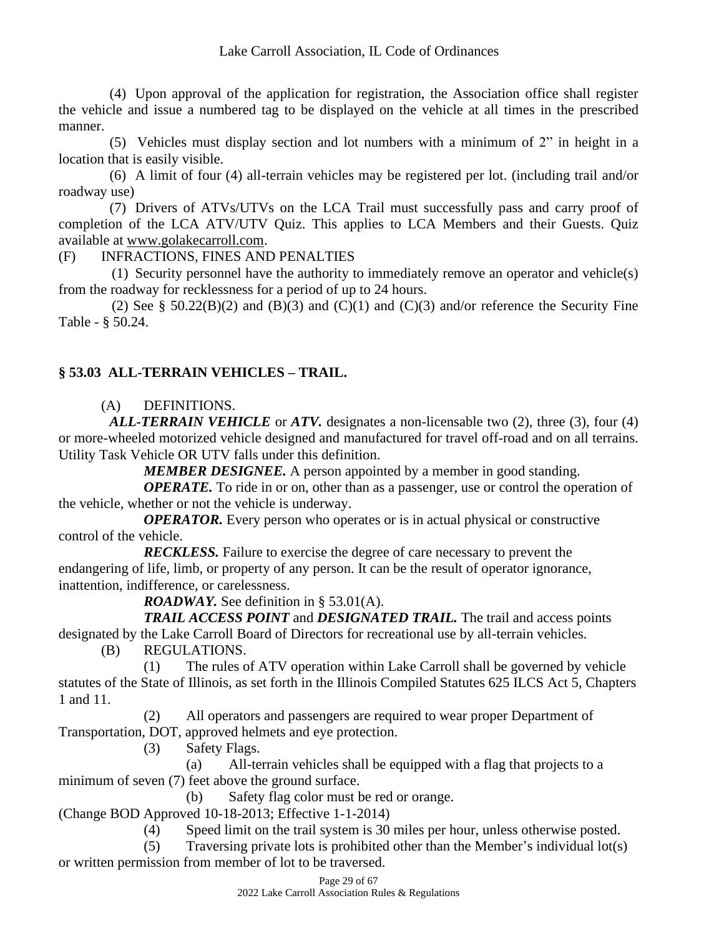(4) Upon approval of the application for registration, the Association office shall register the vehicle and issue a numbered tag to be displayed on the vehicle at all times in the prescribed manner.

(5) Vehicles must display section and lot numbers with a minimum of 2" in height in a location that is easily visible.

(6) A limit of four (4) all-terrain vehicles may be registered per lot. (including trail and/or roadway use)

(7) Drivers of ATVs/UTVs on the LCA Trail must successfully pass and carry proof of completion of the LCA ATV/UTV Quiz. This applies to LCA Members and their Guests. Quiz available at [www.golakecarroll.com.](http://www.golakecarroll.com/)

(F) INFRACTIONS, FINES AND PENALTIES

(1) Security personnel have the authority to immediately remove an operator and vehicle(s) from the roadway for recklessness for a period of up to 24 hours.

(2) See § 50.22(B)(2) and (B)(3) and (C)(1) and (C)(3) and/or reference the Security Fine Table - § 50.24.

# **§ 53.03 ALL-TERRAIN VEHICLES – TRAIL.**

# (A) DEFINITIONS.

*ALL-TERRAIN VEHICLE* or *ATV.* designates a non-licensable two (2), three (3), four (4) or more-wheeled motorized vehicle designed and manufactured for travel off-road and on all terrains. Utility Task Vehicle OR UTV falls under this definition.

*MEMBER DESIGNEE.* A person appointed by a member in good standing.

*OPERATE*. To ride in or on, other than as a passenger, use or control the operation of the vehicle, whether or not the vehicle is underway.

*OPERATOR.* Every person who operates or is in actual physical or constructive control of the vehicle.

*RECKLESS.* Failure to exercise the degree of care necessary to prevent the endangering of life, limb, or property of any person. It can be the result of operator ignorance, inattention, indifference, or carelessness.

*ROADWAY.* See definition in § 53.01(A).

*TRAIL ACCESS POINT* and *DESIGNATED TRAIL.* The trail and access points designated by the Lake Carroll Board of Directors for recreational use by all-terrain vehicles.

(B) REGULATIONS.

(1) The rules of ATV operation within Lake Carroll shall be governed by vehicle statutes of the State of Illinois, as set forth in the Illinois Compiled Statutes 625 ILCS Act 5, Chapters 1 and 11.

(2) All operators and passengers are required to wear proper Department of Transportation, DOT, approved helmets and eye protection.

(3) Safety Flags.

(a) All-terrain vehicles shall be equipped with a flag that projects to a minimum of seven (7) feet above the ground surface.

(b) Safety flag color must be red or orange.

(Change BOD Approved 10-18-2013; Effective 1-1-2014)

(4) Speed limit on the trail system is 30 miles per hour, unless otherwise posted.

(5) Traversing private lots is prohibited other than the Member's individual lot(s) or written permission from member of lot to be traversed.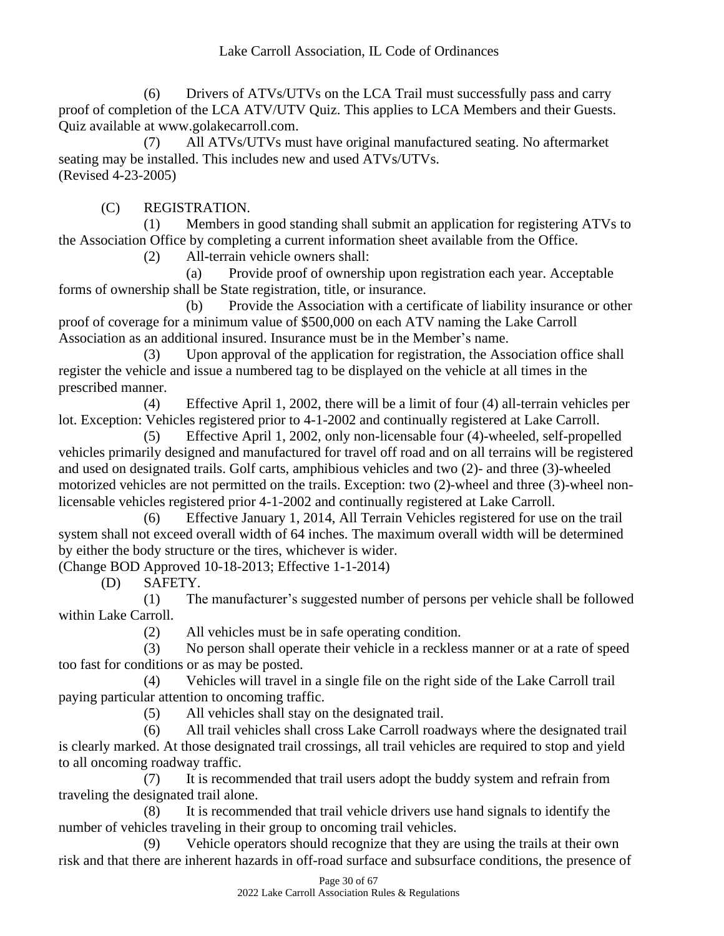(6) Drivers of ATVs/UTVs on the LCA Trail must successfully pass and carry proof of completion of the LCA ATV/UTV Quiz. This applies to LCA Members and their Guests. Quiz available at www.golakecarroll.com.

(7) All ATVs/UTVs must have original manufactured seating. No aftermarket seating may be installed. This includes new and used ATVs/UTVs. (Revised 4-23-2005)

(C) REGISTRATION.

(1) Members in good standing shall submit an application for registering ATVs to the Association Office by completing a current information sheet available from the Office.

(2) All-terrain vehicle owners shall:

(a) Provide proof of ownership upon registration each year. Acceptable forms of ownership shall be State registration, title, or insurance.

(b) Provide the Association with a certificate of liability insurance or other proof of coverage for a minimum value of \$500,000 on each ATV naming the Lake Carroll Association as an additional insured. Insurance must be in the Member's name.

(3) Upon approval of the application for registration, the Association office shall register the vehicle and issue a numbered tag to be displayed on the vehicle at all times in the prescribed manner.

(4) Effective April 1, 2002, there will be a limit of four (4) all-terrain vehicles per lot. Exception: Vehicles registered prior to 4-1-2002 and continually registered at Lake Carroll.

(5) Effective April 1, 2002, only non-licensable four (4)-wheeled, self-propelled vehicles primarily designed and manufactured for travel off road and on all terrains will be registered and used on designated trails. Golf carts, amphibious vehicles and two (2)- and three (3)-wheeled motorized vehicles are not permitted on the trails. Exception: two (2)-wheel and three (3)-wheel nonlicensable vehicles registered prior 4-1-2002 and continually registered at Lake Carroll.

(6) Effective January 1, 2014, All Terrain Vehicles registered for use on the trail system shall not exceed overall width of 64 inches. The maximum overall width will be determined by either the body structure or the tires, whichever is wider.

(Change BOD Approved 10-18-2013; Effective 1-1-2014)

(D) SAFETY.

(1) The manufacturer's suggested number of persons per vehicle shall be followed within Lake Carroll.

(2) All vehicles must be in safe operating condition.

(3) No person shall operate their vehicle in a reckless manner or at a rate of speed too fast for conditions or as may be posted.

(4) Vehicles will travel in a single file on the right side of the Lake Carroll trail paying particular attention to oncoming traffic.

(5) All vehicles shall stay on the designated trail.

(6) All trail vehicles shall cross Lake Carroll roadways where the designated trail is clearly marked. At those designated trail crossings, all trail vehicles are required to stop and yield to all oncoming roadway traffic.

(7) It is recommended that trail users adopt the buddy system and refrain from traveling the designated trail alone.

(8) It is recommended that trail vehicle drivers use hand signals to identify the number of vehicles traveling in their group to oncoming trail vehicles.

(9) Vehicle operators should recognize that they are using the trails at their own risk and that there are inherent hazards in off-road surface and subsurface conditions, the presence of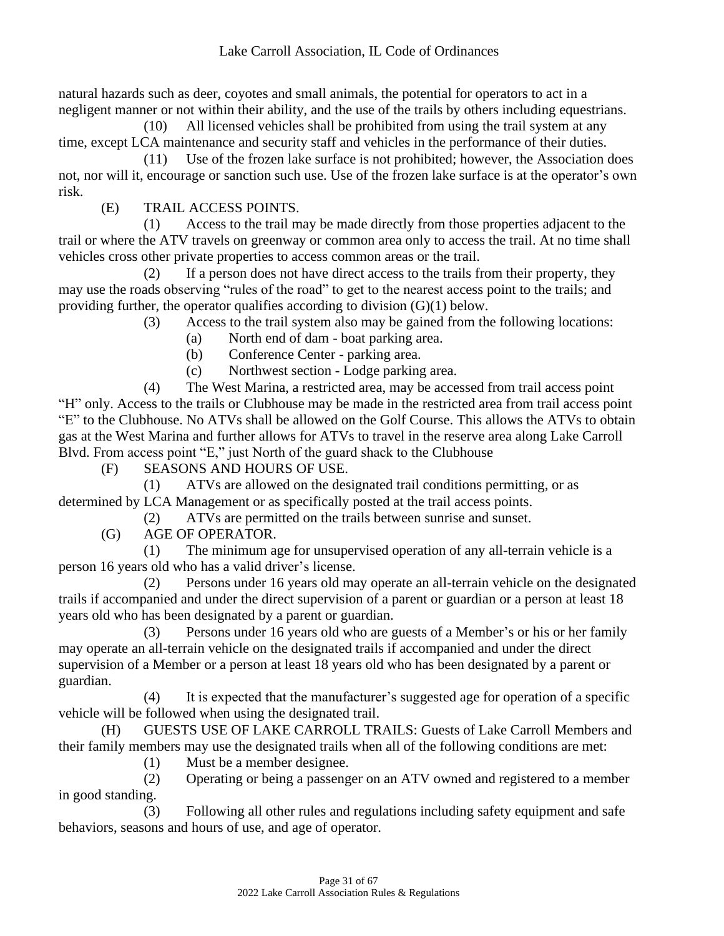natural hazards such as deer, coyotes and small animals, the potential for operators to act in a negligent manner or not within their ability, and the use of the trails by others including equestrians.

(10) All licensed vehicles shall be prohibited from using the trail system at any time, except LCA maintenance and security staff and vehicles in the performance of their duties.

(11) Use of the frozen lake surface is not prohibited; however, the Association does not, nor will it, encourage or sanction such use. Use of the frozen lake surface is at the operator's own risk.

(E) TRAIL ACCESS POINTS.

(1) Access to the trail may be made directly from those properties adjacent to the trail or where the ATV travels on greenway or common area only to access the trail. At no time shall vehicles cross other private properties to access common areas or the trail.

(2) If a person does not have direct access to the trails from their property, they may use the roads observing "rules of the road" to get to the nearest access point to the trails; and providing further, the operator qualifies according to division (G)(1) below.

(3) Access to the trail system also may be gained from the following locations:

- (a) North end of dam boat parking area.
- (b) Conference Center parking area.
- (c) Northwest section Lodge parking area.

(4) The West Marina, a restricted area, may be accessed from trail access point "H" only. Access to the trails or Clubhouse may be made in the restricted area from trail access point "E" to the Clubhouse. No ATVs shall be allowed on the Golf Course. This allows the ATVs to obtain gas at the West Marina and further allows for ATVs to travel in the reserve area along Lake Carroll Blvd. From access point "E," just North of the guard shack to the Clubhouse

(F) SEASONS AND HOURS OF USE.

(1) ATVs are allowed on the designated trail conditions permitting, or as determined by LCA Management or as specifically posted at the trail access points.

(2) ATVs are permitted on the trails between sunrise and sunset.

(G) AGE OF OPERATOR.

(1) The minimum age for unsupervised operation of any all-terrain vehicle is a person 16 years old who has a valid driver's license.

(2) Persons under 16 years old may operate an all-terrain vehicle on the designated trails if accompanied and under the direct supervision of a parent or guardian or a person at least 18 years old who has been designated by a parent or guardian.

(3) Persons under 16 years old who are guests of a Member's or his or her family may operate an all-terrain vehicle on the designated trails if accompanied and under the direct supervision of a Member or a person at least 18 years old who has been designated by a parent or guardian.

(4) It is expected that the manufacturer's suggested age for operation of a specific vehicle will be followed when using the designated trail.

(H) GUESTS USE OF LAKE CARROLL TRAILS: Guests of Lake Carroll Members and their family members may use the designated trails when all of the following conditions are met:

(1) Must be a member designee.

(2) Operating or being a passenger on an ATV owned and registered to a member in good standing.

(3) Following all other rules and regulations including safety equipment and safe behaviors, seasons and hours of use, and age of operator.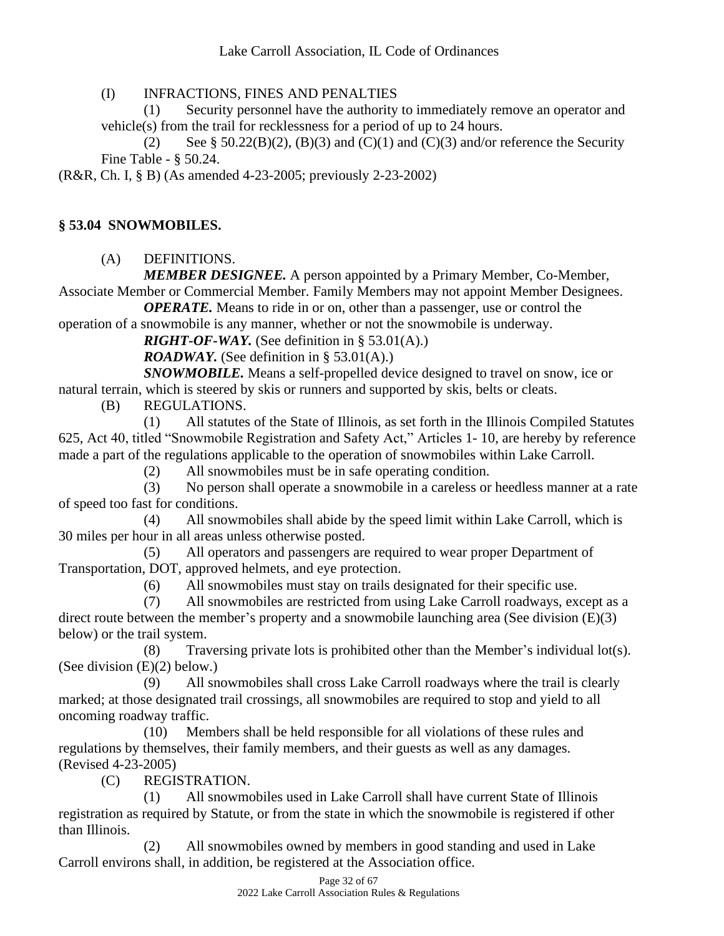(I) INFRACTIONS, FINES AND PENALTIES

(1) Security personnel have the authority to immediately remove an operator and vehicle(s) from the trail for recklessness for a period of up to 24 hours.

(2) See § 50.22(B)(2), (B)(3) and (C)(1) and (C)(3) and/or reference the Security Fine Table - § 50.24.

(R&R, Ch. I, § B) (As amended 4-23-2005; previously 2-23-2002)

## **§ 53.04 SNOWMOBILES.**

(A) DEFINITIONS.

*MEMBER DESIGNEE.* A person appointed by a Primary Member, Co-Member, Associate Member or Commercial Member. Family Members may not appoint Member Designees.

*OPERATE.* Means to ride in or on, other than a passenger, use or control the

operation of a snowmobile is any manner, whether or not the snowmobile is underway.

*RIGHT-OF-WAY.* (See definition in § 53.01(A).)

*ROADWAY.* (See definition in § 53.01(A).)

*SNOWMOBILE.* Means a self-propelled device designed to travel on snow, ice or natural terrain, which is steered by skis or runners and supported by skis, belts or cleats.

(B) REGULATIONS.

(1) All statutes of the State of Illinois, as set forth in the Illinois Compiled Statutes 625, Act 40, titled "Snowmobile Registration and Safety Act," Articles 1- 10, are hereby by reference made a part of the regulations applicable to the operation of snowmobiles within Lake Carroll.

(2) All snowmobiles must be in safe operating condition.

(3) No person shall operate a snowmobile in a careless or heedless manner at a rate of speed too fast for conditions.

(4) All snowmobiles shall abide by the speed limit within Lake Carroll, which is 30 miles per hour in all areas unless otherwise posted.

(5) All operators and passengers are required to wear proper Department of Transportation, DOT, approved helmets, and eye protection.

(6) All snowmobiles must stay on trails designated for their specific use.

(7) All snowmobiles are restricted from using Lake Carroll roadways, except as a direct route between the member's property and a snowmobile launching area (See division  $(E)(3)$ ) below) or the trail system.

(8) Traversing private lots is prohibited other than the Member's individual lot(s). (See division (E)(2) below.)

(9) All snowmobiles shall cross Lake Carroll roadways where the trail is clearly marked; at those designated trail crossings, all snowmobiles are required to stop and yield to all oncoming roadway traffic.

(10) Members shall be held responsible for all violations of these rules and regulations by themselves, their family members, and their guests as well as any damages. (Revised 4-23-2005)

(C) REGISTRATION.

(1) All snowmobiles used in Lake Carroll shall have current State of Illinois registration as required by Statute, or from the state in which the snowmobile is registered if other than Illinois.

(2) All snowmobiles owned by members in good standing and used in Lake Carroll environs shall, in addition, be registered at the Association office.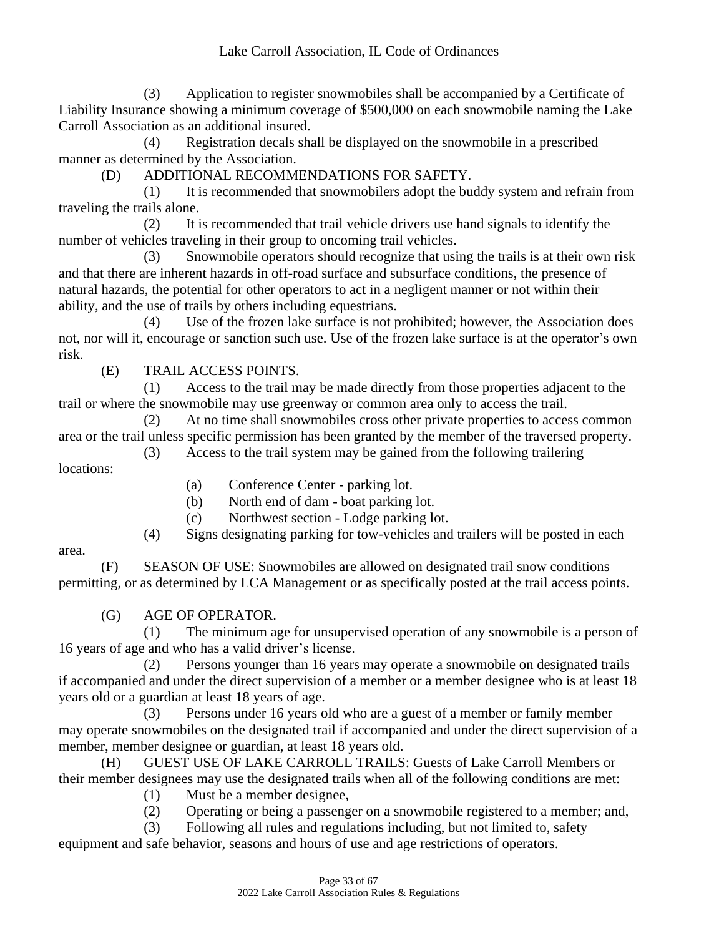(3) Application to register snowmobiles shall be accompanied by a Certificate of Liability Insurance showing a minimum coverage of \$500,000 on each snowmobile naming the Lake Carroll Association as an additional insured.

(4) Registration decals shall be displayed on the snowmobile in a prescribed manner as determined by the Association.

(D) ADDITIONAL RECOMMENDATIONS FOR SAFETY.

(1) It is recommended that snowmobilers adopt the buddy system and refrain from traveling the trails alone.

(2) It is recommended that trail vehicle drivers use hand signals to identify the number of vehicles traveling in their group to oncoming trail vehicles.

(3) Snowmobile operators should recognize that using the trails is at their own risk and that there are inherent hazards in off-road surface and subsurface conditions, the presence of natural hazards, the potential for other operators to act in a negligent manner or not within their ability, and the use of trails by others including equestrians.

(4) Use of the frozen lake surface is not prohibited; however, the Association does not, nor will it, encourage or sanction such use. Use of the frozen lake surface is at the operator's own risk.

(E) TRAIL ACCESS POINTS.

(1) Access to the trail may be made directly from those properties adjacent to the trail or where the snowmobile may use greenway or common area only to access the trail.

(2) At no time shall snowmobiles cross other private properties to access common area or the trail unless specific permission has been granted by the member of the traversed property.

(3) Access to the trail system may be gained from the following trailering

locations:

- (a) Conference Center parking lot.
- (b) North end of dam boat parking lot.
- (c) Northwest section Lodge parking lot.
- (4) Signs designating parking for tow-vehicles and trailers will be posted in each

area.

(F) SEASON OF USE: Snowmobiles are allowed on designated trail snow conditions permitting, or as determined by LCA Management or as specifically posted at the trail access points.

(G) AGE OF OPERATOR.

(1) The minimum age for unsupervised operation of any snowmobile is a person of 16 years of age and who has a valid driver's license.

(2) Persons younger than 16 years may operate a snowmobile on designated trails if accompanied and under the direct supervision of a member or a member designee who is at least 18 years old or a guardian at least 18 years of age.

(3) Persons under 16 years old who are a guest of a member or family member may operate snowmobiles on the designated trail if accompanied and under the direct supervision of a member, member designee or guardian, at least 18 years old.

(H) GUEST USE OF LAKE CARROLL TRAILS: Guests of Lake Carroll Members or their member designees may use the designated trails when all of the following conditions are met: (1) Must be a member designee,

(2) Operating or being a passenger on a snowmobile registered to a member; and,

(3) Following all rules and regulations including, but not limited to, safety equipment and safe behavior, seasons and hours of use and age restrictions of operators.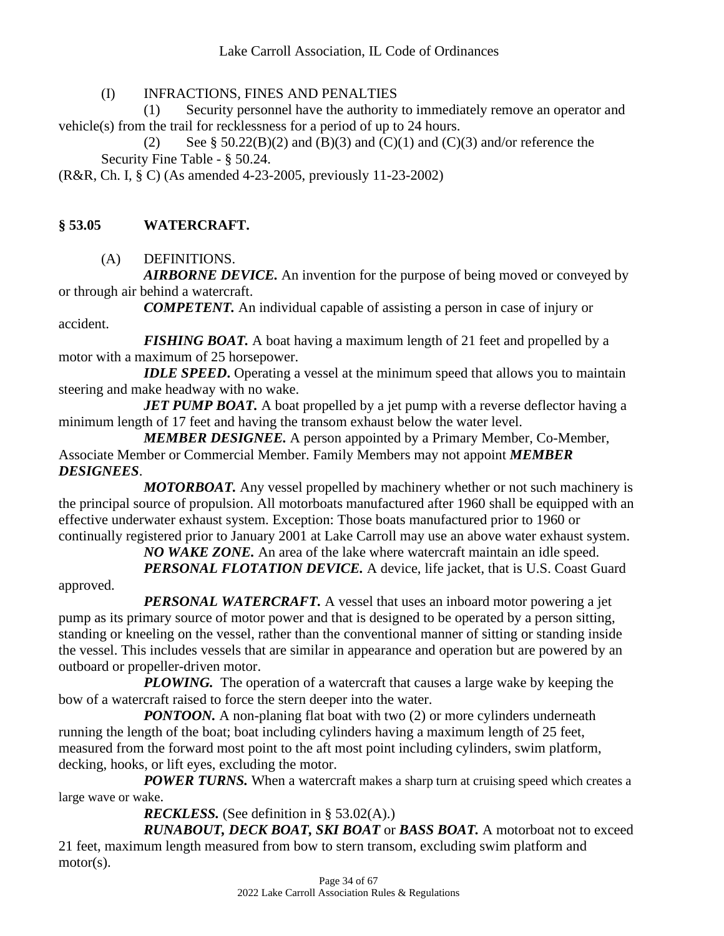(I) INFRACTIONS, FINES AND PENALTIES

(1) Security personnel have the authority to immediately remove an operator and vehicle(s) from the trail for recklessness for a period of up to 24 hours.

(2) See § 50.22(B)(2) and (B)(3) and (C)(1) and (C)(3) and/or reference the Security Fine Table - § 50.24.

(R&R, Ch. I, § C) (As amended 4-23-2005, previously 11-23-2002)

#### **§ 53.05 WATERCRAFT.**

(A) DEFINITIONS.

*AIRBORNE DEVICE.* An invention for the purpose of being moved or conveyed by or through air behind a watercraft.

*COMPETENT.* An individual capable of assisting a person in case of injury or accident.

*FISHING BOAT.* A boat having a maximum length of 21 feet and propelled by a motor with a maximum of 25 horsepower.

*IDLE SPEED***.** Operating a vessel at the minimum speed that allows you to maintain steering and make headway with no wake.

*JET PUMP BOAT.* A boat propelled by a jet pump with a reverse deflector having a minimum length of 17 feet and having the transom exhaust below the water level.

*MEMBER DESIGNEE.* A person appointed by a Primary Member, Co-Member, Associate Member or Commercial Member. Family Members may not appoint *MEMBER DESIGNEES*.

*MOTORBOAT.* Any vessel propelled by machinery whether or not such machinery is the principal source of propulsion. All motorboats manufactured after 1960 shall be equipped with an effective underwater exhaust system. Exception: Those boats manufactured prior to 1960 or continually registered prior to January 2001 at Lake Carroll may use an above water exhaust system.

*NO WAKE ZONE.* An area of the lake where watercraft maintain an idle speed. *PERSONAL FLOTATION DEVICE.* A device, life jacket, that is U.S. Coast Guard

approved.

*PERSONAL WATERCRAFT.* A vessel that uses an inboard motor powering a jet pump as its primary source of motor power and that is designed to be operated by a person sitting, standing or kneeling on the vessel, rather than the conventional manner of sitting or standing inside the vessel. This includes vessels that are similar in appearance and operation but are powered by an outboard or propeller-driven motor.

*PLOWING*. The operation of a watercraft that causes a large wake by keeping the bow of a watercraft raised to force the stern deeper into the water.

*PONTOON*. A non-planing flat boat with two (2) or more cylinders underneath running the length of the boat; boat including cylinders having a maximum length of 25 feet, measured from the forward most point to the aft most point including cylinders, swim platform, decking, hooks, or lift eyes, excluding the motor.

*POWER TURNS*. When a watercraft makes a sharp turn at cruising speed which creates a large wave or wake.

*RECKLESS.* (See definition in § 53.02(A).)

*RUNABOUT, DECK BOAT, SKI BOAT* or *BASS BOAT.* A motorboat not to exceed 21 feet, maximum length measured from bow to stern transom, excluding swim platform and motor(s).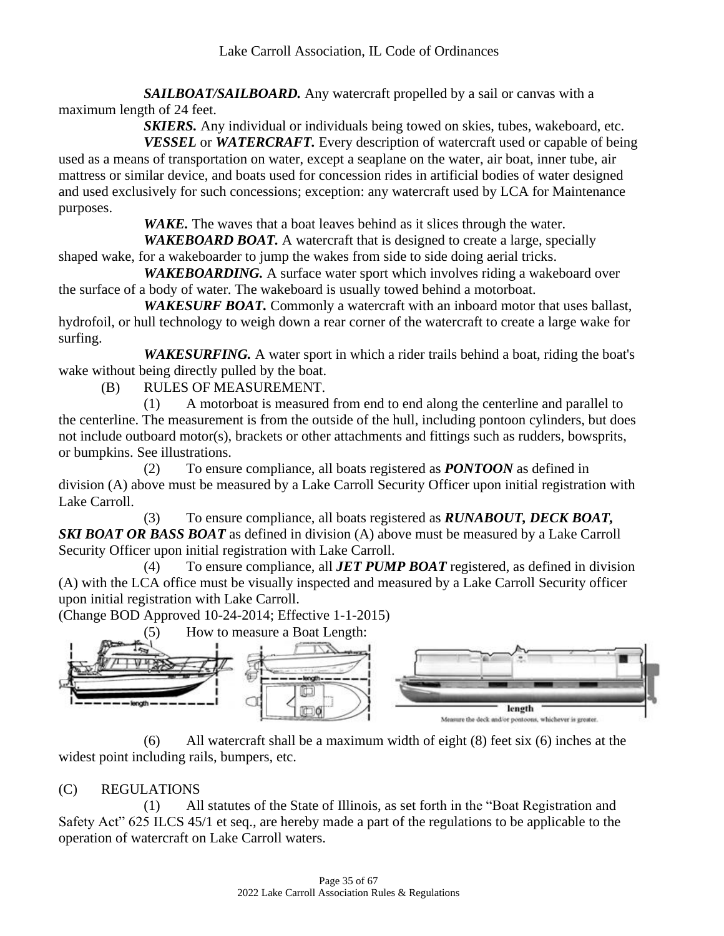*SAILBOAT/SAILBOARD.* Any watercraft propelled by a sail or canvas with a maximum length of 24 feet.

*SKIERS.* Any individual or individuals being towed on skies, tubes, wakeboard, etc.

*VESSEL* or *WATERCRAFT.* Every description of watercraft used or capable of being used as a means of transportation on water, except a seaplane on the water, air boat, inner tube, air mattress or similar device, and boats used for concession rides in artificial bodies of water designed and used exclusively for such concessions; exception: any watercraft used by LCA for Maintenance purposes.

*WAKE*. The waves that a boat leaves behind as it slices through the water.

*WAKEBOARD BOAT.* A watercraft that is designed to create a large, specially shaped wake, for a wakeboarder to jump the wakes from side to side doing aerial tricks.

*WAKEBOARDING.* A surface water sport which involves riding a wakeboard over the surface of a body of water. The wakeboard is usually towed behind a motorboat.

*WAKESURF BOAT.* Commonly a watercraft with an inboard motor that uses ballast, hydrofoil, or hull technology to weigh down a rear corner of the watercraft to create a large wake for surfing.

WAKESURFING. A water sport in which a rider trails behind a boat, riding the boat's wake without being directly pulled by the boat.

(B) RULES OF MEASUREMENT.

(1) A motorboat is measured from end to end along the centerline and parallel to the centerline. The measurement is from the outside of the hull, including pontoon cylinders, but does not include outboard motor(s), brackets or other attachments and fittings such as rudders, bowsprits, or bumpkins. See illustrations.

(2) To ensure compliance, all boats registered as *PONTOON* as defined in division (A) above must be measured by a Lake Carroll Security Officer upon initial registration with Lake Carroll.

(3) To ensure compliance, all boats registered as *RUNABOUT, DECK BOAT, SKI BOAT OR BASS BOAT* as defined in division (A) above must be measured by a Lake Carroll Security Officer upon initial registration with Lake Carroll.

(4) To ensure compliance, all *JET PUMP BOAT* registered, as defined in division (A) with the LCA office must be visually inspected and measured by a Lake Carroll Security officer upon initial registration with Lake Carroll.

(Change BOD Approved 10-24-2014; Effective 1-1-2015)



(6) All watercraft shall be a maximum width of eight (8) feet six (6) inches at the widest point including rails, bumpers, etc.

# (C) REGULATIONS

(1) All statutes of the State of Illinois, as set forth in the "Boat Registration and Safety Act" 625 ILCS 45/1 et seq., are hereby made a part of the regulations to be applicable to the operation of watercraft on Lake Carroll waters.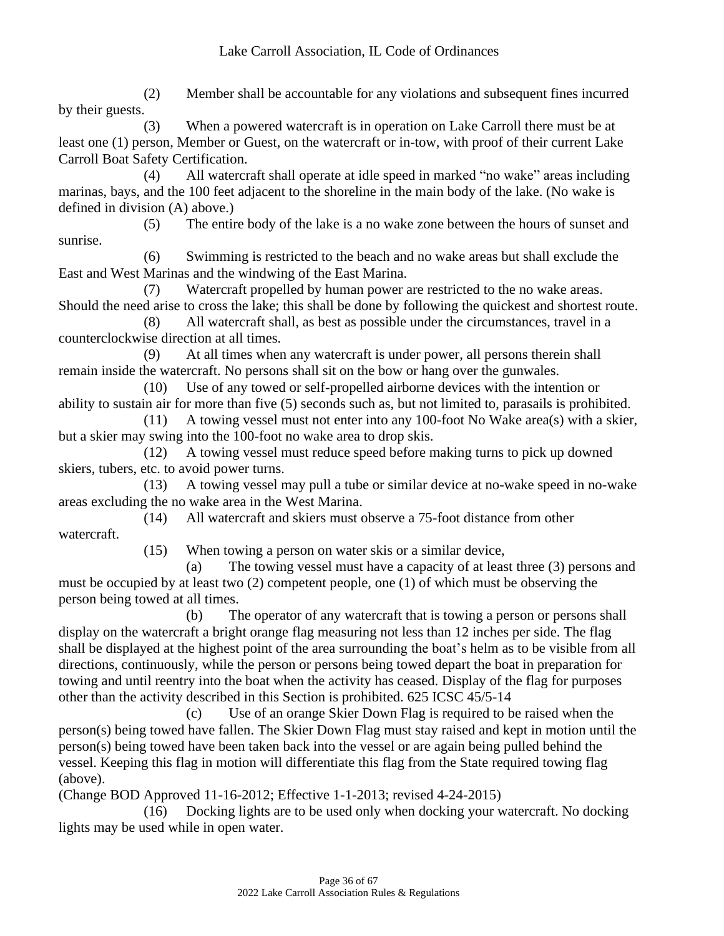(2) Member shall be accountable for any violations and subsequent fines incurred by their guests.

(3) When a powered watercraft is in operation on Lake Carroll there must be at least one (1) person, Member or Guest, on the watercraft or in-tow, with proof of their current Lake Carroll Boat Safety Certification.

(4) All watercraft shall operate at idle speed in marked "no wake" areas including marinas, bays, and the 100 feet adjacent to the shoreline in the main body of the lake. (No wake is defined in division (A) above.)

(5) The entire body of the lake is a no wake zone between the hours of sunset and sunrise.

(6) Swimming is restricted to the beach and no wake areas but shall exclude the East and West Marinas and the windwing of the East Marina.

(7) Watercraft propelled by human power are restricted to the no wake areas. Should the need arise to cross the lake; this shall be done by following the quickest and shortest route.

(8) All watercraft shall, as best as possible under the circumstances, travel in a counterclockwise direction at all times.

(9) At all times when any watercraft is under power, all persons therein shall remain inside the watercraft. No persons shall sit on the bow or hang over the gunwales.

(10) Use of any towed or self-propelled airborne devices with the intention or ability to sustain air for more than five (5) seconds such as, but not limited to, parasails is prohibited.

(11) A towing vessel must not enter into any 100-foot No Wake area(s) with a skier, but a skier may swing into the 100-foot no wake area to drop skis.

(12) A towing vessel must reduce speed before making turns to pick up downed skiers, tubers, etc. to avoid power turns.

(13) A towing vessel may pull a tube or similar device at no-wake speed in no-wake areas excluding the no wake area in the West Marina.

(14) All watercraft and skiers must observe a 75-foot distance from other watercraft.

(15) When towing a person on water skis or a similar device,

(a) The towing vessel must have a capacity of at least three (3) persons and must be occupied by at least two (2) competent people, one (1) of which must be observing the person being towed at all times.

(b) The operator of any watercraft that is towing a person or persons shall display on the watercraft a bright orange flag measuring not less than 12 inches per side. The flag shall be displayed at the highest point of the area surrounding the boat's helm as to be visible from all directions, continuously, while the person or persons being towed depart the boat in preparation for towing and until reentry into the boat when the activity has ceased. Display of the flag for purposes other than the activity described in this Section is prohibited. 625 ICSC 45/5-14

(c) Use of an orange Skier Down Flag is required to be raised when the person(s) being towed have fallen. The Skier Down Flag must stay raised and kept in motion until the person(s) being towed have been taken back into the vessel or are again being pulled behind the vessel. Keeping this flag in motion will differentiate this flag from the State required towing flag (above).

(Change BOD Approved 11-16-2012; Effective 1-1-2013; revised 4-24-2015)

(16) Docking lights are to be used only when docking your watercraft. No docking lights may be used while in open water.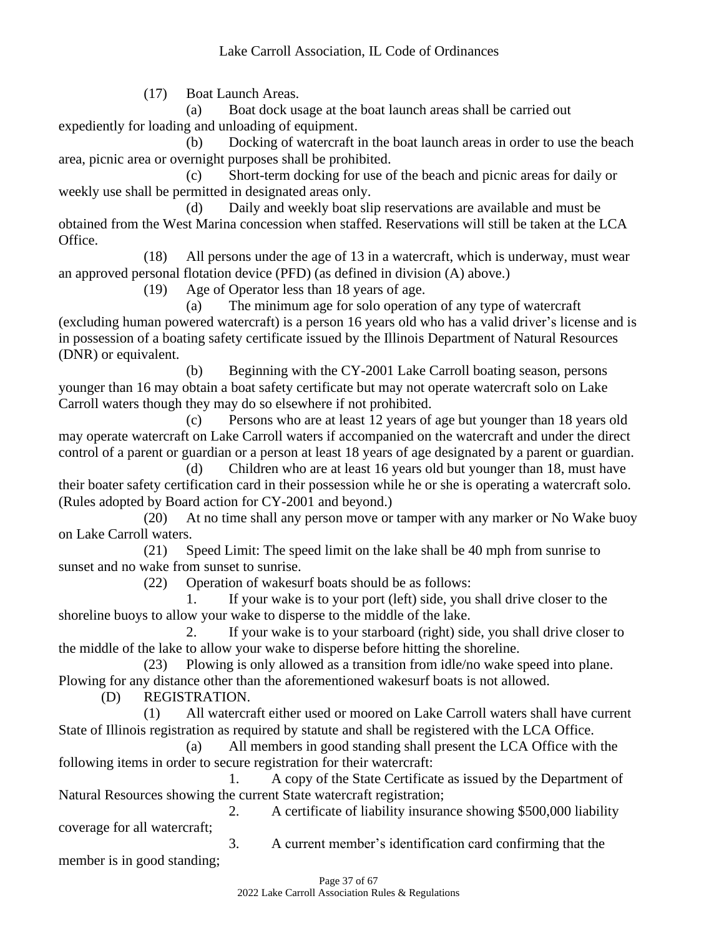(17) Boat Launch Areas.

(a) Boat dock usage at the boat launch areas shall be carried out expediently for loading and unloading of equipment.

(b) Docking of watercraft in the boat launch areas in order to use the beach area, picnic area or overnight purposes shall be prohibited.

(c) Short-term docking for use of the beach and picnic areas for daily or weekly use shall be permitted in designated areas only.

(d) Daily and weekly boat slip reservations are available and must be obtained from the West Marina concession when staffed. Reservations will still be taken at the LCA Office.

(18) All persons under the age of 13 in a watercraft, which is underway, must wear an approved personal flotation device (PFD) (as defined in division (A) above.)

(19) Age of Operator less than 18 years of age.

(a) The minimum age for solo operation of any type of watercraft (excluding human powered watercraft) is a person 16 years old who has a valid driver's license and is in possession of a boating safety certificate issued by the Illinois Department of Natural Resources (DNR) or equivalent.

(b) Beginning with the CY-2001 Lake Carroll boating season, persons younger than 16 may obtain a boat safety certificate but may not operate watercraft solo on Lake Carroll waters though they may do so elsewhere if not prohibited.

(c) Persons who are at least 12 years of age but younger than 18 years old may operate watercraft on Lake Carroll waters if accompanied on the watercraft and under the direct control of a parent or guardian or a person at least 18 years of age designated by a parent or guardian.

(d) Children who are at least 16 years old but younger than 18, must have their boater safety certification card in their possession while he or she is operating a watercraft solo. (Rules adopted by Board action for CY-2001 and beyond.)

(20) At no time shall any person move or tamper with any marker or No Wake buoy on Lake Carroll waters.

(21) Speed Limit: The speed limit on the lake shall be 40 mph from sunrise to sunset and no wake from sunset to sunrise.

(22) Operation of wakesurf boats should be as follows:

1. If your wake is to your port (left) side, you shall drive closer to the shoreline buoys to allow your wake to disperse to the middle of the lake.

2. If your wake is to your starboard (right) side, you shall drive closer to the middle of the lake to allow your wake to disperse before hitting the shoreline.

(23) Plowing is only allowed as a transition from idle/no wake speed into plane. Plowing for any distance other than the aforementioned wakesurf boats is not allowed.

(D) REGISTRATION.

(1) All watercraft either used or moored on Lake Carroll waters shall have current State of Illinois registration as required by statute and shall be registered with the LCA Office.

(a) All members in good standing shall present the LCA Office with the following items in order to secure registration for their watercraft:

1. A copy of the State Certificate as issued by the Department of Natural Resources showing the current State watercraft registration;

2. A certificate of liability insurance showing \$500,000 liability coverage for all watercraft; 3. A current member's identification card confirming that the

member is in good standing;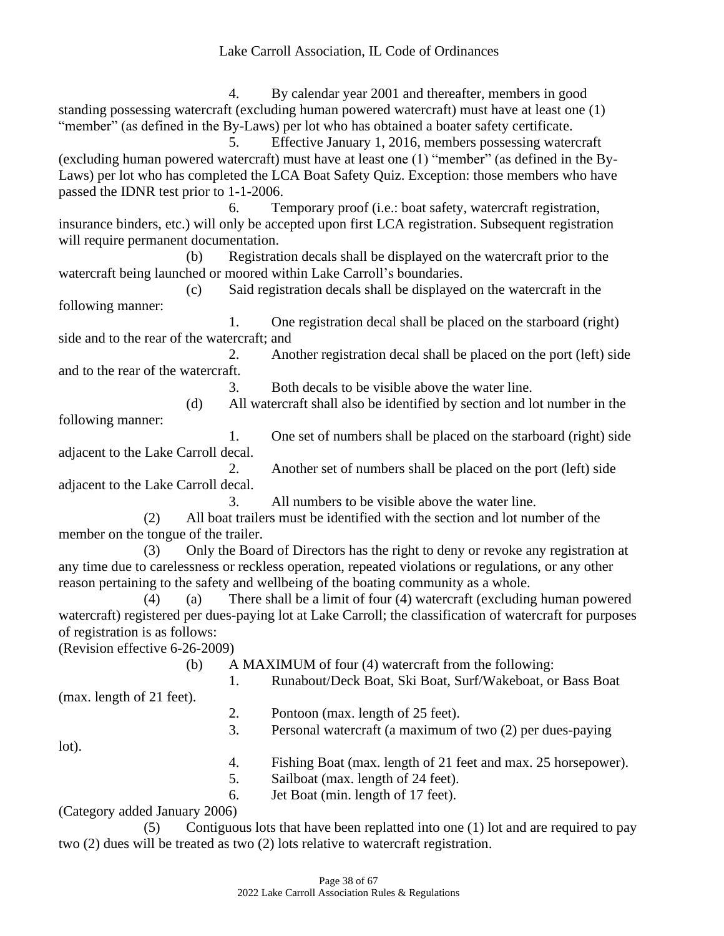4. By calendar year 2001 and thereafter, members in good standing possessing watercraft (excluding human powered watercraft) must have at least one (1) "member" (as defined in the By-Laws) per lot who has obtained a boater safety certificate.

5. Effective January 1, 2016, members possessing watercraft (excluding human powered watercraft) must have at least one (1) "member" (as defined in the By-Laws) per lot who has completed the LCA Boat Safety Quiz. Exception: those members who have passed the IDNR test prior to 1-1-2006.

6. Temporary proof (i.e.: boat safety, watercraft registration, insurance binders, etc.) will only be accepted upon first LCA registration. Subsequent registration will require permanent documentation.

(b) Registration decals shall be displayed on the watercraft prior to the watercraft being launched or moored within Lake Carroll's boundaries.

(c) Said registration decals shall be displayed on the watercraft in the following manner:

1. One registration decal shall be placed on the starboard (right) side and to the rear of the watercraft; and

2. Another registration decal shall be placed on the port (left) side and to the rear of the watercraft.

3. Both decals to be visible above the water line.

(d) All watercraft shall also be identified by section and lot number in the following manner:

1. One set of numbers shall be placed on the starboard (right) side adjacent to the Lake Carroll decal.

2. Another set of numbers shall be placed on the port (left) side adjacent to the Lake Carroll decal.

3. All numbers to be visible above the water line.

(2) All boat trailers must be identified with the section and lot number of the member on the tongue of the trailer.

(3) Only the Board of Directors has the right to deny or revoke any registration at any time due to carelessness or reckless operation, repeated violations or regulations, or any other reason pertaining to the safety and wellbeing of the boating community as a whole.

(4) (a) There shall be a limit of four (4) watercraft (excluding human powered watercraft) registered per dues-paying lot at Lake Carroll; the classification of watercraft for purposes of registration is as follows:

(Revision effective 6-26-2009)

(b) A MAXIMUM of four (4) watercraft from the following:

1. Runabout/Deck Boat, Ski Boat, Surf/Wakeboat, or Bass Boat

(max. length of 21 feet).

- 2. Pontoon (max. length of 25 feet).
- 3. Personal watercraft (a maximum of two (2) per dues-paying

lot).

- 4. Fishing Boat (max. length of 21 feet and max. 25 horsepower).
- 5. Sailboat (max. length of 24 feet).
- 6. Jet Boat (min. length of 17 feet).

(Category added January 2006)

(5) Contiguous lots that have been replatted into one (1) lot and are required to pay two (2) dues will be treated as two (2) lots relative to watercraft registration.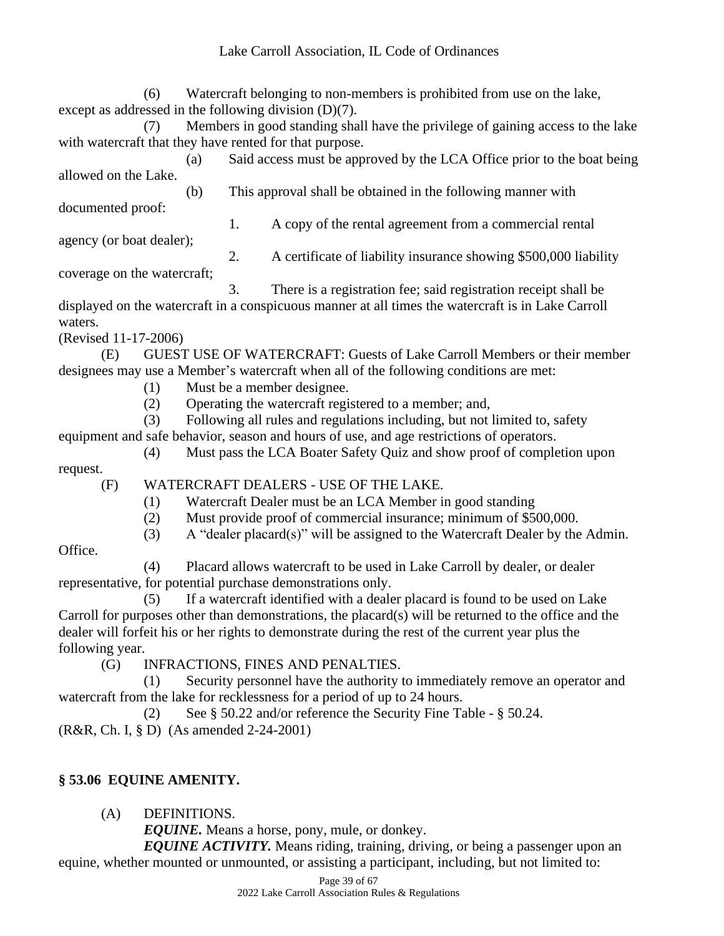(6) Watercraft belonging to non-members is prohibited from use on the lake, except as addressed in the following division (D)(7).

(7) Members in good standing shall have the privilege of gaining access to the lake with watercraft that they have rented for that purpose.

(a) Said access must be approved by the LCA Office prior to the boat being allowed on the Lake. (b) This approval shall be obtained in the following manner with

documented proof:

1. A copy of the rental agreement from a commercial rental

agency (or boat dealer);

2. A certificate of liability insurance showing \$500,000 liability coverage on the watercraft;

3. There is a registration fee; said registration receipt shall be

displayed on the watercraft in a conspicuous manner at all times the watercraft is in Lake Carroll waters.

(Revised 11-17-2006)

(E) GUEST USE OF WATERCRAFT: Guests of Lake Carroll Members or their member designees may use a Member's watercraft when all of the following conditions are met:

- (1) Must be a member designee.
- (2) Operating the watercraft registered to a member; and,

(3) Following all rules and regulations including, but not limited to, safety

equipment and safe behavior, season and hours of use, and age restrictions of operators.

(4) Must pass the LCA Boater Safety Quiz and show proof of completion upon

request.

(F) WATERCRAFT DEALERS - USE OF THE LAKE.

- (1) Watercraft Dealer must be an LCA Member in good standing
- (2) Must provide proof of commercial insurance; minimum of \$500,000.
- (3) A "dealer placard(s)" will be assigned to the Watercraft Dealer by the Admin.

Office.

(4) Placard allows watercraft to be used in Lake Carroll by dealer, or dealer representative, for potential purchase demonstrations only.

(5) If a watercraft identified with a dealer placard is found to be used on Lake Carroll for purposes other than demonstrations, the placard(s) will be returned to the office and the dealer will forfeit his or her rights to demonstrate during the rest of the current year plus the following year.

(G) INFRACTIONS, FINES AND PENALTIES.

(1) Security personnel have the authority to immediately remove an operator and watercraft from the lake for recklessness for a period of up to 24 hours.

(2) See § 50.22 and/or reference the Security Fine Table - § 50.24.

(R&R, Ch. I, § D) (As amended 2-24-2001)

# **§ 53.06 EQUINE AMENITY.**

(A) DEFINITIONS.

*EQUINE.* Means a horse, pony, mule, or donkey.

*EQUINE ACTIVITY.* Means riding, training, driving, or being a passenger upon an equine, whether mounted or unmounted, or assisting a participant, including, but not limited to: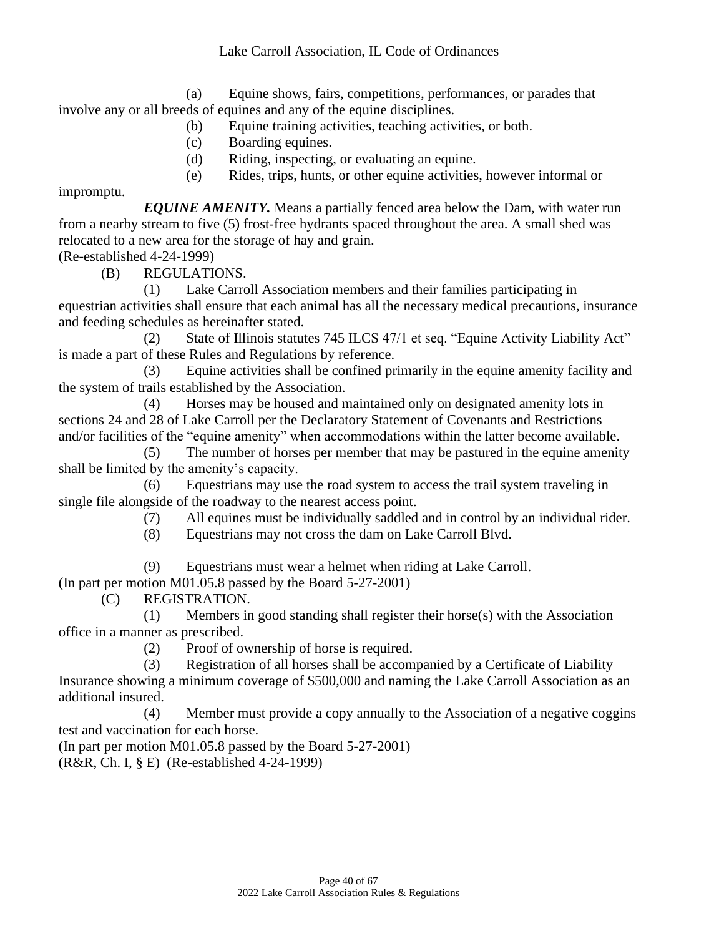(a) Equine shows, fairs, competitions, performances, or parades that involve any or all breeds of equines and any of the equine disciplines.

- (b) Equine training activities, teaching activities, or both.
- (c) Boarding equines.
- (d) Riding, inspecting, or evaluating an equine.
- (e) Rides, trips, hunts, or other equine activities, however informal or

impromptu.

*EQUINE AMENITY.* Means a partially fenced area below the Dam, with water run from a nearby stream to five (5) frost-free hydrants spaced throughout the area. A small shed was relocated to a new area for the storage of hay and grain.

(Re-established 4-24-1999)

(B) REGULATIONS.

(1) Lake Carroll Association members and their families participating in

equestrian activities shall ensure that each animal has all the necessary medical precautions, insurance and feeding schedules as hereinafter stated.

(2) State of Illinois statutes 745 ILCS 47/1 et seq. "Equine Activity Liability Act" is made a part of these Rules and Regulations by reference.

(3) Equine activities shall be confined primarily in the equine amenity facility and the system of trails established by the Association.

(4) Horses may be housed and maintained only on designated amenity lots in sections 24 and 28 of Lake Carroll per the Declaratory Statement of Covenants and Restrictions and/or facilities of the "equine amenity" when accommodations within the latter become available.

(5) The number of horses per member that may be pastured in the equine amenity shall be limited by the amenity's capacity.

(6) Equestrians may use the road system to access the trail system traveling in single file alongside of the roadway to the nearest access point.

(7) All equines must be individually saddled and in control by an individual rider.

(8) Equestrians may not cross the dam on Lake Carroll Blvd.

(9) Equestrians must wear a helmet when riding at Lake Carroll.

(In part per motion M01.05.8 passed by the Board 5-27-2001)

(C) REGISTRATION.

(1) Members in good standing shall register their horse(s) with the Association office in a manner as prescribed.

(2) Proof of ownership of horse is required.

(3) Registration of all horses shall be accompanied by a Certificate of Liability Insurance showing a minimum coverage of \$500,000 and naming the Lake Carroll Association as an additional insured.

(4) Member must provide a copy annually to the Association of a negative coggins test and vaccination for each horse.

(In part per motion M01.05.8 passed by the Board 5-27-2001) (R&R, Ch. I, § E) (Re-established 4-24-1999)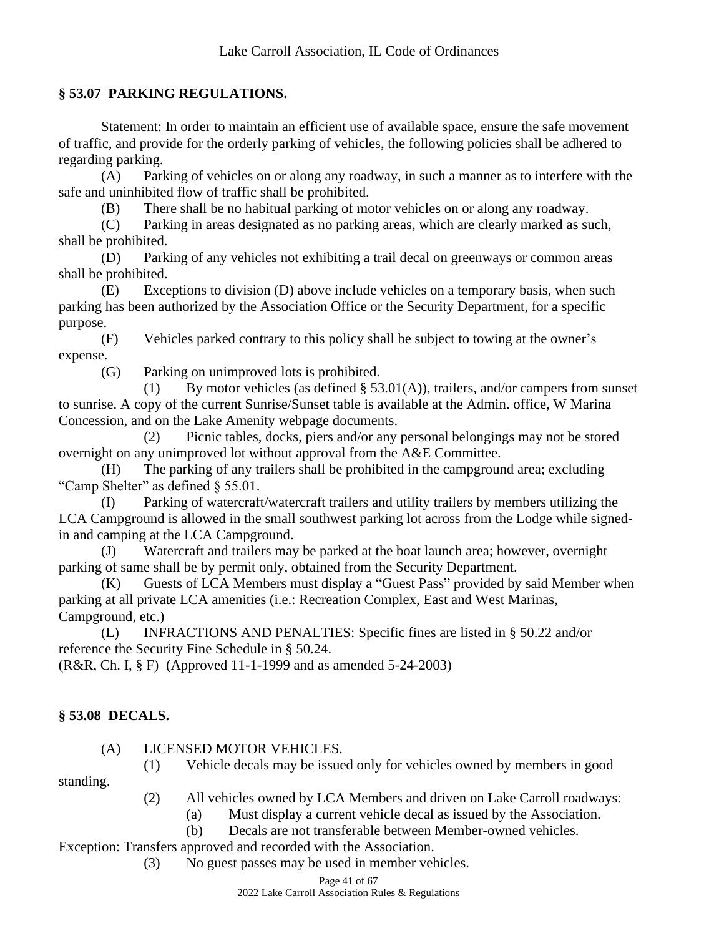## **§ 53.07 PARKING REGULATIONS.**

Statement: In order to maintain an efficient use of available space, ensure the safe movement of traffic, and provide for the orderly parking of vehicles, the following policies shall be adhered to regarding parking.

(A) Parking of vehicles on or along any roadway, in such a manner as to interfere with the safe and uninhibited flow of traffic shall be prohibited.

(B) There shall be no habitual parking of motor vehicles on or along any roadway.

(C) Parking in areas designated as no parking areas, which are clearly marked as such, shall be prohibited.

(D) Parking of any vehicles not exhibiting a trail decal on greenways or common areas shall be prohibited.

(E) Exceptions to division (D) above include vehicles on a temporary basis, when such parking has been authorized by the Association Office or the Security Department, for a specific purpose.

(F) Vehicles parked contrary to this policy shall be subject to towing at the owner's expense.

(G) Parking on unimproved lots is prohibited.

(1) By motor vehicles (as defined § 53.01(A)), trailers, and/or campers from sunset to sunrise. A copy of the current Sunrise/Sunset table is available at the Admin. office, W Marina Concession, and on the Lake Amenity webpage documents.

(2) Picnic tables, docks, piers and/or any personal belongings may not be stored overnight on any unimproved lot without approval from the A&E Committee.

(H) The parking of any trailers shall be prohibited in the campground area; excluding "Camp Shelter" as defined § 55.01.

(I) Parking of watercraft/watercraft trailers and utility trailers by members utilizing the LCA Campground is allowed in the small southwest parking lot across from the Lodge while signedin and camping at the LCA Campground.

(J) Watercraft and trailers may be parked at the boat launch area; however, overnight parking of same shall be by permit only, obtained from the Security Department.

(K) Guests of LCA Members must display a "Guest Pass" provided by said Member when parking at all private LCA amenities (i.e.: Recreation Complex, East and West Marinas, Campground, etc.)

(L) INFRACTIONS AND PENALTIES: Specific fines are listed in § 50.22 and/or reference the Security Fine Schedule in § 50.24.

(R&R, Ch. I, § F) (Approved 11-1-1999 and as amended 5-24-2003)

# **§ 53.08 DECALS.**

(A) LICENSED MOTOR VEHICLES.

(1) Vehicle decals may be issued only for vehicles owned by members in good

standing.

(2) All vehicles owned by LCA Members and driven on Lake Carroll roadways:

- (a) Must display a current vehicle decal as issued by the Association.
- (b) Decals are not transferable between Member-owned vehicles.

Exception: Transfers approved and recorded with the Association.

(3) No guest passes may be used in member vehicles.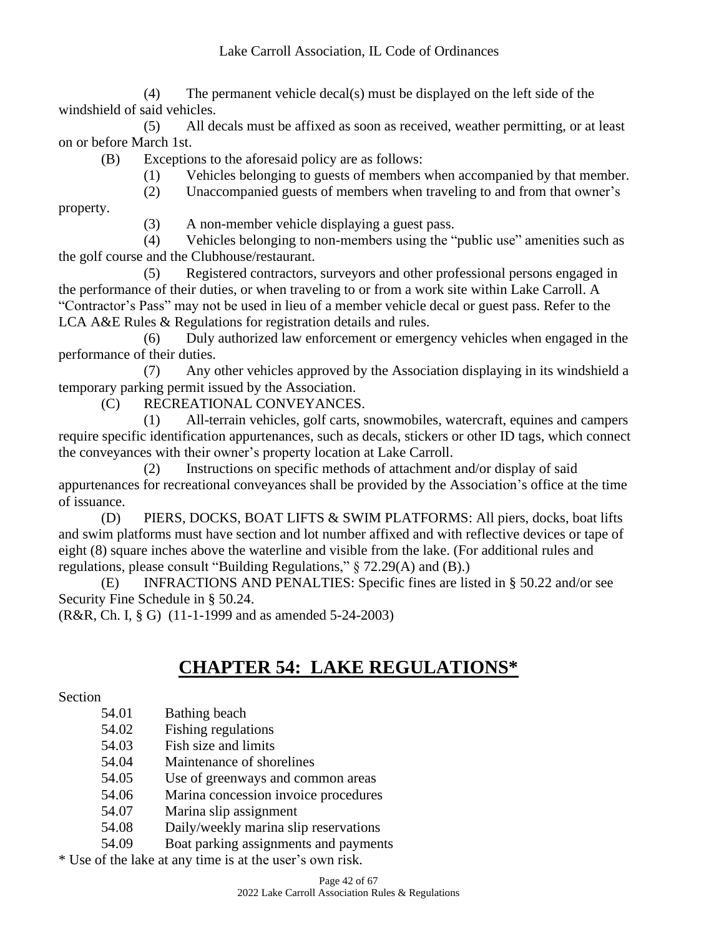(4) The permanent vehicle decal(s) must be displayed on the left side of the windshield of said vehicles.

(5) All decals must be affixed as soon as received, weather permitting, or at least on or before March 1st.

(B) Exceptions to the aforesaid policy are as follows:

(1) Vehicles belonging to guests of members when accompanied by that member.

(2) Unaccompanied guests of members when traveling to and from that owner's

property.

(3) A non-member vehicle displaying a guest pass.

(4) Vehicles belonging to non-members using the "public use" amenities such as the golf course and the Clubhouse/restaurant.

(5) Registered contractors, surveyors and other professional persons engaged in the performance of their duties, or when traveling to or from a work site within Lake Carroll. A "Contractor's Pass" may not be used in lieu of a member vehicle decal or guest pass. Refer to the LCA A&E Rules & Regulations for registration details and rules.

(6) Duly authorized law enforcement or emergency vehicles when engaged in the performance of their duties.

(7) Any other vehicles approved by the Association displaying in its windshield a temporary parking permit issued by the Association.

(C) RECREATIONAL CONVEYANCES.

(1) All-terrain vehicles, golf carts, snowmobiles, watercraft, equines and campers require specific identification appurtenances, such as decals, stickers or other ID tags, which connect the conveyances with their owner's property location at Lake Carroll.

(2) Instructions on specific methods of attachment and/or display of said appurtenances for recreational conveyances shall be provided by the Association's office at the time of issuance.

(D) PIERS, DOCKS, BOAT LIFTS & SWIM PLATFORMS: All piers, docks, boat lifts and swim platforms must have section and lot number affixed and with reflective devices or tape of eight (8) square inches above the waterline and visible from the lake. (For additional rules and regulations, please consult "Building Regulations," § 72.29(A) and (B).)

(E) INFRACTIONS AND PENALTIES: Specific fines are listed in § 50.22 and/or see Security Fine Schedule in § 50.24.

(R&R, Ch. I, § G) (11-1-1999 and as amended 5-24-2003)

# **CHAPTER 54: LAKE REGULATIONS\***

Section

- 54.01 Bathing beach
- 54.02 Fishing regulations
- 54.03 Fish size and limits
- 54.04 Maintenance of shorelines
- 54.05 Use of greenways and common areas
- 54.06 Marina concession invoice procedures
- 54.07 Marina slip assignment
- 54.08 Daily/weekly marina slip reservations
- 54.09 Boat parking assignments and payments

\* Use of the lake at any time is at the user's own risk.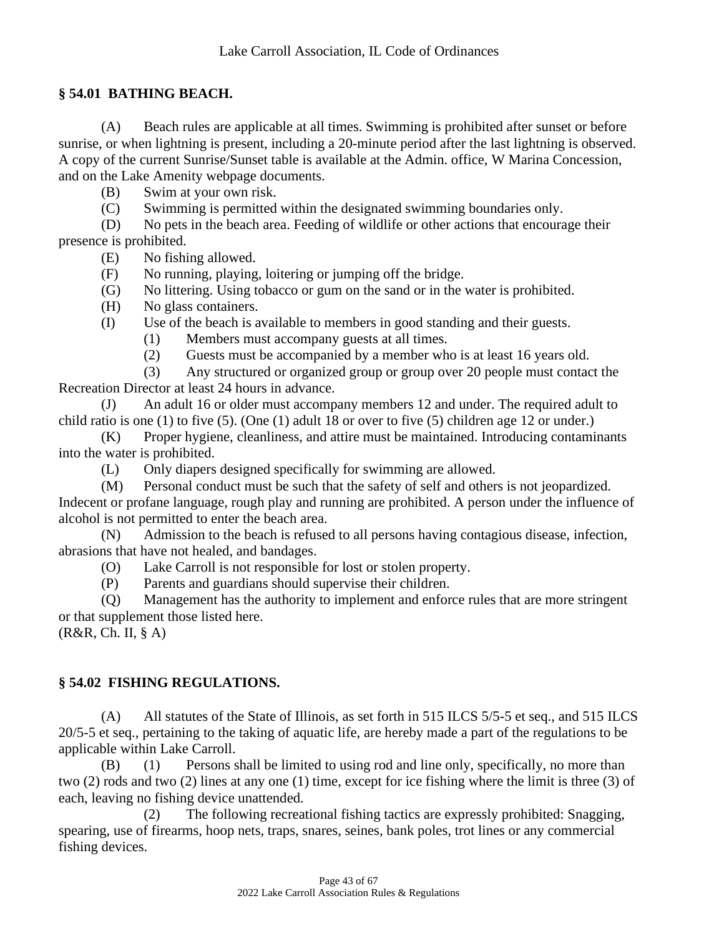#### **§ 54.01 BATHING BEACH.**

(A) Beach rules are applicable at all times. Swimming is prohibited after sunset or before sunrise, or when lightning is present, including a 20-minute period after the last lightning is observed. A copy of the current Sunrise/Sunset table is available at the Admin. office, W Marina Concession, and on the Lake Amenity webpage documents.

(B) Swim at your own risk.

(C) Swimming is permitted within the designated swimming boundaries only.

(D) No pets in the beach area. Feeding of wildlife or other actions that encourage their presence is prohibited.

(E) No fishing allowed.

(F) No running, playing, loitering or jumping off the bridge.

(G) No littering. Using tobacco or gum on the sand or in the water is prohibited.

(H) No glass containers.

(I) Use of the beach is available to members in good standing and their guests.

(1) Members must accompany guests at all times.

(2) Guests must be accompanied by a member who is at least 16 years old.

(3) Any structured or organized group or group over 20 people must contact the Recreation Director at least 24 hours in advance.

(J) An adult 16 or older must accompany members 12 and under. The required adult to child ratio is one (1) to five (5). (One (1) adult 18 or over to five (5) children age 12 or under.)

(K) Proper hygiene, cleanliness, and attire must be maintained. Introducing contaminants into the water is prohibited.

(L) Only diapers designed specifically for swimming are allowed.

(M) Personal conduct must be such that the safety of self and others is not jeopardized.

Indecent or profane language, rough play and running are prohibited. A person under the influence of alcohol is not permitted to enter the beach area.

(N) Admission to the beach is refused to all persons having contagious disease, infection, abrasions that have not healed, and bandages.

(O) Lake Carroll is not responsible for lost or stolen property.

(P) Parents and guardians should supervise their children.

(Q) Management has the authority to implement and enforce rules that are more stringent or that supplement those listed here.

(R&R, Ch. II, § A)

#### **§ 54.02 FISHING REGULATIONS.**

(A) All statutes of the State of Illinois, as set forth in 515 ILCS 5/5-5 et seq., and 515 ILCS 20/5-5 et seq., pertaining to the taking of aquatic life, are hereby made a part of the regulations to be applicable within Lake Carroll.

(B) (1) Persons shall be limited to using rod and line only, specifically, no more than two (2) rods and two (2) lines at any one (1) time, except for ice fishing where the limit is three (3) of each, leaving no fishing device unattended.

(2) The following recreational fishing tactics are expressly prohibited: Snagging, spearing, use of firearms, hoop nets, traps, snares, seines, bank poles, trot lines or any commercial fishing devices.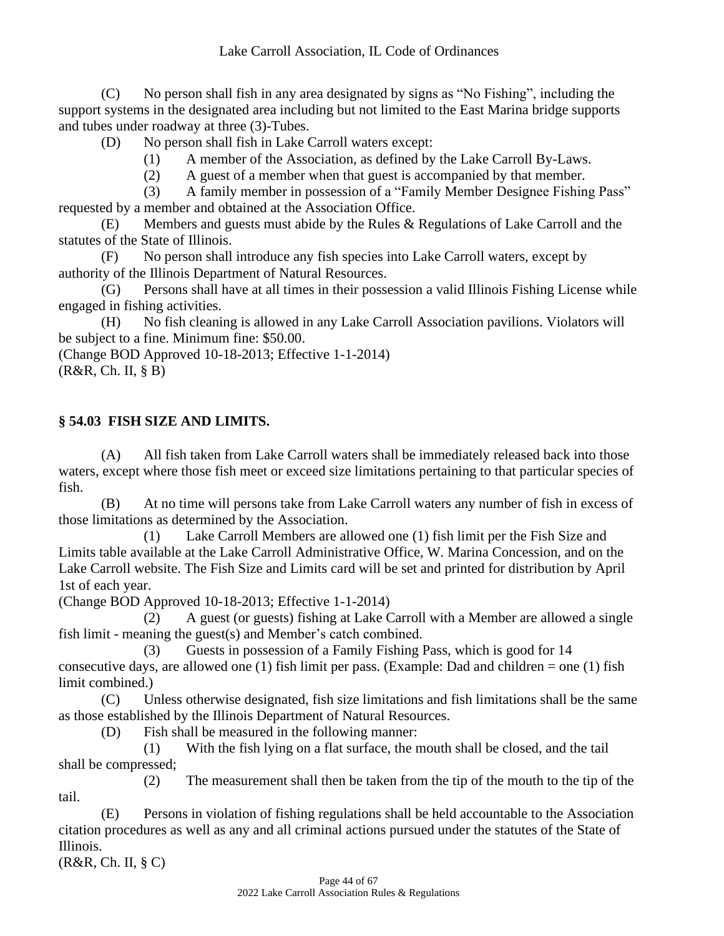(C) No person shall fish in any area designated by signs as "No Fishing", including the support systems in the designated area including but not limited to the East Marina bridge supports and tubes under roadway at three (3)-Tubes.

(D) No person shall fish in Lake Carroll waters except:

(1) A member of the Association, as defined by the Lake Carroll By-Laws.

(2) A guest of a member when that guest is accompanied by that member.

(3) A family member in possession of a "Family Member Designee Fishing Pass" requested by a member and obtained at the Association Office.

(E) Members and guests must abide by the Rules & Regulations of Lake Carroll and the statutes of the State of Illinois.

(F) No person shall introduce any fish species into Lake Carroll waters, except by authority of the Illinois Department of Natural Resources.

(G) Persons shall have at all times in their possession a valid Illinois Fishing License while engaged in fishing activities.

(H) No fish cleaning is allowed in any Lake Carroll Association pavilions. Violators will be subject to a fine. Minimum fine: \$50.00.

(Change BOD Approved 10-18-2013; Effective 1-1-2014) (R&R, Ch. II, § B)

# **§ 54.03 FISH SIZE AND LIMITS.**

(A) All fish taken from Lake Carroll waters shall be immediately released back into those waters, except where those fish meet or exceed size limitations pertaining to that particular species of fish.

(B) At no time will persons take from Lake Carroll waters any number of fish in excess of those limitations as determined by the Association.

(1) Lake Carroll Members are allowed one (1) fish limit per the Fish Size and Limits table available at the Lake Carroll Administrative Office, W. Marina Concession, and on the Lake Carroll website. The Fish Size and Limits card will be set and printed for distribution by April 1st of each year.

(Change BOD Approved 10-18-2013; Effective 1-1-2014)

(2) A guest (or guests) fishing at Lake Carroll with a Member are allowed a single fish limit - meaning the guest(s) and Member's catch combined.

(3) Guests in possession of a Family Fishing Pass, which is good for 14 consecutive days, are allowed one  $(1)$  fish limit per pass. (Example: Dad and children = one  $(1)$  fish limit combined.)

(C) Unless otherwise designated, fish size limitations and fish limitations shall be the same as those established by the Illinois Department of Natural Resources.

(D) Fish shall be measured in the following manner:

(1) With the fish lying on a flat surface, the mouth shall be closed, and the tail shall be compressed;

(2) The measurement shall then be taken from the tip of the mouth to the tip of the tail.

(E) Persons in violation of fishing regulations shall be held accountable to the Association citation procedures as well as any and all criminal actions pursued under the statutes of the State of Illinois.

(R&R, Ch. II, § C)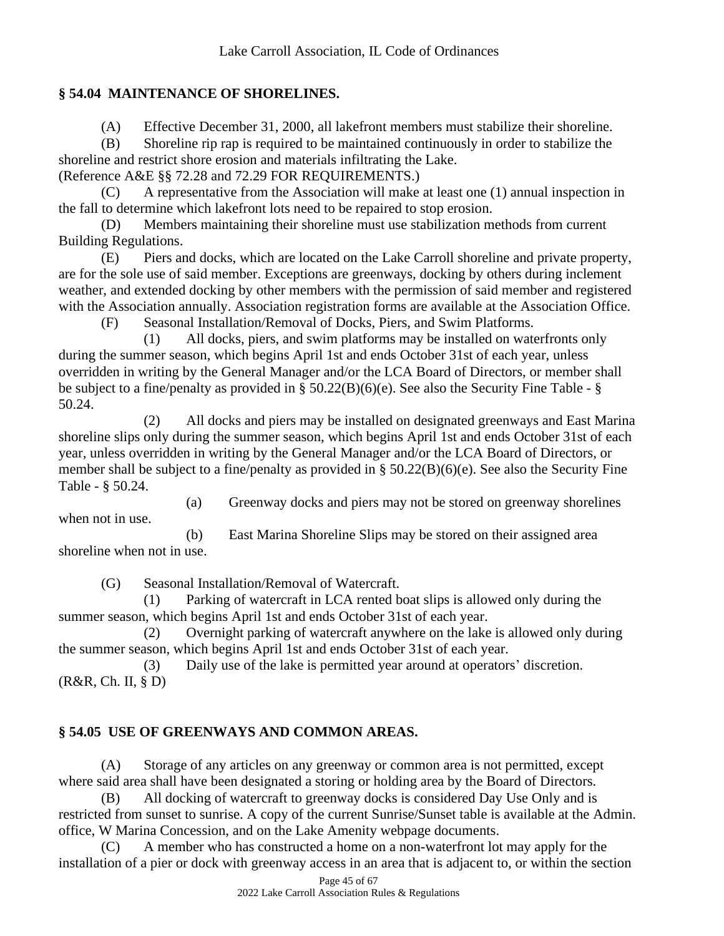## **§ 54.04 MAINTENANCE OF SHORELINES.**

(A) Effective December 31, 2000, all lakefront members must stabilize their shoreline.

(B) Shoreline rip rap is required to be maintained continuously in order to stabilize the shoreline and restrict shore erosion and materials infiltrating the Lake.

(Reference A&E §§ 72.28 and 72.29 FOR REQUIREMENTS.)

(C) A representative from the Association will make at least one (1) annual inspection in the fall to determine which lakefront lots need to be repaired to stop erosion.

(D) Members maintaining their shoreline must use stabilization methods from current Building Regulations.

(E) Piers and docks, which are located on the Lake Carroll shoreline and private property, are for the sole use of said member. Exceptions are greenways, docking by others during inclement weather, and extended docking by other members with the permission of said member and registered with the Association annually. Association registration forms are available at the Association Office.

(F) Seasonal Installation/Removal of Docks, Piers, and Swim Platforms.

(1) All docks, piers, and swim platforms may be installed on waterfronts only during the summer season, which begins April 1st and ends October 31st of each year, unless overridden in writing by the General Manager and/or the LCA Board of Directors, or member shall be subject to a fine/penalty as provided in § 50.22(B)(6)(e). See also the Security Fine Table - § 50.24.

(2) All docks and piers may be installed on designated greenways and East Marina shoreline slips only during the summer season, which begins April 1st and ends October 31st of each year, unless overridden in writing by the General Manager and/or the LCA Board of Directors, or member shall be subject to a fine/penalty as provided in § 50.22(B)(6)(e). See also the Security Fine Table - § 50.24.

(a) Greenway docks and piers may not be stored on greenway shorelines

(b) East Marina Shoreline Slips may be stored on their assigned area shoreline when not in use.

(G) Seasonal Installation/Removal of Watercraft.

when not in use.

(1) Parking of watercraft in LCA rented boat slips is allowed only during the summer season, which begins April 1st and ends October 31st of each year.

(2) Overnight parking of watercraft anywhere on the lake is allowed only during the summer season, which begins April 1st and ends October 31st of each year.

(3) Daily use of the lake is permitted year around at operators' discretion. (R&R, Ch. II, § D)

# **§ 54.05 USE OF GREENWAYS AND COMMON AREAS.**

(A) Storage of any articles on any greenway or common area is not permitted, except where said area shall have been designated a storing or holding area by the Board of Directors.

(B) All docking of watercraft to greenway docks is considered Day Use Only and is restricted from sunset to sunrise. A copy of the current Sunrise/Sunset table is available at the Admin. office, W Marina Concession, and on the Lake Amenity webpage documents.

(C) A member who has constructed a home on a non-waterfront lot may apply for the installation of a pier or dock with greenway access in an area that is adjacent to, or within the section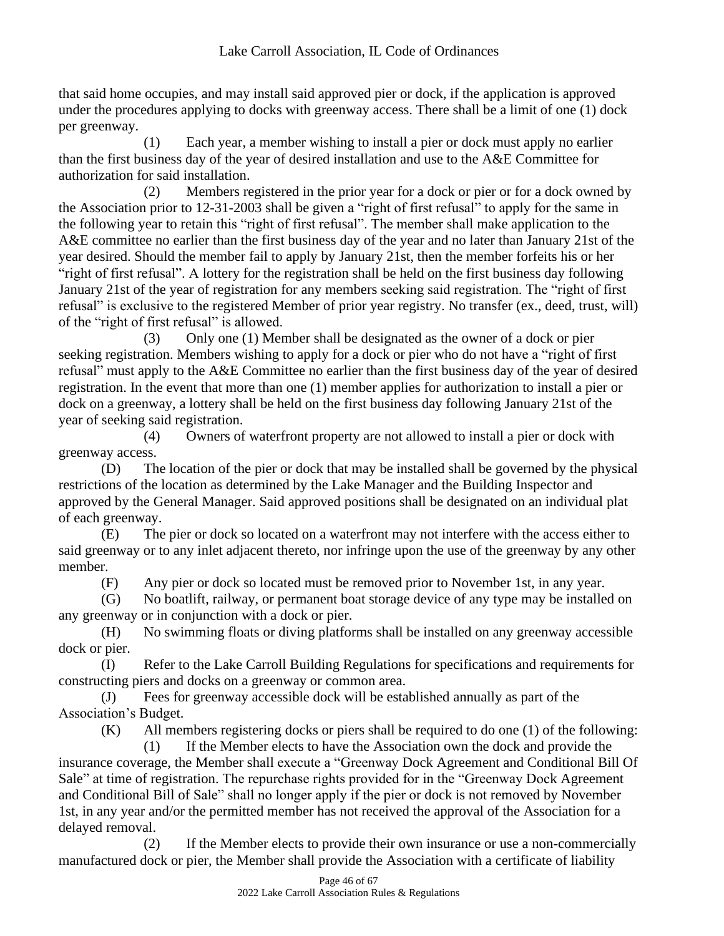that said home occupies, and may install said approved pier or dock, if the application is approved under the procedures applying to docks with greenway access. There shall be a limit of one (1) dock per greenway.

(1) Each year, a member wishing to install a pier or dock must apply no earlier than the first business day of the year of desired installation and use to the A&E Committee for authorization for said installation.

(2) Members registered in the prior year for a dock or pier or for a dock owned by the Association prior to 12-31-2003 shall be given a "right of first refusal" to apply for the same in the following year to retain this "right of first refusal". The member shall make application to the A&E committee no earlier than the first business day of the year and no later than January 21st of the year desired. Should the member fail to apply by January 21st, then the member forfeits his or her "right of first refusal". A lottery for the registration shall be held on the first business day following January 21st of the year of registration for any members seeking said registration. The "right of first refusal" is exclusive to the registered Member of prior year registry. No transfer (ex., deed, trust, will) of the "right of first refusal" is allowed.

(3) Only one (1) Member shall be designated as the owner of a dock or pier seeking registration. Members wishing to apply for a dock or pier who do not have a "right of first refusal" must apply to the A&E Committee no earlier than the first business day of the year of desired registration. In the event that more than one (1) member applies for authorization to install a pier or dock on a greenway, a lottery shall be held on the first business day following January 21st of the year of seeking said registration.

(4) Owners of waterfront property are not allowed to install a pier or dock with greenway access.

(D) The location of the pier or dock that may be installed shall be governed by the physical restrictions of the location as determined by the Lake Manager and the Building Inspector and approved by the General Manager. Said approved positions shall be designated on an individual plat of each greenway.

(E) The pier or dock so located on a waterfront may not interfere with the access either to said greenway or to any inlet adjacent thereto, nor infringe upon the use of the greenway by any other member.

(F) Any pier or dock so located must be removed prior to November 1st, in any year.

(G) No boatlift, railway, or permanent boat storage device of any type may be installed on any greenway or in conjunction with a dock or pier.

(H) No swimming floats or diving platforms shall be installed on any greenway accessible dock or pier.

(I) Refer to the Lake Carroll Building Regulations for specifications and requirements for constructing piers and docks on a greenway or common area.

(J) Fees for greenway accessible dock will be established annually as part of the Association's Budget.

(K) All members registering docks or piers shall be required to do one (1) of the following:

(1) If the Member elects to have the Association own the dock and provide the insurance coverage, the Member shall execute a "Greenway Dock Agreement and Conditional Bill Of Sale" at time of registration. The repurchase rights provided for in the "Greenway Dock Agreement and Conditional Bill of Sale" shall no longer apply if the pier or dock is not removed by November 1st, in any year and/or the permitted member has not received the approval of the Association for a delayed removal.

(2) If the Member elects to provide their own insurance or use a non-commercially manufactured dock or pier, the Member shall provide the Association with a certificate of liability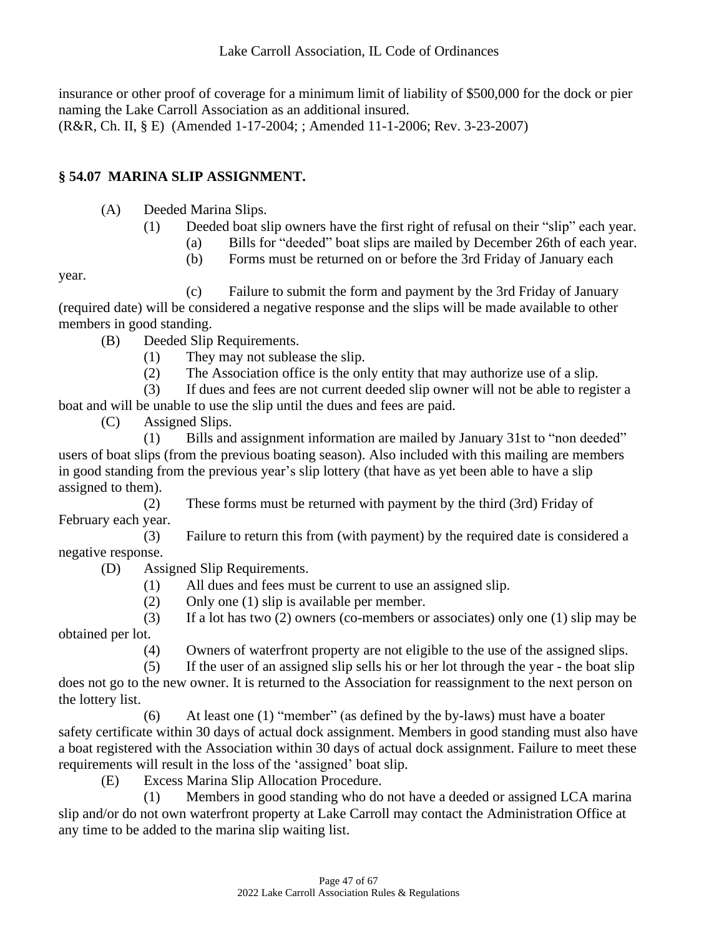insurance or other proof of coverage for a minimum limit of liability of \$500,000 for the dock or pier naming the Lake Carroll Association as an additional insured. (R&R, Ch. II, § E) (Amended 1-17-2004; ; Amended 11-1-2006; Rev. 3-23-2007)

# **§ 54.07 MARINA SLIP ASSIGNMENT.**

- (A) Deeded Marina Slips.
	- (1) Deeded boat slip owners have the first right of refusal on their "slip" each year.
		- (a) Bills for "deeded" boat slips are mailed by December 26th of each year.
		- (b) Forms must be returned on or before the 3rd Friday of January each

year.

- (c) Failure to submit the form and payment by the 3rd Friday of January (required date) will be considered a negative response and the slips will be made available to other members in good standing.
	- (B) Deeded Slip Requirements.
		- (1) They may not sublease the slip.
		- (2) The Association office is the only entity that may authorize use of a slip.

(3) If dues and fees are not current deeded slip owner will not be able to register a boat and will be unable to use the slip until the dues and fees are paid.

(C) Assigned Slips.

(1) Bills and assignment information are mailed by January 31st to "non deeded" users of boat slips (from the previous boating season). Also included with this mailing are members in good standing from the previous year's slip lottery (that have as yet been able to have a slip assigned to them).

(2) These forms must be returned with payment by the third (3rd) Friday of February each year.

(3) Failure to return this from (with payment) by the required date is considered a negative response.

(D) Assigned Slip Requirements.

- (1) All dues and fees must be current to use an assigned slip.
- (2) Only one (1) slip is available per member.

(3) If a lot has two (2) owners (co-members or associates) only one (1) slip may be obtained per lot.

(4) Owners of waterfront property are not eligible to the use of the assigned slips.

(5) If the user of an assigned slip sells his or her lot through the year - the boat slip does not go to the new owner. It is returned to the Association for reassignment to the next person on

the lottery list. (6) At least one (1) "member" (as defined by the by-laws) must have a boater safety certificate within 30 days of actual dock assignment. Members in good standing must also have a boat registered with the Association within 30 days of actual dock assignment. Failure to meet these requirements will result in the loss of the 'assigned' boat slip.

(E) Excess Marina Slip Allocation Procedure.

(1) Members in good standing who do not have a deeded or assigned LCA marina slip and/or do not own waterfront property at Lake Carroll may contact the Administration Office at any time to be added to the marina slip waiting list.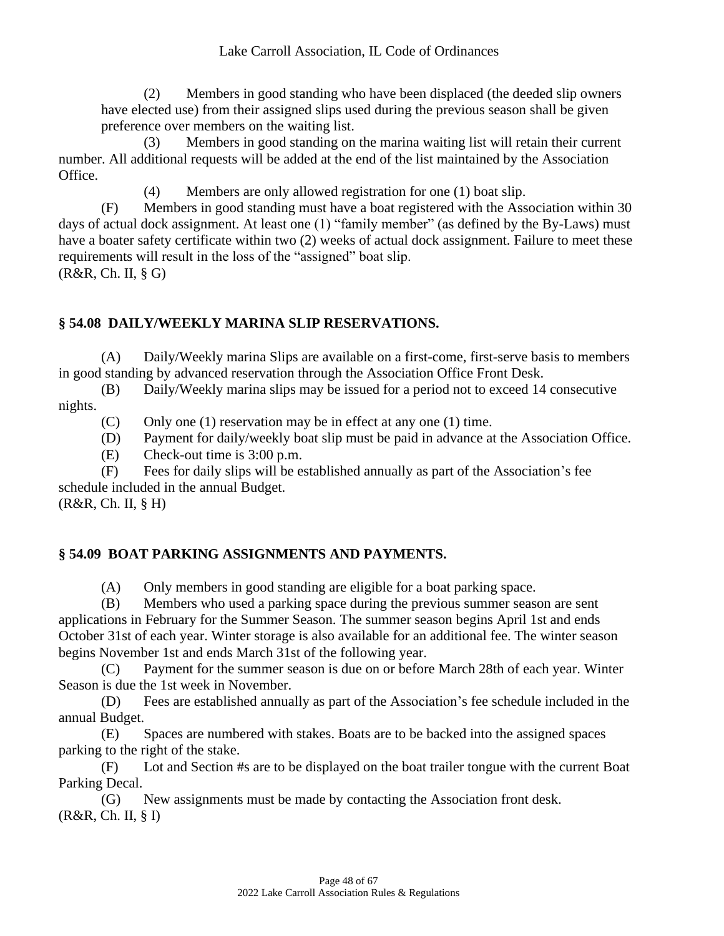(2) Members in good standing who have been displaced (the deeded slip owners have elected use) from their assigned slips used during the previous season shall be given preference over members on the waiting list.

(3) Members in good standing on the marina waiting list will retain their current number. All additional requests will be added at the end of the list maintained by the Association Office.

(4) Members are only allowed registration for one (1) boat slip.

(F) Members in good standing must have a boat registered with the Association within 30 days of actual dock assignment. At least one (1) "family member" (as defined by the By-Laws) must have a boater safety certificate within two (2) weeks of actual dock assignment. Failure to meet these requirements will result in the loss of the "assigned" boat slip. (R&R, Ch. II, § G)

#### **§ 54.08 DAILY/WEEKLY MARINA SLIP RESERVATIONS.**

(A) Daily/Weekly marina Slips are available on a first-come, first-serve basis to members in good standing by advanced reservation through the Association Office Front Desk.

(B) Daily/Weekly marina slips may be issued for a period not to exceed 14 consecutive nights.

(C) Only one (1) reservation may be in effect at any one (1) time.

(D) Payment for daily/weekly boat slip must be paid in advance at the Association Office.

(E) Check-out time is 3:00 p.m.

(F) Fees for daily slips will be established annually as part of the Association's fee schedule included in the annual Budget. (R&R, Ch. II, § H)

## **§ 54.09 BOAT PARKING ASSIGNMENTS AND PAYMENTS.**

(A) Only members in good standing are eligible for a boat parking space.

(B) Members who used a parking space during the previous summer season are sent applications in February for the Summer Season. The summer season begins April 1st and ends October 31st of each year. Winter storage is also available for an additional fee. The winter season begins November 1st and ends March 31st of the following year.

(C) Payment for the summer season is due on or before March 28th of each year. Winter Season is due the 1st week in November.

(D) Fees are established annually as part of the Association's fee schedule included in the annual Budget.

(E) Spaces are numbered with stakes. Boats are to be backed into the assigned spaces parking to the right of the stake.

(F) Lot and Section #s are to be displayed on the boat trailer tongue with the current Boat Parking Decal.

(G) New assignments must be made by contacting the Association front desk. (R&R, Ch. II, § I)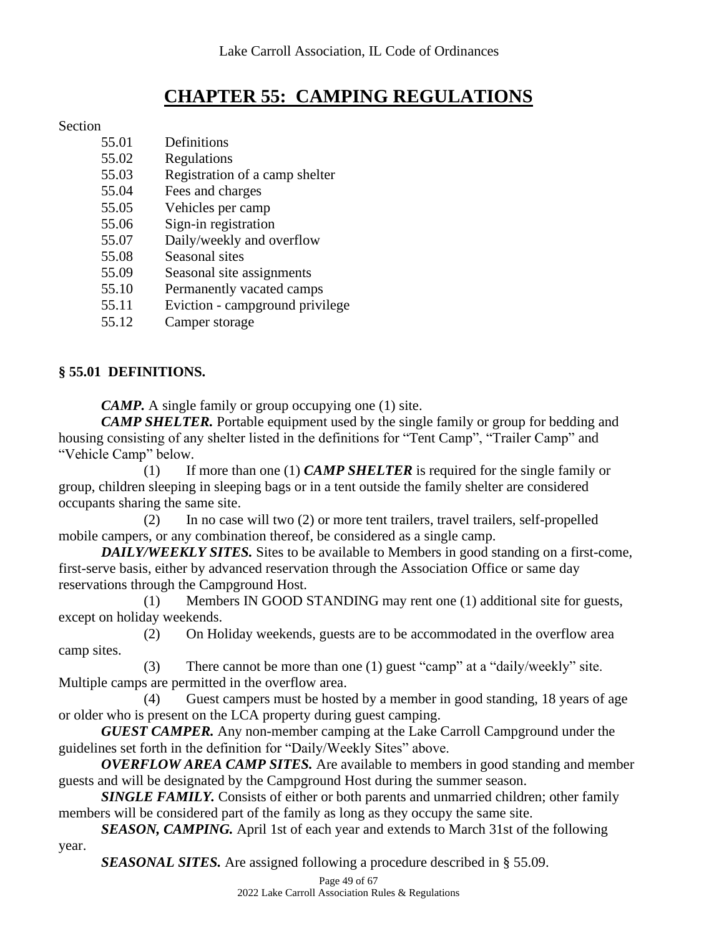# **CHAPTER 55: CAMPING REGULATIONS**

#### Section

| 55.01 | Definitions                     |
|-------|---------------------------------|
| 55.02 | Regulations                     |
| 55.03 | Registration of a camp shelter  |
| 55.04 | Fees and charges                |
| 55.05 | Vehicles per camp               |
| 55.06 | Sign-in registration            |
| 55.07 | Daily/weekly and overflow       |
| 55.08 | Seasonal sites                  |
| 55.09 | Seasonal site assignments       |
| 55.10 | Permanently vacated camps       |
| 55.11 | Eviction - campground privilege |

55.12 Camper storage

# **§ 55.01 DEFINITIONS.**

*CAMP.* A single family or group occupying one (1) site.

*CAMP SHELTER.* Portable equipment used by the single family or group for bedding and housing consisting of any shelter listed in the definitions for "Tent Camp", "Trailer Camp" and "Vehicle Camp" below.

(1) If more than one (1) *CAMP SHELTER* is required for the single family or group, children sleeping in sleeping bags or in a tent outside the family shelter are considered occupants sharing the same site.

(2) In no case will two (2) or more tent trailers, travel trailers, self-propelled mobile campers, or any combination thereof, be considered as a single camp.

*DAILY/WEEKLY SITES.* Sites to be available to Members in good standing on a first-come, first-serve basis, either by advanced reservation through the Association Office or same day reservations through the Campground Host.

(1) Members IN GOOD STANDING may rent one (1) additional site for guests, except on holiday weekends.

(2) On Holiday weekends, guests are to be accommodated in the overflow area camp sites.

(3) There cannot be more than one (1) guest "camp" at a "daily/weekly" site. Multiple camps are permitted in the overflow area.

(4) Guest campers must be hosted by a member in good standing, 18 years of age or older who is present on the LCA property during guest camping.

*GUEST CAMPER.* Any non-member camping at the Lake Carroll Campground under the guidelines set forth in the definition for "Daily/Weekly Sites" above.

*OVERFLOW AREA CAMP SITES.* Are available to members in good standing and member guests and will be designated by the Campground Host during the summer season.

**SINGLE FAMILY.** Consists of either or both parents and unmarried children; other family members will be considered part of the family as long as they occupy the same site.

*SEASON, CAMPING.* April 1st of each year and extends to March 31st of the following year.

*SEASONAL SITES.* Are assigned following a procedure described in § 55.09.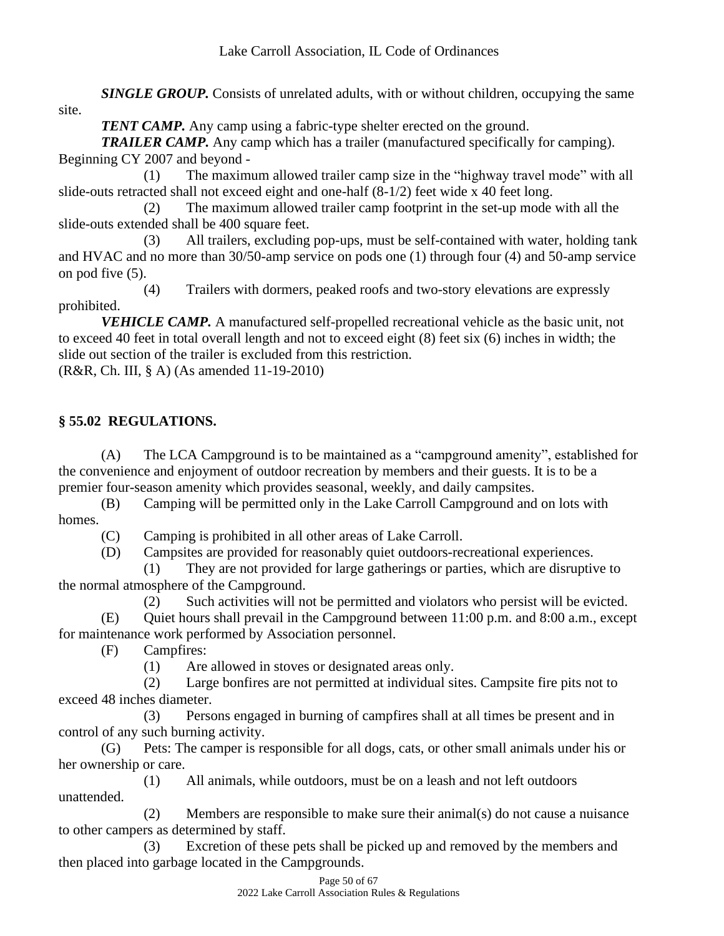*SINGLE GROUP.* Consists of unrelated adults, with or without children, occupying the same site.

*TENT CAMP*. Any camp using a fabric-type shelter erected on the ground.

*TRAILER CAMP.* Any camp which has a trailer (manufactured specifically for camping). Beginning CY 2007 and beyond -

(1) The maximum allowed trailer camp size in the "highway travel mode" with all slide-outs retracted shall not exceed eight and one-half (8-1/2) feet wide x 40 feet long.

(2) The maximum allowed trailer camp footprint in the set-up mode with all the slide-outs extended shall be 400 square feet.

(3) All trailers, excluding pop-ups, must be self-contained with water, holding tank and HVAC and no more than 30/50-amp service on pods one (1) through four (4) and 50-amp service on pod five (5).

(4) Trailers with dormers, peaked roofs and two-story elevations are expressly prohibited.

*VEHICLE CAMP.* A manufactured self-propelled recreational vehicle as the basic unit, not to exceed 40 feet in total overall length and not to exceed eight (8) feet six (6) inches in width; the slide out section of the trailer is excluded from this restriction.

(R&R, Ch. III, § A) (As amended 11-19-2010)

# **§ 55.02 REGULATIONS.**

(A) The LCA Campground is to be maintained as a "campground amenity", established for the convenience and enjoyment of outdoor recreation by members and their guests. It is to be a premier four-season amenity which provides seasonal, weekly, and daily campsites.

(B) Camping will be permitted only in the Lake Carroll Campground and on lots with homes.

(C) Camping is prohibited in all other areas of Lake Carroll.

(D) Campsites are provided for reasonably quiet outdoors-recreational experiences.

(1) They are not provided for large gatherings or parties, which are disruptive to the normal atmosphere of the Campground.

(2) Such activities will not be permitted and violators who persist will be evicted.

(E) Quiet hours shall prevail in the Campground between 11:00 p.m. and 8:00 a.m., except for maintenance work performed by Association personnel.

(F) Campfires:

(1) Are allowed in stoves or designated areas only.

(2) Large bonfires are not permitted at individual sites. Campsite fire pits not to exceed 48 inches diameter.

(3) Persons engaged in burning of campfires shall at all times be present and in control of any such burning activity.

(G) Pets: The camper is responsible for all dogs, cats, or other small animals under his or her ownership or care.

(1) All animals, while outdoors, must be on a leash and not left outdoors unattended.

(2) Members are responsible to make sure their animal(s) do not cause a nuisance to other campers as determined by staff.

(3) Excretion of these pets shall be picked up and removed by the members and then placed into garbage located in the Campgrounds.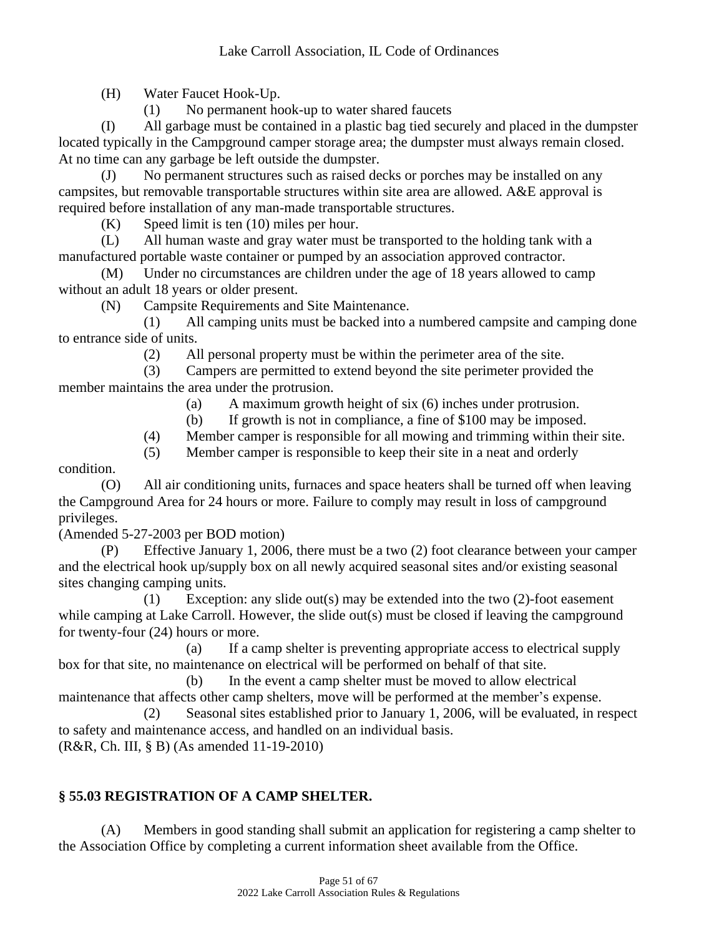(H) Water Faucet Hook-Up.

(1) No permanent hook-up to water shared faucets

(I) All garbage must be contained in a plastic bag tied securely and placed in the dumpster located typically in the Campground camper storage area; the dumpster must always remain closed. At no time can any garbage be left outside the dumpster.

(J) No permanent structures such as raised decks or porches may be installed on any campsites, but removable transportable structures within site area are allowed. A&E approval is required before installation of any man-made transportable structures.

(K) Speed limit is ten (10) miles per hour.

(L) All human waste and gray water must be transported to the holding tank with a manufactured portable waste container or pumped by an association approved contractor.

(M) Under no circumstances are children under the age of 18 years allowed to camp without an adult 18 years or older present.

(N) Campsite Requirements and Site Maintenance.

(1) All camping units must be backed into a numbered campsite and camping done to entrance side of units.

(2) All personal property must be within the perimeter area of the site.

(3) Campers are permitted to extend beyond the site perimeter provided the member maintains the area under the protrusion.

(a) A maximum growth height of six (6) inches under protrusion.

(b) If growth is not in compliance, a fine of \$100 may be imposed.

(4) Member camper is responsible for all mowing and trimming within their site.

(5) Member camper is responsible to keep their site in a neat and orderly

condition.

(O) All air conditioning units, furnaces and space heaters shall be turned off when leaving the Campground Area for 24 hours or more. Failure to comply may result in loss of campground privileges.

(Amended 5-27-2003 per BOD motion)

(P) Effective January 1, 2006, there must be a two (2) foot clearance between your camper and the electrical hook up/supply box on all newly acquired seasonal sites and/or existing seasonal sites changing camping units.

(1) Exception: any slide out(s) may be extended into the two (2)-foot easement while camping at Lake Carroll. However, the slide out(s) must be closed if leaving the campground for twenty-four (24) hours or more.

(a) If a camp shelter is preventing appropriate access to electrical supply box for that site, no maintenance on electrical will be performed on behalf of that site.

(b) In the event a camp shelter must be moved to allow electrical maintenance that affects other camp shelters, move will be performed at the member's expense. (2) Seasonal sites established prior to January 1, 2006, will be evaluated, in respect to safety and maintenance access, and handled on an individual basis. (R&R, Ch. III, § B) (As amended 11-19-2010)

# **§ 55.03 REGISTRATION OF A CAMP SHELTER.**

(A) Members in good standing shall submit an application for registering a camp shelter to the Association Office by completing a current information sheet available from the Office.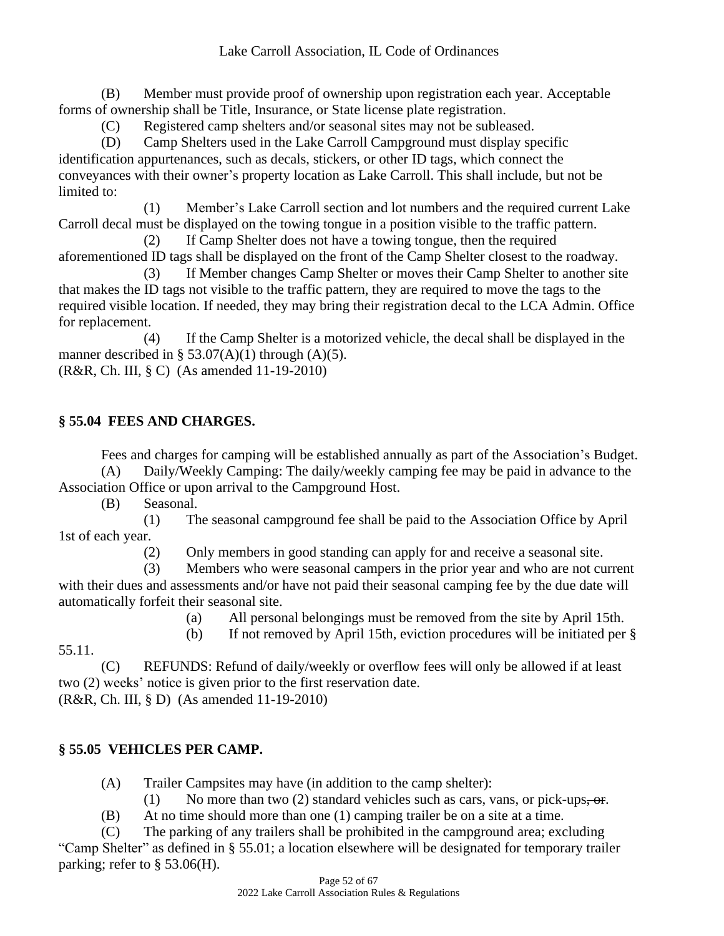(B) Member must provide proof of ownership upon registration each year. Acceptable forms of ownership shall be Title, Insurance, or State license plate registration.

(C) Registered camp shelters and/or seasonal sites may not be subleased.

(D) Camp Shelters used in the Lake Carroll Campground must display specific identification appurtenances, such as decals, stickers, or other ID tags, which connect the conveyances with their owner's property location as Lake Carroll. This shall include, but not be limited to:

(1) Member's Lake Carroll section and lot numbers and the required current Lake Carroll decal must be displayed on the towing tongue in a position visible to the traffic pattern.

(2) If Camp Shelter does not have a towing tongue, then the required aforementioned ID tags shall be displayed on the front of the Camp Shelter closest to the roadway.

(3) If Member changes Camp Shelter or moves their Camp Shelter to another site that makes the ID tags not visible to the traffic pattern, they are required to move the tags to the required visible location. If needed, they may bring their registration decal to the LCA Admin. Office for replacement.

(4) If the Camp Shelter is a motorized vehicle, the decal shall be displayed in the manner described in § 53.07(A)(1) through (A)(5).

(R&R, Ch. III, § C) (As amended 11-19-2010)

# **§ 55.04 FEES AND CHARGES.**

Fees and charges for camping will be established annually as part of the Association's Budget. (A) Daily/Weekly Camping: The daily/weekly camping fee may be paid in advance to the

Association Office or upon arrival to the Campground Host.

(B) Seasonal.

(1) The seasonal campground fee shall be paid to the Association Office by April 1st of each year.

(2) Only members in good standing can apply for and receive a seasonal site.

(3) Members who were seasonal campers in the prior year and who are not current with their dues and assessments and/or have not paid their seasonal camping fee by the due date will automatically forfeit their seasonal site.

(a) All personal belongings must be removed from the site by April 15th.

(b) If not removed by April 15th, eviction procedures will be initiated per §

55.11.

(C) REFUNDS: Refund of daily/weekly or overflow fees will only be allowed if at least two (2) weeks' notice is given prior to the first reservation date. (R&R, Ch. III, § D) (As amended 11-19-2010)

# **§ 55.05 VEHICLES PER CAMP.**

(A) Trailer Campsites may have (in addition to the camp shelter):

(1) No more than two (2) standard vehicles such as cars, vans, or pick-ups, or.

(B) At no time should more than one (1) camping trailer be on a site at a time.

(C) The parking of any trailers shall be prohibited in the campground area; excluding "Camp Shelter" as defined in § 55.01; a location elsewhere will be designated for temporary trailer parking; refer to § 53.06(H).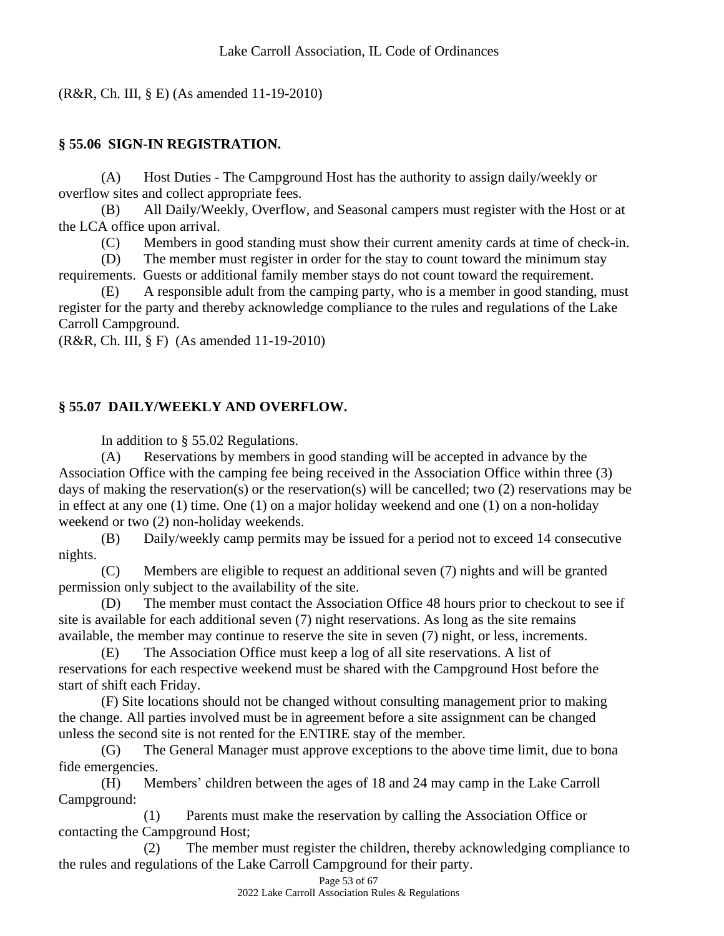(R&R, Ch. III, § E) (As amended 11-19-2010)

# **§ 55.06 SIGN-IN REGISTRATION.**

(A) Host Duties - The Campground Host has the authority to assign daily/weekly or overflow sites and collect appropriate fees.

(B) All Daily/Weekly, Overflow, and Seasonal campers must register with the Host or at the LCA office upon arrival.

(C) Members in good standing must show their current amenity cards at time of check-in.

(D) The member must register in order for the stay to count toward the minimum stay requirements. Guests or additional family member stays do not count toward the requirement.

(E) A responsible adult from the camping party, who is a member in good standing, must register for the party and thereby acknowledge compliance to the rules and regulations of the Lake Carroll Campground.

(R&R, Ch. III, § F) (As amended 11-19-2010)

# **§ 55.07 DAILY/WEEKLY AND OVERFLOW.**

In addition to § 55.02 Regulations.

(A) Reservations by members in good standing will be accepted in advance by the Association Office with the camping fee being received in the Association Office within three (3) days of making the reservation(s) or the reservation(s) will be cancelled; two (2) reservations may be in effect at any one (1) time. One (1) on a major holiday weekend and one (1) on a non-holiday weekend or two (2) non-holiday weekends.

(B) Daily/weekly camp permits may be issued for a period not to exceed 14 consecutive nights.

(C) Members are eligible to request an additional seven (7) nights and will be granted permission only subject to the availability of the site.

(D) The member must contact the Association Office 48 hours prior to checkout to see if site is available for each additional seven (7) night reservations. As long as the site remains available, the member may continue to reserve the site in seven (7) night, or less, increments.

(E) The Association Office must keep a log of all site reservations. A list of reservations for each respective weekend must be shared with the Campground Host before the start of shift each Friday.

(F) Site locations should not be changed without consulting management prior to making the change. All parties involved must be in agreement before a site assignment can be changed unless the second site is not rented for the ENTIRE stay of the member.

(G) The General Manager must approve exceptions to the above time limit, due to bona fide emergencies.

(H) Members' children between the ages of 18 and 24 may camp in the Lake Carroll Campground:

(1) Parents must make the reservation by calling the Association Office or contacting the Campground Host;

(2) The member must register the children, thereby acknowledging compliance to the rules and regulations of the Lake Carroll Campground for their party.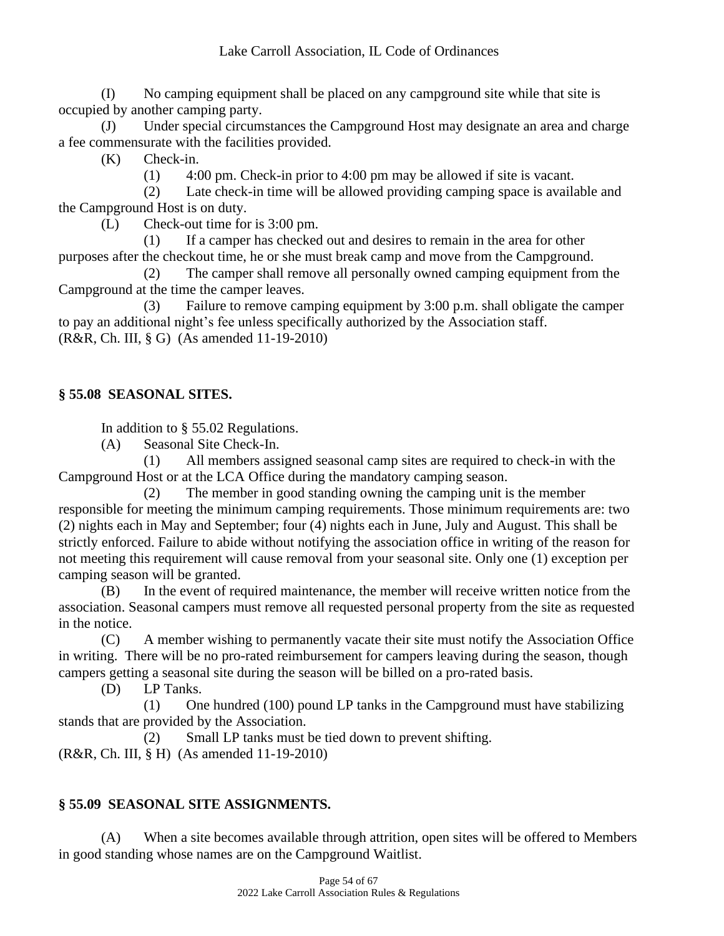(I) No camping equipment shall be placed on any campground site while that site is occupied by another camping party.

(J) Under special circumstances the Campground Host may designate an area and charge a fee commensurate with the facilities provided.

(K) Check-in.

(1) 4:00 pm. Check-in prior to 4:00 pm may be allowed if site is vacant.

(2) Late check-in time will be allowed providing camping space is available and the Campground Host is on duty.

(L) Check-out time for is 3:00 pm.

(1) If a camper has checked out and desires to remain in the area for other purposes after the checkout time, he or she must break camp and move from the Campground.

(2) The camper shall remove all personally owned camping equipment from the Campground at the time the camper leaves.

(3) Failure to remove camping equipment by 3:00 p.m. shall obligate the camper to pay an additional night's fee unless specifically authorized by the Association staff. (R&R, Ch. III, § G) (As amended 11-19-2010)

# **§ 55.08 SEASONAL SITES.**

In addition to § 55.02 Regulations.

(A) Seasonal Site Check-In.

(1) All members assigned seasonal camp sites are required to check-in with the Campground Host or at the LCA Office during the mandatory camping season.

(2) The member in good standing owning the camping unit is the member responsible for meeting the minimum camping requirements. Those minimum requirements are: two (2) nights each in May and September; four (4) nights each in June, July and August. This shall be strictly enforced. Failure to abide without notifying the association office in writing of the reason for not meeting this requirement will cause removal from your seasonal site. Only one (1) exception per camping season will be granted.

(B) In the event of required maintenance, the member will receive written notice from the association. Seasonal campers must remove all requested personal property from the site as requested in the notice.

(C) A member wishing to permanently vacate their site must notify the Association Office in writing. There will be no pro-rated reimbursement for campers leaving during the season, though campers getting a seasonal site during the season will be billed on a pro-rated basis.

(D) LP Tanks.

(1) One hundred (100) pound LP tanks in the Campground must have stabilizing stands that are provided by the Association.

(2) Small LP tanks must be tied down to prevent shifting.

(R&R, Ch. III, § H) (As amended 11-19-2010)

# **§ 55.09 SEASONAL SITE ASSIGNMENTS.**

(A) When a site becomes available through attrition, open sites will be offered to Members in good standing whose names are on the Campground Waitlist.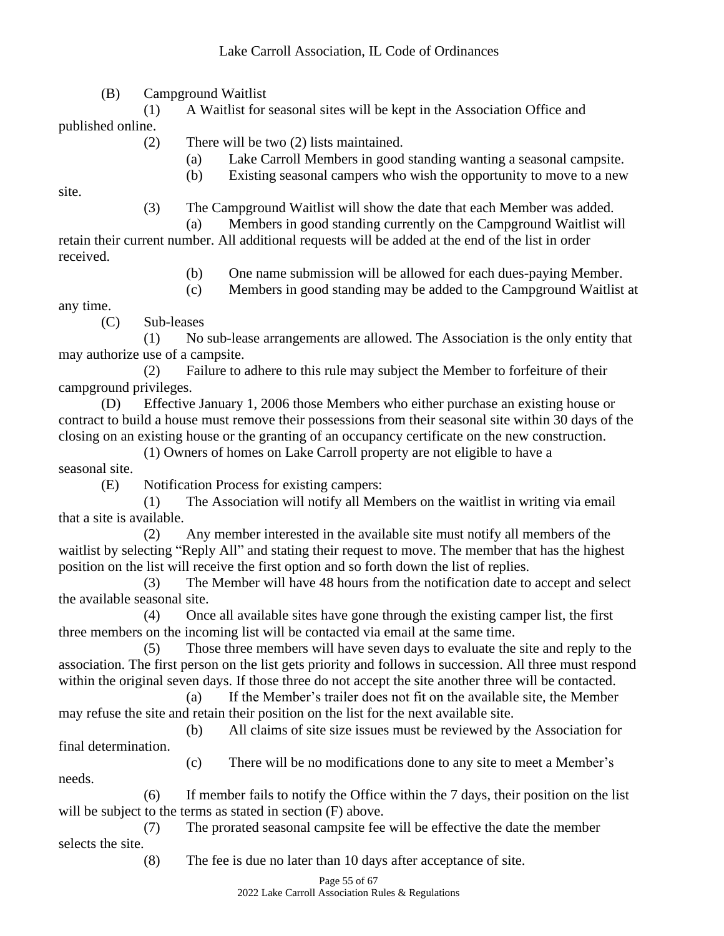(B) Campground Waitlist

(1) A Waitlist for seasonal sites will be kept in the Association Office and published online.

- (2) There will be two (2) lists maintained.
	- (a) Lake Carroll Members in good standing wanting a seasonal campsite.
	- (b) Existing seasonal campers who wish the opportunity to move to a new

site.

(3) The Campground Waitlist will show the date that each Member was added.

- (a) Members in good standing currently on the Campground Waitlist will retain their current number. All additional requests will be added at the end of the list in order
- received.
- (b) One name submission will be allowed for each dues-paying Member.
- (c) Members in good standing may be added to the Campground Waitlist at

any time.

(C) Sub-leases

(1) No sub-lease arrangements are allowed. The Association is the only entity that may authorize use of a campsite.

(2) Failure to adhere to this rule may subject the Member to forfeiture of their campground privileges.

(D) Effective January 1, 2006 those Members who either purchase an existing house or contract to build a house must remove their possessions from their seasonal site within 30 days of the closing on an existing house or the granting of an occupancy certificate on the new construction.

(1) Owners of homes on Lake Carroll property are not eligible to have a

seasonal site.

(E) Notification Process for existing campers:

(1) The Association will notify all Members on the waitlist in writing via email that a site is available.

(2) Any member interested in the available site must notify all members of the waitlist by selecting "Reply All" and stating their request to move. The member that has the highest position on the list will receive the first option and so forth down the list of replies.

(3) The Member will have 48 hours from the notification date to accept and select the available seasonal site.

(4) Once all available sites have gone through the existing camper list, the first three members on the incoming list will be contacted via email at the same time.

(5) Those three members will have seven days to evaluate the site and reply to the association. The first person on the list gets priority and follows in succession. All three must respond within the original seven days. If those three do not accept the site another three will be contacted.

(a) If the Member's trailer does not fit on the available site, the Member may refuse the site and retain their position on the list for the next available site.

(b) All claims of site size issues must be reviewed by the Association for final determination.

needs.

(c) There will be no modifications done to any site to meet a Member's

(6) If member fails to notify the Office within the 7 days, their position on the list will be subject to the terms as stated in section (F) above.

(7) The prorated seasonal campsite fee will be effective the date the member selects the site.

(8) The fee is due no later than 10 days after acceptance of site.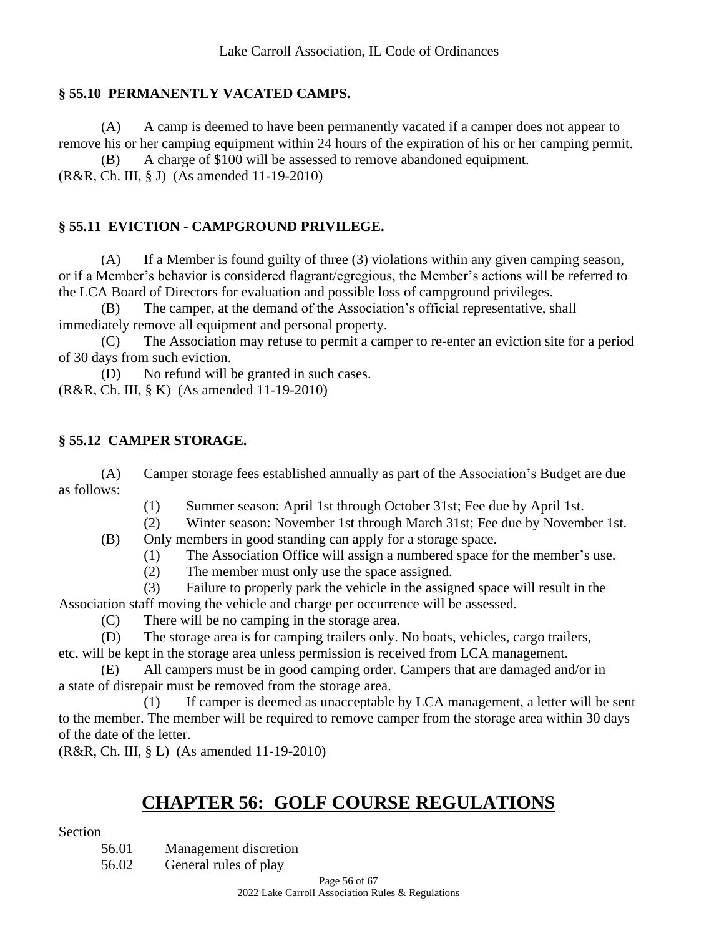#### **§ 55.10 PERMANENTLY VACATED CAMPS.**

(A) A camp is deemed to have been permanently vacated if a camper does not appear to remove his or her camping equipment within 24 hours of the expiration of his or her camping permit.

(B) A charge of \$100 will be assessed to remove abandoned equipment. (R&R, Ch. III, § J) (As amended 11-19-2010)

#### **§ 55.11 EVICTION - CAMPGROUND PRIVILEGE.**

(A) If a Member is found guilty of three (3) violations within any given camping season, or if a Member's behavior is considered flagrant/egregious, the Member's actions will be referred to the LCA Board of Directors for evaluation and possible loss of campground privileges.

(B) The camper, at the demand of the Association's official representative, shall immediately remove all equipment and personal property.

(C) The Association may refuse to permit a camper to re-enter an eviction site for a period of 30 days from such eviction.

(D) No refund will be granted in such cases. (R&R, Ch. III, § K) (As amended 11-19-2010)

#### **§ 55.12 CAMPER STORAGE.**

(A) Camper storage fees established annually as part of the Association's Budget are due as follows:

- (1) Summer season: April 1st through October 31st; Fee due by April 1st.
- (2) Winter season: November 1st through March 31st; Fee due by November 1st.

(B) Only members in good standing can apply for a storage space.

- (1) The Association Office will assign a numbered space for the member's use.
- (2) The member must only use the space assigned.
- (3) Failure to properly park the vehicle in the assigned space will result in the Association staff moving the vehicle and charge per occurrence will be assessed.

(C) There will be no camping in the storage area.

(D) The storage area is for camping trailers only. No boats, vehicles, cargo trailers, etc. will be kept in the storage area unless permission is received from LCA management.

(E) All campers must be in good camping order. Campers that are damaged and/or in a state of disrepair must be removed from the storage area.

(1) If camper is deemed as unacceptable by LCA management, a letter will be sent to the member. The member will be required to remove camper from the storage area within 30 days of the date of the letter.

(R&R, Ch. III, § L) (As amended 11-19-2010)

# **CHAPTER 56: GOLF COURSE REGULATIONS**

Section

56.01 Management discretion 56.02 General rules of play

> Page 56 of 67 2022 Lake Carroll Association Rules & Regulations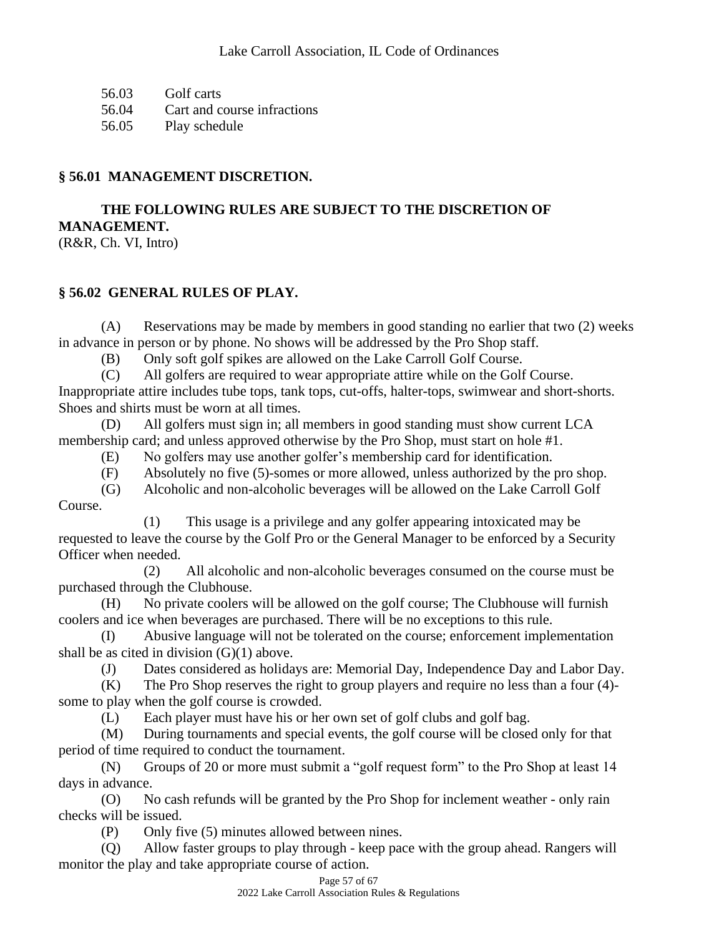56.03 Golf carts

56.04 Cart and course infractions

56.05 Play schedule

## **§ 56.01 MANAGEMENT DISCRETION.**

**THE FOLLOWING RULES ARE SUBJECT TO THE DISCRETION OF MANAGEMENT.**

(R&R, Ch. VI, Intro)

# **§ 56.02 GENERAL RULES OF PLAY.**

(A) Reservations may be made by members in good standing no earlier that two (2) weeks in advance in person or by phone. No shows will be addressed by the Pro Shop staff.

(B) Only soft golf spikes are allowed on the Lake Carroll Golf Course.

(C) All golfers are required to wear appropriate attire while on the Golf Course. Inappropriate attire includes tube tops, tank tops, cut-offs, halter-tops, swimwear and short-shorts. Shoes and shirts must be worn at all times.

(D) All golfers must sign in; all members in good standing must show current LCA membership card; and unless approved otherwise by the Pro Shop, must start on hole #1.

(E) No golfers may use another golfer's membership card for identification.

(F) Absolutely no five (5)-somes or more allowed, unless authorized by the pro shop.

(G) Alcoholic and non-alcoholic beverages will be allowed on the Lake Carroll Golf

Course.

(1) This usage is a privilege and any golfer appearing intoxicated may be requested to leave the course by the Golf Pro or the General Manager to be enforced by a Security Officer when needed.

(2) All alcoholic and non-alcoholic beverages consumed on the course must be purchased through the Clubhouse.

(H) No private coolers will be allowed on the golf course; The Clubhouse will furnish coolers and ice when beverages are purchased. There will be no exceptions to this rule.

(I) Abusive language will not be tolerated on the course; enforcement implementation shall be as cited in division (G)(1) above.

(J) Dates considered as holidays are: Memorial Day, Independence Day and Labor Day.

(K) The Pro Shop reserves the right to group players and require no less than a four (4) some to play when the golf course is crowded.

(L) Each player must have his or her own set of golf clubs and golf bag.

(M) During tournaments and special events, the golf course will be closed only for that period of time required to conduct the tournament.

(N) Groups of 20 or more must submit a "golf request form" to the Pro Shop at least 14 days in advance.

(O) No cash refunds will be granted by the Pro Shop for inclement weather - only rain checks will be issued.

(P) Only five (5) minutes allowed between nines.

(Q) Allow faster groups to play through - keep pace with the group ahead. Rangers will monitor the play and take appropriate course of action.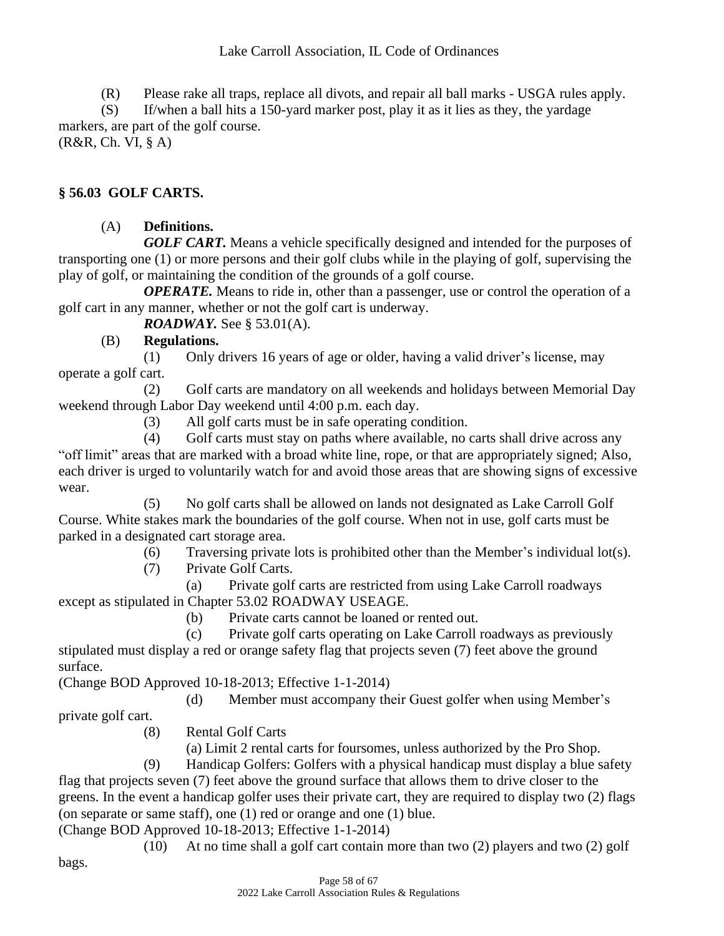(R) Please rake all traps, replace all divots, and repair all ball marks - USGA rules apply.

(S) If/when a ball hits a 150-yard marker post, play it as it lies as they, the yardage markers, are part of the golf course.

(R&R, Ch. VI, § A)

# **§ 56.03 GOLF CARTS.**

# (A) **Definitions.**

*GOLF CART.* Means a vehicle specifically designed and intended for the purposes of transporting one (1) or more persons and their golf clubs while in the playing of golf, supervising the play of golf, or maintaining the condition of the grounds of a golf course.

*OPERATE*. Means to ride in, other than a passenger, use or control the operation of a golf cart in any manner, whether or not the golf cart is underway.

*ROADWAY.* See § 53.01(A).

# (B) **Regulations.**

(1) Only drivers 16 years of age or older, having a valid driver's license, may operate a golf cart.

(2) Golf carts are mandatory on all weekends and holidays between Memorial Day weekend through Labor Day weekend until 4:00 p.m. each day.

(3) All golf carts must be in safe operating condition.

(4) Golf carts must stay on paths where available, no carts shall drive across any "off limit" areas that are marked with a broad white line, rope, or that are appropriately signed; Also, each driver is urged to voluntarily watch for and avoid those areas that are showing signs of excessive wear.

(5) No golf carts shall be allowed on lands not designated as Lake Carroll Golf Course. White stakes mark the boundaries of the golf course. When not in use, golf carts must be parked in a designated cart storage area.

(6) Traversing private lots is prohibited other than the Member's individual lot(s).

(7) Private Golf Carts.

(a) Private golf carts are restricted from using Lake Carroll roadways except as stipulated in Chapter 53.02 ROADWAY USEAGE.

(b) Private carts cannot be loaned or rented out.

(c) Private golf carts operating on Lake Carroll roadways as previously stipulated must display a red or orange safety flag that projects seven (7) feet above the ground surface.

(Change BOD Approved 10-18-2013; Effective 1-1-2014)

(d) Member must accompany their Guest golfer when using Member's

private golf cart.

(8) Rental Golf Carts

(a) Limit 2 rental carts for foursomes, unless authorized by the Pro Shop.

(9) Handicap Golfers: Golfers with a physical handicap must display a blue safety flag that projects seven (7) feet above the ground surface that allows them to drive closer to the greens. In the event a handicap golfer uses their private cart, they are required to display two (2) flags (on separate or same staff), one (1) red or orange and one (1) blue.

(Change BOD Approved 10-18-2013; Effective 1-1-2014)

(10) At no time shall a golf cart contain more than two (2) players and two (2) golf

bags.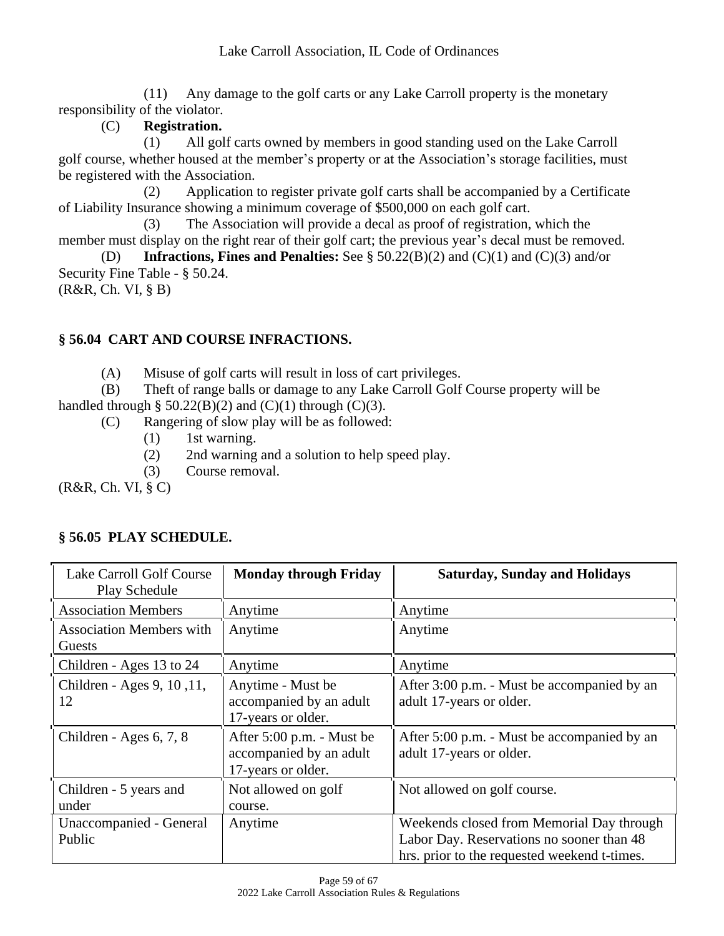(11) Any damage to the golf carts or any Lake Carroll property is the monetary responsibility of the violator.

# (C) **Registration.**

(1) All golf carts owned by members in good standing used on the Lake Carroll golf course, whether housed at the member's property or at the Association's storage facilities, must be registered with the Association.

(2) Application to register private golf carts shall be accompanied by a Certificate of Liability Insurance showing a minimum coverage of \$500,000 on each golf cart.

(3) The Association will provide a decal as proof of registration, which the member must display on the right rear of their golf cart; the previous year's decal must be removed. (D) **Infractions, Fines and Penalties:** See § 50.22(B)(2) and (C)(1) and (C)(3) and/or

Security Fine Table - § 50.24. (R&R, Ch. VI, § B)

# **§ 56.04 CART AND COURSE INFRACTIONS.**

(A) Misuse of golf carts will result in loss of cart privileges.

(B) Theft of range balls or damage to any Lake Carroll Golf Course property will be handled through § 50.22(B)(2) and (C)(1) through (C)(3).

(C) Rangering of slow play will be as followed:

- (1) 1st warning.
- (2) 2nd warning and a solution to help speed play.
- (3) Course removal.

(R&R, Ch. VI, § C)

| Lake Carroll Golf Course<br>Play Schedule | <b>Monday through Friday</b>                                               | <b>Saturday, Sunday and Holidays</b>                                                                                                   |
|-------------------------------------------|----------------------------------------------------------------------------|----------------------------------------------------------------------------------------------------------------------------------------|
| <b>Association Members</b>                | Anytime                                                                    | Anytime                                                                                                                                |
| <b>Association Members with</b><br>Guests | Anytime                                                                    | Anytime                                                                                                                                |
| Children - Ages 13 to 24                  | Anytime                                                                    | Anytime                                                                                                                                |
| Children - Ages 9, 10, 11,<br>12          | Anytime - Must be<br>accompanied by an adult<br>17-years or older.         | After 3:00 p.m. - Must be accompanied by an<br>adult 17-years or older.                                                                |
| Children - Ages 6, 7, 8                   | After 5:00 p.m. - Must be<br>accompanied by an adult<br>17-years or older. | After 5:00 p.m. - Must be accompanied by an<br>adult 17-years or older.                                                                |
| Children - 5 years and<br>under           | Not allowed on golf<br>course.                                             | Not allowed on golf course.                                                                                                            |
| Unaccompanied - General<br>Public         | Anytime                                                                    | Weekends closed from Memorial Day through<br>Labor Day. Reservations no sooner than 48<br>hrs. prior to the requested weekend t-times. |

# **§ 56.05 PLAY SCHEDULE.**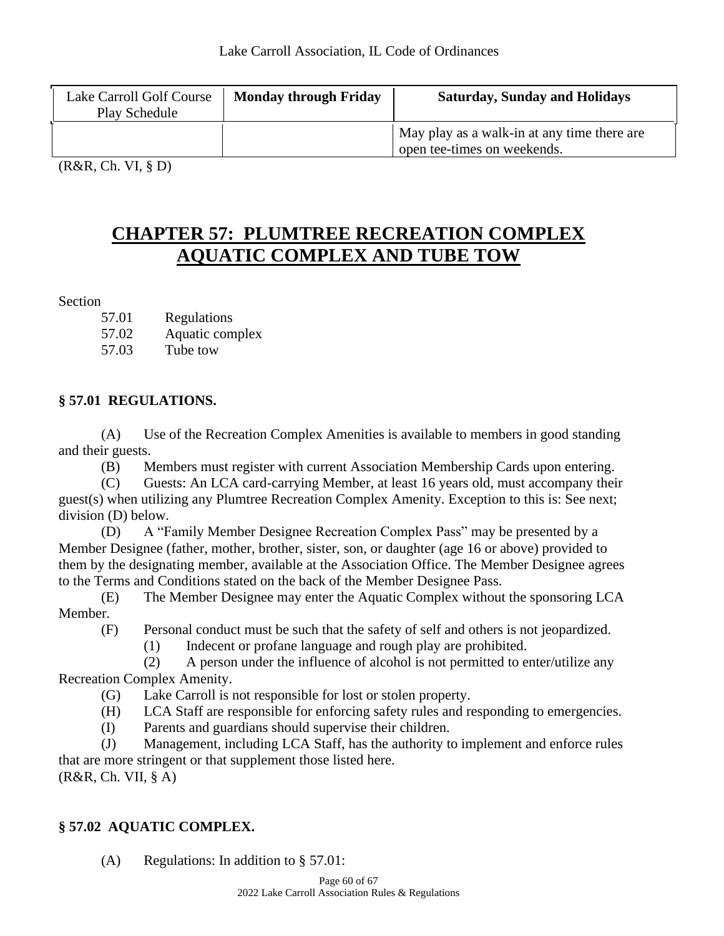| Lake Carroll Golf Course<br>Play Schedule | <b>Monday through Friday</b> | <b>Saturday, Sunday and Holidays</b>                                       |
|-------------------------------------------|------------------------------|----------------------------------------------------------------------------|
|                                           |                              | May play as a walk-in at any time there are<br>open tee-times on weekends. |
| $(0.002)$ $(1.302)$                       |                              |                                                                            |

(R&R, Ch. VI, § D)

# **CHAPTER 57: PLUMTREE RECREATION COMPLEX AQUATIC COMPLEX AND TUBE TOW**

Section

57.02 Aquatic complex

57.03 Tube tow

# **§ 57.01 REGULATIONS.**

(A) Use of the Recreation Complex Amenities is available to members in good standing and their guests.

(B) Members must register with current Association Membership Cards upon entering.

(C) Guests: An LCA card-carrying Member, at least 16 years old, must accompany their guest(s) when utilizing any Plumtree Recreation Complex Amenity. Exception to this is: See next; division (D) below.

(D) A "Family Member Designee Recreation Complex Pass" may be presented by a Member Designee (father, mother, brother, sister, son, or daughter (age 16 or above) provided to them by the designating member, available at the Association Office. The Member Designee agrees to the Terms and Conditions stated on the back of the Member Designee Pass.

(E) The Member Designee may enter the Aquatic Complex without the sponsoring LCA Member.

(F) Personal conduct must be such that the safety of self and others is not jeopardized.

(1) Indecent or profane language and rough play are prohibited.

(2) A person under the influence of alcohol is not permitted to enter/utilize any Recreation Complex Amenity.

(G) Lake Carroll is not responsible for lost or stolen property.

(H) LCA Staff are responsible for enforcing safety rules and responding to emergencies.

(I) Parents and guardians should supervise their children.

(J) Management, including LCA Staff, has the authority to implement and enforce rules that are more stringent or that supplement those listed here.  $(R&R, Ch. VII, § A)$ 

# **§ 57.02 AQUATIC COMPLEX.**

(A) Regulations: In addition to § 57.01: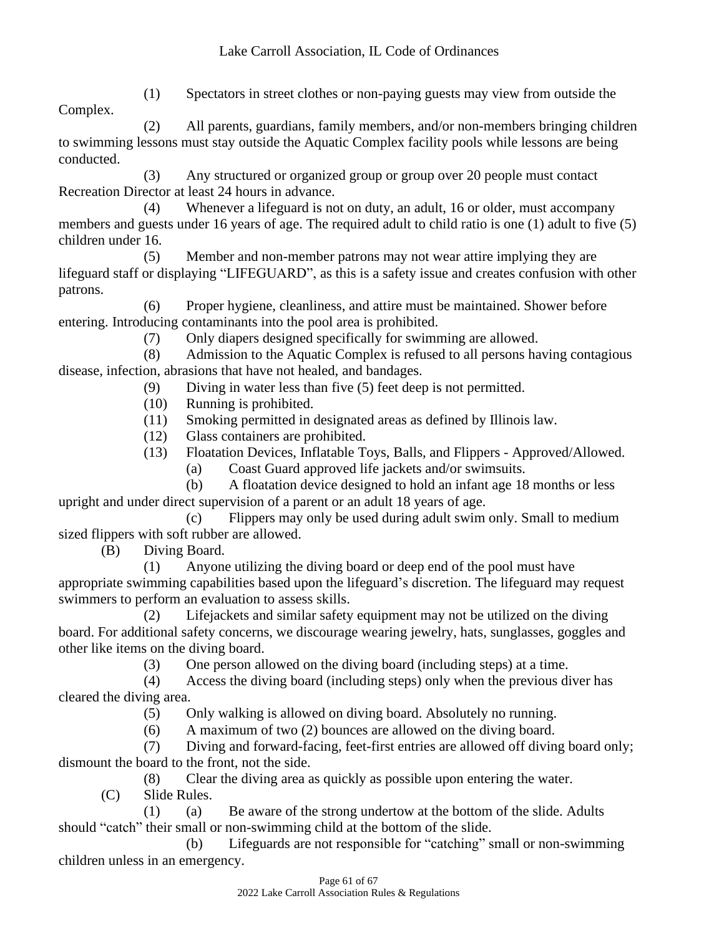(1) Spectators in street clothes or non-paying guests may view from outside the Complex.

(2) All parents, guardians, family members, and/or non-members bringing children to swimming lessons must stay outside the Aquatic Complex facility pools while lessons are being conducted.

(3) Any structured or organized group or group over 20 people must contact Recreation Director at least 24 hours in advance.

(4) Whenever a lifeguard is not on duty, an adult, 16 or older, must accompany members and guests under 16 years of age. The required adult to child ratio is one (1) adult to five (5) children under 16.

(5) Member and non-member patrons may not wear attire implying they are lifeguard staff or displaying "LIFEGUARD", as this is a safety issue and creates confusion with other patrons.

(6) Proper hygiene, cleanliness, and attire must be maintained. Shower before entering. Introducing contaminants into the pool area is prohibited.

(7) Only diapers designed specifically for swimming are allowed.

(8) Admission to the Aquatic Complex is refused to all persons having contagious disease, infection, abrasions that have not healed, and bandages.

- (9) Diving in water less than five (5) feet deep is not permitted.
- (10) Running is prohibited.

(11) Smoking permitted in designated areas as defined by Illinois law.

- (12) Glass containers are prohibited.
- (13) Floatation Devices, Inflatable Toys, Balls, and Flippers Approved/Allowed.
	- (a) Coast Guard approved life jackets and/or swimsuits.

(b) A floatation device designed to hold an infant age 18 months or less upright and under direct supervision of a parent or an adult 18 years of age.

(c) Flippers may only be used during adult swim only. Small to medium sized flippers with soft rubber are allowed.

(B) Diving Board.

(1) Anyone utilizing the diving board or deep end of the pool must have appropriate swimming capabilities based upon the lifeguard's discretion. The lifeguard may request swimmers to perform an evaluation to assess skills.

(2) Lifejackets and similar safety equipment may not be utilized on the diving board. For additional safety concerns, we discourage wearing jewelry, hats, sunglasses, goggles and other like items on the diving board.

(3) One person allowed on the diving board (including steps) at a time.

(4) Access the diving board (including steps) only when the previous diver has cleared the diving area.

(5) Only walking is allowed on diving board. Absolutely no running.

(6) A maximum of two (2) bounces are allowed on the diving board.

(7) Diving and forward-facing, feet-first entries are allowed off diving board only; dismount the board to the front, not the side.

(8) Clear the diving area as quickly as possible upon entering the water.

(C) Slide Rules.

(1) (a) Be aware of the strong undertow at the bottom of the slide. Adults should "catch" their small or non-swimming child at the bottom of the slide.

(b) Lifeguards are not responsible for "catching" small or non-swimming children unless in an emergency.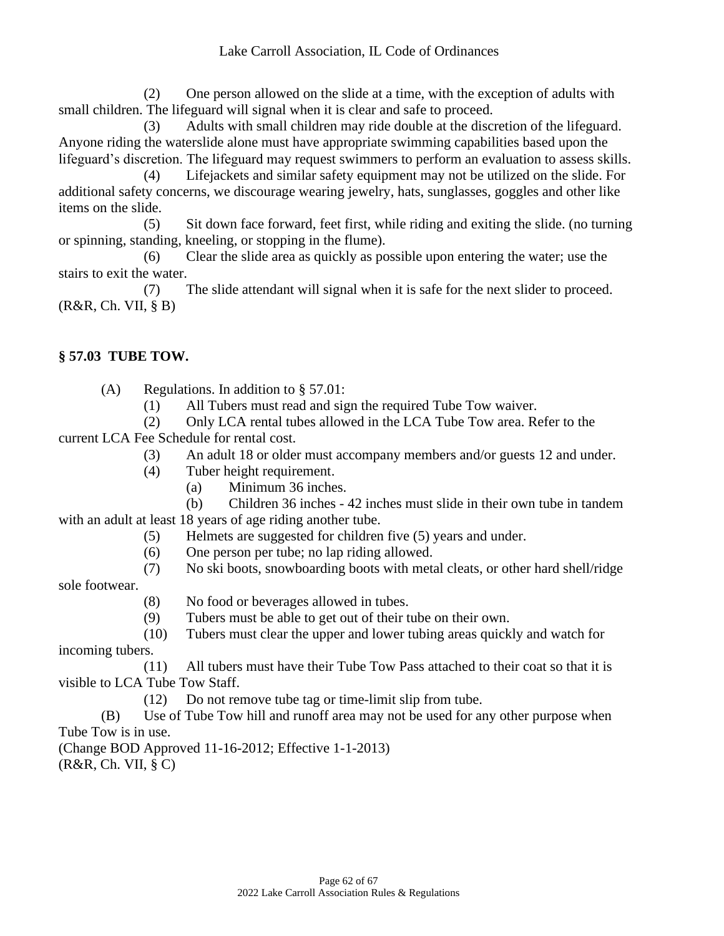(2) One person allowed on the slide at a time, with the exception of adults with small children. The lifeguard will signal when it is clear and safe to proceed.

(3) Adults with small children may ride double at the discretion of the lifeguard. Anyone riding the waterslide alone must have appropriate swimming capabilities based upon the lifeguard's discretion. The lifeguard may request swimmers to perform an evaluation to assess skills.

(4) Lifejackets and similar safety equipment may not be utilized on the slide. For additional safety concerns, we discourage wearing jewelry, hats, sunglasses, goggles and other like items on the slide.

(5) Sit down face forward, feet first, while riding and exiting the slide. (no turning or spinning, standing, kneeling, or stopping in the flume).

(6) Clear the slide area as quickly as possible upon entering the water; use the stairs to exit the water.

(7) The slide attendant will signal when it is safe for the next slider to proceed. (R&R, Ch. VII, § B)

#### **§ 57.03 TUBE TOW.**

(A) Regulations. In addition to § 57.01:

(1) All Tubers must read and sign the required Tube Tow waiver.

(2) Only LCA rental tubes allowed in the LCA Tube Tow area. Refer to the current LCA Fee Schedule for rental cost.

- (3) An adult 18 or older must accompany members and/or guests 12 and under.
- (4) Tuber height requirement.
	- (a) Minimum 36 inches.
- (b) Children 36 inches 42 inches must slide in their own tube in tandem with an adult at least 18 years of age riding another tube.
	- (5) Helmets are suggested for children five (5) years and under.
	- (6) One person per tube; no lap riding allowed.
	- (7) No ski boots, snowboarding boots with metal cleats, or other hard shell/ridge

sole footwear.

- (8) No food or beverages allowed in tubes.
- (9) Tubers must be able to get out of their tube on their own.
- (10) Tubers must clear the upper and lower tubing areas quickly and watch for incoming tubers.

(11) All tubers must have their Tube Tow Pass attached to their coat so that it is visible to LCA Tube Tow Staff.

(12) Do not remove tube tag or time-limit slip from tube.

(B) Use of Tube Tow hill and runoff area may not be used for any other purpose when Tube Tow is in use.

(Change BOD Approved 11-16-2012; Effective 1-1-2013)  $(R&R, Ch. VII, § C)$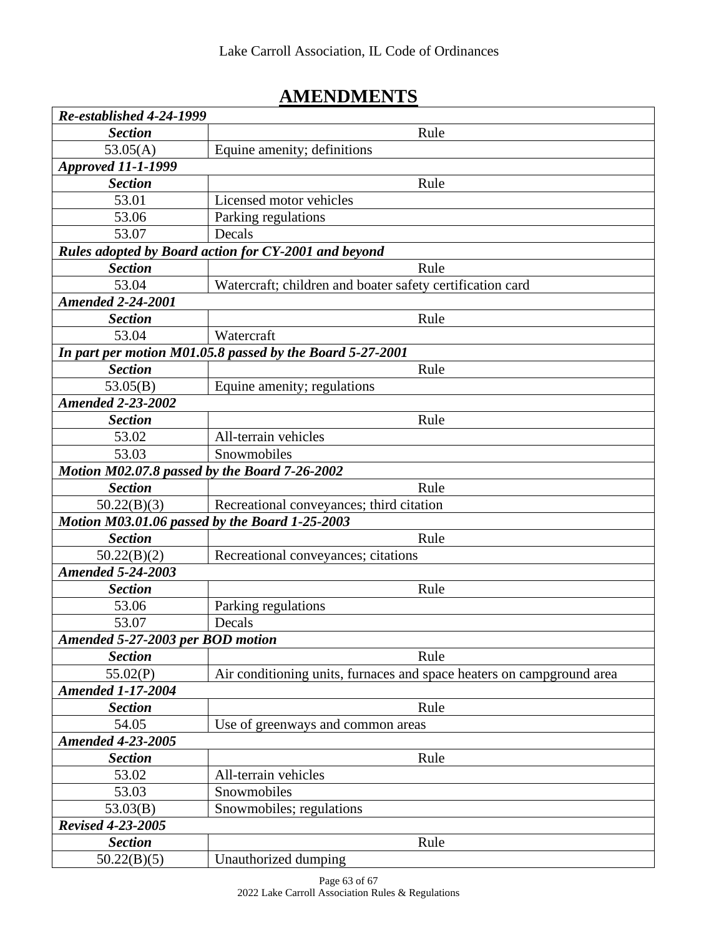# **AMENDMENTS**

| Re-established 4-24-1999                       |                                                                       |
|------------------------------------------------|-----------------------------------------------------------------------|
| <b>Section</b>                                 | Rule                                                                  |
| 53.05(A)                                       | Equine amenity; definitions                                           |
| <b>Approved 11-1-1999</b>                      |                                                                       |
| <b>Section</b>                                 | Rule                                                                  |
| 53.01                                          | Licensed motor vehicles                                               |
| 53.06                                          | Parking regulations                                                   |
| 53.07                                          | Decals                                                                |
|                                                | Rules adopted by Board action for CY-2001 and beyond                  |
| <b>Section</b>                                 | Rule                                                                  |
| 53.04                                          | Watercraft; children and boater safety certification card             |
| <b>Amended 2-24-2001</b>                       |                                                                       |
| <b>Section</b>                                 | Rule                                                                  |
| 53.04                                          | Watercraft                                                            |
|                                                | In part per motion M01.05.8 passed by the Board 5-27-2001             |
| <b>Section</b>                                 | Rule                                                                  |
| 53.05(B)                                       | Equine amenity; regulations                                           |
| <b>Amended 2-23-2002</b>                       |                                                                       |
| <b>Section</b>                                 | Rule                                                                  |
| 53.02                                          | All-terrain vehicles                                                  |
| 53.03                                          | Snowmobiles                                                           |
| Motion M02.07.8 passed by the Board 7-26-2002  |                                                                       |
| <b>Section</b>                                 | Rule                                                                  |
| 50.22(B)(3)                                    | Recreational conveyances; third citation                              |
| Motion M03.01.06 passed by the Board 1-25-2003 |                                                                       |
| <b>Section</b>                                 | Rule                                                                  |
| 50.22(B)(2)                                    | Recreational conveyances; citations                                   |
| <b>Amended 5-24-2003</b>                       |                                                                       |
| <b>Section</b>                                 | Rule                                                                  |
| 53.06                                          | Parking regulations                                                   |
| 53.07                                          | Decals                                                                |
| Amended 5-27-2003 per BOD motion               |                                                                       |
| <b>Section</b>                                 | Rule                                                                  |
| 55.02(P)                                       | Air conditioning units, furnaces and space heaters on campground area |
| <b>Amended 1-17-2004</b>                       |                                                                       |
| <b>Section</b>                                 | Rule                                                                  |
| 54.05                                          | Use of greenways and common areas                                     |
| <b>Amended 4-23-2005</b>                       |                                                                       |
| <b>Section</b>                                 | Rule                                                                  |
| 53.02                                          | All-terrain vehicles                                                  |
| 53.03                                          | Snowmobiles                                                           |
| 53.03(B)                                       | Snowmobiles; regulations                                              |
| <b>Revised 4-23-2005</b>                       |                                                                       |
| <b>Section</b>                                 | Rule                                                                  |
| 50.22(B)(5)                                    | Unauthorized dumping                                                  |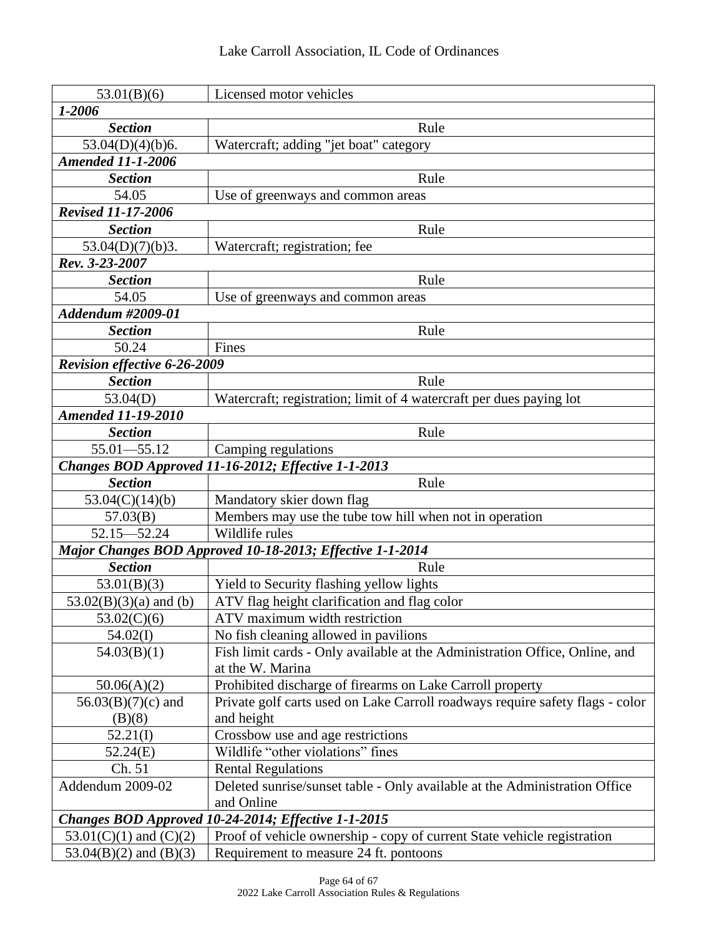| 53.01(B)(6)                                         | Licensed motor vehicles                                                       |  |  |
|-----------------------------------------------------|-------------------------------------------------------------------------------|--|--|
| 1-2006                                              |                                                                               |  |  |
| <b>Section</b>                                      | Rule                                                                          |  |  |
| 53.04(D)(4)(b)6.                                    | Watercraft; adding "jet boat" category                                        |  |  |
| <b>Amended 11-1-2006</b>                            |                                                                               |  |  |
| <b>Section</b>                                      | Rule                                                                          |  |  |
| 54.05                                               | Use of greenways and common areas                                             |  |  |
| <b>Revised 11-17-2006</b>                           |                                                                               |  |  |
| <b>Section</b>                                      | Rule                                                                          |  |  |
| 53.04(D)(7)(b)3.                                    | Watercraft; registration; fee                                                 |  |  |
| Rev. 3-23-2007                                      |                                                                               |  |  |
| <b>Section</b>                                      | Rule                                                                          |  |  |
| 54.05                                               | Use of greenways and common areas                                             |  |  |
| Addendum #2009-01                                   |                                                                               |  |  |
| <b>Section</b>                                      | Rule                                                                          |  |  |
| 50.24                                               | Fines                                                                         |  |  |
| <b>Revision effective 6-26-2009</b>                 |                                                                               |  |  |
| <b>Section</b>                                      | Rule                                                                          |  |  |
| 53.04(D)                                            | Watercraft; registration; limit of 4 watercraft per dues paying lot           |  |  |
| <b>Amended 11-19-2010</b>                           |                                                                               |  |  |
| <b>Section</b>                                      | Rule                                                                          |  |  |
| $55.01 - 55.12$                                     | Camping regulations                                                           |  |  |
|                                                     | Changes BOD Approved 11-16-2012; Effective 1-1-2013                           |  |  |
| <b>Section</b>                                      | Rule                                                                          |  |  |
| 53.04(C)(14)(b)                                     | Mandatory skier down flag                                                     |  |  |
| 57.03(B)                                            | Members may use the tube tow hill when not in operation                       |  |  |
| $52.15 - 52.24$                                     | Wildlife rules                                                                |  |  |
|                                                     | Major Changes BOD Approved 10-18-2013; Effective 1-1-2014                     |  |  |
| <b>Section</b>                                      | Rule                                                                          |  |  |
| 53.01(B)(3)                                         | Yield to Security flashing yellow lights                                      |  |  |
| $53.02(B)(3)(a)$ and (b)                            | ATV flag height clarification and flag color                                  |  |  |
| 53.02(C)(6)                                         | ATV maximum width restriction                                                 |  |  |
| 54.02(I)                                            | No fish cleaning allowed in pavilions                                         |  |  |
| 54.03(B)(1)                                         | Fish limit cards - Only available at the Administration Office, Online, and   |  |  |
|                                                     | at the W. Marina                                                              |  |  |
| 50.06(A)(2)                                         | Prohibited discharge of firearms on Lake Carroll property                     |  |  |
| $56.03(B)(7)(c)$ and                                | Private golf carts used on Lake Carroll roadways require safety flags - color |  |  |
| (B)(8)                                              | and height                                                                    |  |  |
| 52.21(I)                                            | Crossbow use and age restrictions                                             |  |  |
| 52.24(E)                                            | Wildlife "other violations" fines                                             |  |  |
| Ch. 51                                              | <b>Rental Regulations</b>                                                     |  |  |
| Addendum 2009-02                                    | Deleted sunrise/sunset table - Only available at the Administration Office    |  |  |
|                                                     | and Online                                                                    |  |  |
| Changes BOD Approved 10-24-2014; Effective 1-1-2015 |                                                                               |  |  |
| 53.01(C)(1) and (C)(2)                              | Proof of vehicle ownership - copy of current State vehicle registration       |  |  |
| 53.04(B)(2) and (B)(3)                              | Requirement to measure 24 ft. pontoons                                        |  |  |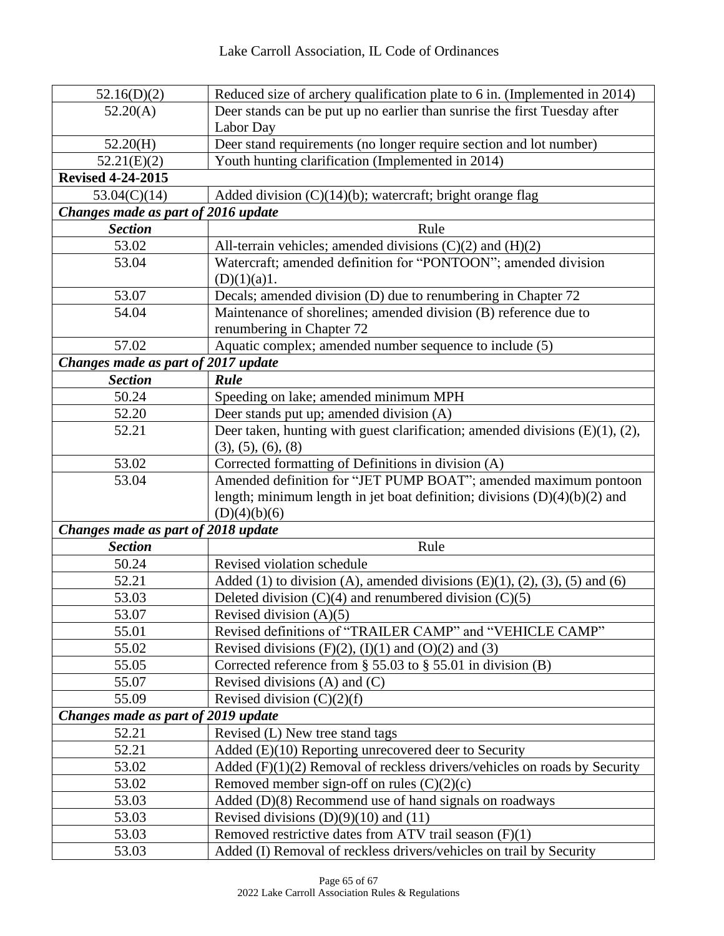| 52.16(D)(2)                         | Reduced size of archery qualification plate to 6 in. (Implemented in 2014)                                                    |  |  |
|-------------------------------------|-------------------------------------------------------------------------------------------------------------------------------|--|--|
| 52.20(A)                            | Deer stands can be put up no earlier than sunrise the first Tuesday after                                                     |  |  |
|                                     | Labor Day                                                                                                                     |  |  |
| 52.20(H)                            | Deer stand requirements (no longer require section and lot number)                                                            |  |  |
| 52.21(E)(2)                         | Youth hunting clarification (Implemented in 2014)                                                                             |  |  |
| <b>Revised 4-24-2015</b>            |                                                                                                                               |  |  |
| 53.04(C)(14)                        | Added division $(C)(14)(b)$ ; watercraft; bright orange flag                                                                  |  |  |
| Changes made as part of 2016 update |                                                                                                                               |  |  |
| <b>Section</b>                      | Rule                                                                                                                          |  |  |
| 53.02                               | All-terrain vehicles; amended divisions $(C)(2)$ and $(H)(2)$                                                                 |  |  |
| 53.04                               | Watercraft; amended definition for "PONTOON"; amended division                                                                |  |  |
|                                     | (D)(1)(a)1.                                                                                                                   |  |  |
| 53.07                               | Decals; amended division (D) due to renumbering in Chapter 72                                                                 |  |  |
| 54.04                               | Maintenance of shorelines; amended division (B) reference due to                                                              |  |  |
|                                     | renumbering in Chapter 72                                                                                                     |  |  |
| 57.02                               | Aquatic complex; amended number sequence to include (5)                                                                       |  |  |
| Changes made as part of 2017 update |                                                                                                                               |  |  |
| <b>Section</b>                      | Rule                                                                                                                          |  |  |
| 50.24                               | Speeding on lake; amended minimum MPH                                                                                         |  |  |
| 52.20                               | Deer stands put up; amended division (A)                                                                                      |  |  |
| 52.21                               | Deer taken, hunting with guest clarification; amended divisions $(E)(1)$ , $(2)$ ,                                            |  |  |
|                                     | (3), (5), (6), (8)                                                                                                            |  |  |
| 53.02                               | Corrected formatting of Definitions in division (A)                                                                           |  |  |
| 53.04                               | Amended definition for "JET PUMP BOAT"; amended maximum pontoon                                                               |  |  |
|                                     | length; minimum length in jet boat definition; divisions $(D)(4)(b)(2)$ and                                                   |  |  |
|                                     | (D)(4)(b)(6)                                                                                                                  |  |  |
| Changes made as part of 2018 update |                                                                                                                               |  |  |
| <b>Section</b>                      | Rule                                                                                                                          |  |  |
| 50.24                               | Revised violation schedule                                                                                                    |  |  |
| 52.21                               | Added (1) to division (A), amended divisions $(E)(1)$ , $(2)$ , $(3)$ , $(5)$ and $(6)$                                       |  |  |
| 53.03                               | Deleted division $(C)(4)$ and renumbered division $(C)(5)$                                                                    |  |  |
| 53.07                               | Revised division $(A)(5)$                                                                                                     |  |  |
| 55.01                               | Revised definitions of "TRAILER CAMP" and "VEHICLE CAMP"                                                                      |  |  |
| 55.02                               | Revised divisions $(F)(2)$ , $(I)(1)$ and $(O)(2)$ and $(3)$                                                                  |  |  |
| 55.05                               | Corrected reference from $\S$ 55.03 to $\S$ 55.01 in division (B)                                                             |  |  |
| 55.07                               | Revised divisions $(A)$ and $(C)$                                                                                             |  |  |
| 55.09                               | Revised division $(C)(2)(f)$                                                                                                  |  |  |
| Changes made as part of 2019 update |                                                                                                                               |  |  |
| 52.21                               | Revised (L) New tree stand tags                                                                                               |  |  |
| 52.21                               | Added $(E)(10)$ Reporting unrecovered deer to Security                                                                        |  |  |
| 53.02                               | Added $(F)(1)(2)$ Removal of reckless drivers/vehicles on roads by Security                                                   |  |  |
| 53.02                               | Removed member sign-off on rules $(C)(2)(c)$                                                                                  |  |  |
| 53.03                               |                                                                                                                               |  |  |
|                                     | Added (D)(8) Recommend use of hand signals on roadways                                                                        |  |  |
| 53.03                               | Revised divisions $(D)(9)(10)$ and $(11)$                                                                                     |  |  |
| 53.03<br>53.03                      | Removed restrictive dates from ATV trail season (F)(1)<br>Added (I) Removal of reckless drivers/vehicles on trail by Security |  |  |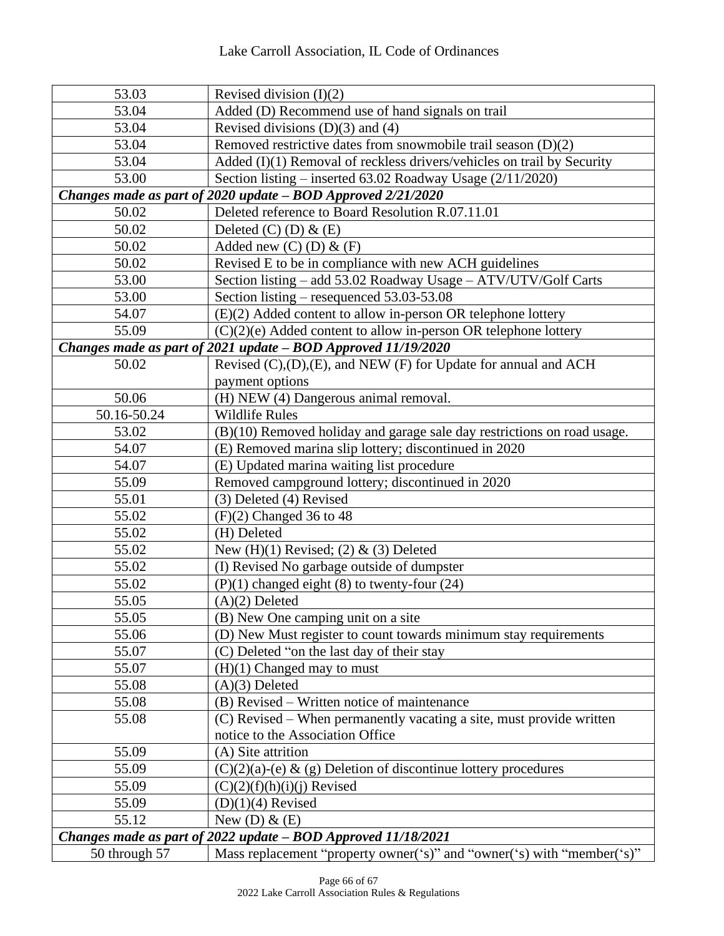| 53.03                                                         | Revised division $(I)(2)$                                                 |  |  |
|---------------------------------------------------------------|---------------------------------------------------------------------------|--|--|
| 53.04                                                         | Added (D) Recommend use of hand signals on trail                          |  |  |
| 53.04                                                         | Revised divisions $(D)(3)$ and $(4)$                                      |  |  |
| 53.04                                                         | Removed restrictive dates from snowmobile trail season $(D)(2)$           |  |  |
| 53.04                                                         | Added (I)(1) Removal of reckless drivers/vehicles on trail by Security    |  |  |
| 53.00                                                         | Section listing – inserted $63.02$ Roadway Usage $(2/11/2020)$            |  |  |
|                                                               | Changes made as part of 2020 update - BOD Approved 2/21/2020              |  |  |
| 50.02                                                         | Deleted reference to Board Resolution R.07.11.01                          |  |  |
| 50.02                                                         | Deleted $(C)$ $(D)$ & $(E)$                                               |  |  |
| 50.02                                                         | Added new $(C)$ $(D)$ & $(F)$                                             |  |  |
| 50.02                                                         | Revised E to be in compliance with new ACH guidelines                     |  |  |
| 53.00                                                         | Section listing - add 53.02 Roadway Usage - ATV/UTV/Golf Carts            |  |  |
| 53.00                                                         | Section listing – resequenced 53.03-53.08                                 |  |  |
| 54.07                                                         | (E)(2) Added content to allow in-person OR telephone lottery              |  |  |
| 55.09                                                         | $(C)(2)(e)$ Added content to allow in-person OR telephone lottery         |  |  |
|                                                               | Changes made as part of 2021 update - BOD Approved 11/19/2020             |  |  |
| 50.02                                                         | Revised (C),(D),(E), and NEW (F) for Update for annual and ACH            |  |  |
|                                                               | payment options                                                           |  |  |
| 50.06                                                         | (H) NEW (4) Dangerous animal removal.                                     |  |  |
| 50.16-50.24                                                   | <b>Wildlife Rules</b>                                                     |  |  |
| 53.02                                                         | $(B)(10)$ Removed holiday and garage sale day restrictions on road usage. |  |  |
| 54.07                                                         | (E) Removed marina slip lottery; discontinued in 2020                     |  |  |
| 54.07                                                         | (E) Updated marina waiting list procedure                                 |  |  |
| 55.09                                                         | Removed campground lottery; discontinued in 2020                          |  |  |
| 55.01                                                         | (3) Deleted (4) Revised                                                   |  |  |
| 55.02                                                         | $(F)(2)$ Changed 36 to 48                                                 |  |  |
| 55.02                                                         | (H) Deleted                                                               |  |  |
| 55.02                                                         | New $(H)(1)$ Revised; $(2)$ & $(3)$ Deleted                               |  |  |
| 55.02                                                         | (I) Revised No garbage outside of dumpster                                |  |  |
| 55.02                                                         | $(P)(1)$ changed eight $(8)$ to twenty-four $(24)$                        |  |  |
| 55.05                                                         | $(A)(2)$ Deleted                                                          |  |  |
| 55.05                                                         | (B) New One camping unit on a site                                        |  |  |
| 55.06                                                         | (D) New Must register to count towards minimum stay requirements          |  |  |
| 55.07                                                         | (C) Deleted "on the last day of their stay                                |  |  |
| 55.07                                                         | $(H)(1)$ Changed may to must                                              |  |  |
| 55.08                                                         | $(A)(3)$ Deleted                                                          |  |  |
| 55.08                                                         | (B) Revised – Written notice of maintenance                               |  |  |
| 55.08                                                         | (C) Revised – When permanently vacating a site, must provide written      |  |  |
|                                                               | notice to the Association Office                                          |  |  |
| 55.09                                                         | (A) Site attrition                                                        |  |  |
| 55.09                                                         | $(C)(2)(a)-(e) \& (g)$ Deletion of discontinue lottery procedures         |  |  |
| 55.09                                                         | $(C)(2)(f)(h)(i)(j)$ Revised                                              |  |  |
| 55.09                                                         | $(D)(1)(4)$ Revised                                                       |  |  |
| 55.12                                                         | New (D) $\&$ (E)                                                          |  |  |
| Changes made as part of 2022 update - BOD Approved 11/18/2021 |                                                                           |  |  |
| 50 through 57                                                 | Mass replacement "property owner('s)" and "owner('s) with "member('s)"    |  |  |